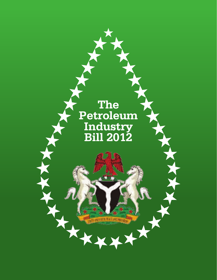# **The Petroleum Industry Bill 2012**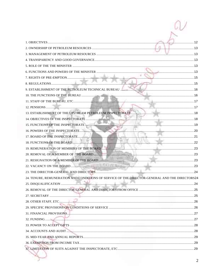| 24. TENURE, REMUNERATION AND CONDITIONS OF SERVICE OF THE DIRECTOR-GENERAL AND THE DIRECTORS24 |  |
|------------------------------------------------------------------------------------------------|--|
|                                                                                                |  |
|                                                                                                |  |
|                                                                                                |  |
|                                                                                                |  |
|                                                                                                |  |
|                                                                                                |  |
|                                                                                                |  |
|                                                                                                |  |
|                                                                                                |  |
|                                                                                                |  |
|                                                                                                |  |
|                                                                                                |  |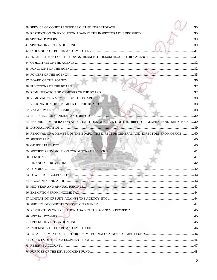|                                                                                             | . 30 |
|---------------------------------------------------------------------------------------------|------|
|                                                                                             |      |
|                                                                                             |      |
|                                                                                             |      |
|                                                                                             |      |
|                                                                                             |      |
|                                                                                             |      |
|                                                                                             |      |
|                                                                                             |      |
|                                                                                             |      |
|                                                                                             |      |
|                                                                                             |      |
|                                                                                             |      |
|                                                                                             |      |
|                                                                                             |      |
|                                                                                             |      |
| 54. TENURE, REMUNERATION AND CONDITIONS OF SERVICE OF THE DIRECTOR-GENERAL AND DIRECTORS 39 |      |
|                                                                                             |      |
| 56. REMOVAL OF A MEMBER OF THE BOARD, THE DIRECTOR GENERAL AND DIRECTORS FROM OFFICE 40     |      |
|                                                                                             |      |
|                                                                                             |      |
|                                                                                             |      |
|                                                                                             |      |
|                                                                                             |      |
|                                                                                             |      |
|                                                                                             |      |
|                                                                                             |      |
|                                                                                             |      |
|                                                                                             |      |
|                                                                                             |      |
|                                                                                             |      |
|                                                                                             |      |
|                                                                                             |      |
|                                                                                             |      |
|                                                                                             |      |
|                                                                                             |      |
|                                                                                             |      |
|                                                                                             |      |
|                                                                                             |      |
|                                                                                             |      |
|                                                                                             |      |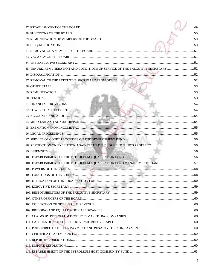|                                                                                  | $\ldots$ 49 |
|----------------------------------------------------------------------------------|-------------|
|                                                                                  |             |
|                                                                                  |             |
|                                                                                  |             |
|                                                                                  |             |
|                                                                                  |             |
|                                                                                  |             |
| 85. TENURE, REMUNERATION AND CONDITIONS OF SERVICE OF THE EXECUTIVE SECRETARY 52 |             |
|                                                                                  |             |
|                                                                                  |             |
|                                                                                  |             |
|                                                                                  |             |
|                                                                                  |             |
|                                                                                  |             |
|                                                                                  |             |
|                                                                                  |             |
|                                                                                  |             |
|                                                                                  |             |
|                                                                                  |             |
|                                                                                  |             |
|                                                                                  |             |
|                                                                                  |             |
|                                                                                  |             |
| 101. ESTABLISHMENT OF THE PETROLEUM EQUALISATION FUND MANAGEMENT BOARD 57        |             |
|                                                                                  |             |
|                                                                                  |             |
|                                                                                  |             |
|                                                                                  |             |
|                                                                                  |             |
|                                                                                  |             |
|                                                                                  |             |
|                                                                                  |             |
|                                                                                  |             |
|                                                                                  |             |
|                                                                                  |             |
|                                                                                  |             |
|                                                                                  |             |
|                                                                                  |             |
|                                                                                  |             |
|                                                                                  |             |
|                                                                                  | 4           |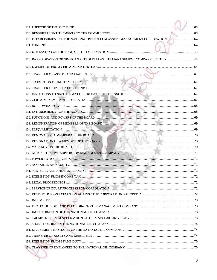| 120. ESTABLISHMENT OF THE NATIONAL PETROLEUM ASSETS MANAGEMENT CORPORATION  64 |  |
|--------------------------------------------------------------------------------|--|
|                                                                                |  |
|                                                                                |  |
|                                                                                |  |
|                                                                                |  |
|                                                                                |  |
| 126. EXEMPTION FROM STAMP DUTY                                                 |  |
|                                                                                |  |
|                                                                                |  |
|                                                                                |  |
|                                                                                |  |
|                                                                                |  |
|                                                                                |  |
|                                                                                |  |
|                                                                                |  |
|                                                                                |  |
|                                                                                |  |
|                                                                                |  |
|                                                                                |  |
|                                                                                |  |
|                                                                                |  |
|                                                                                |  |
|                                                                                |  |
|                                                                                |  |
|                                                                                |  |
|                                                                                |  |
|                                                                                |  |
|                                                                                |  |
|                                                                                |  |
|                                                                                |  |
|                                                                                |  |
|                                                                                |  |
|                                                                                |  |
|                                                                                |  |
|                                                                                |  |
|                                                                                |  |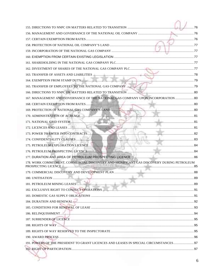|                                                                                           | $\sim$ 77 |
|-------------------------------------------------------------------------------------------|-----------|
|                                                                                           |           |
|                                                                                           |           |
|                                                                                           |           |
|                                                                                           |           |
|                                                                                           |           |
|                                                                                           |           |
|                                                                                           |           |
|                                                                                           |           |
|                                                                                           |           |
| 167. MANAGEMENT AND GOVERNANCE OF THE NATIONAL GAS COMPANY UPON INCORPORATION  80         |           |
|                                                                                           |           |
|                                                                                           |           |
|                                                                                           |           |
|                                                                                           |           |
|                                                                                           |           |
|                                                                                           |           |
|                                                                                           |           |
|                                                                                           |           |
|                                                                                           |           |
|                                                                                           |           |
| 178. WORK COMMITMENT, COMMERCIAL DISCOVERY AND SIGNIFICANT GAS DISCOVERY DURING PETROLEUM |           |
|                                                                                           |           |
|                                                                                           |           |
|                                                                                           |           |
|                                                                                           |           |
|                                                                                           |           |
|                                                                                           |           |
|                                                                                           |           |
|                                                                                           |           |
|                                                                                           |           |
|                                                                                           |           |
|                                                                                           |           |
|                                                                                           |           |
|                                                                                           |           |
| 191. POWERS OF THE PRESIDENT TO GRANT LICENCES AND LEASES IN SPECIAL CIRCUMSTANCES 97     |           |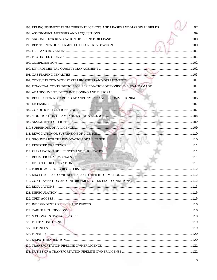| 193. RELINQUISHMENT FROM CURRENT LICENCES AND LEASES AND MARGINAL FIELDS | 97 |
|--------------------------------------------------------------------------|----|
|                                                                          |    |
|                                                                          |    |
|                                                                          |    |
|                                                                          |    |
|                                                                          |    |
|                                                                          |    |
|                                                                          |    |
|                                                                          |    |
|                                                                          |    |
|                                                                          |    |
|                                                                          |    |
|                                                                          |    |
|                                                                          |    |
|                                                                          |    |
|                                                                          |    |
|                                                                          |    |
|                                                                          |    |
|                                                                          |    |
|                                                                          |    |
|                                                                          |    |
|                                                                          |    |
|                                                                          |    |
|                                                                          |    |
|                                                                          |    |
|                                                                          |    |
|                                                                          |    |
|                                                                          |    |
|                                                                          |    |
|                                                                          |    |
|                                                                          |    |
|                                                                          |    |
|                                                                          |    |
|                                                                          |    |
|                                                                          |    |
|                                                                          |    |
|                                                                          |    |
|                                                                          |    |
|                                                                          |    |
|                                                                          |    |
|                                                                          | 7  |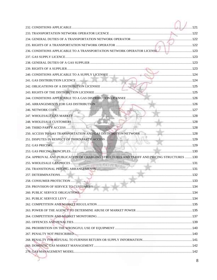| 254. APPROVAL AND PUBLICATION OF CHARGING STRUCTURES AND TARIFF AND PRICING STRUCTURES  130 |  |
|---------------------------------------------------------------------------------------------|--|
|                                                                                             |  |
|                                                                                             |  |
|                                                                                             |  |
|                                                                                             |  |
|                                                                                             |  |
|                                                                                             |  |
|                                                                                             |  |
|                                                                                             |  |
|                                                                                             |  |
|                                                                                             |  |
|                                                                                             |  |
|                                                                                             |  |
|                                                                                             |  |
|                                                                                             |  |
|                                                                                             |  |
|                                                                                             |  |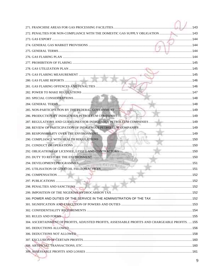|                                                                                                                                                                                                                                      | $\dots$ 143 |
|--------------------------------------------------------------------------------------------------------------------------------------------------------------------------------------------------------------------------------------|-------------|
| 272. PENALTIES FOR NON-COMPLIANCE WITH THE DOMESTIC GAS SUPPLY OBLIGATION  143                                                                                                                                                       |             |
|                                                                                                                                                                                                                                      |             |
|                                                                                                                                                                                                                                      |             |
|                                                                                                                                                                                                                                      |             |
|                                                                                                                                                                                                                                      |             |
|                                                                                                                                                                                                                                      |             |
|                                                                                                                                                                                                                                      |             |
|                                                                                                                                                                                                                                      |             |
|                                                                                                                                                                                                                                      |             |
|                                                                                                                                                                                                                                      |             |
|                                                                                                                                                                                                                                      |             |
|                                                                                                                                                                                                                                      |             |
|                                                                                                                                                                                                                                      |             |
| 285. NON-PARTICIPATION BY THE FEDERAL GOVERNMENT <b>And a community of the COVERNMENT</b>                                                                                                                                            |             |
|                                                                                                                                                                                                                                      |             |
|                                                                                                                                                                                                                                      |             |
|                                                                                                                                                                                                                                      |             |
| 289. RESPONSIBILITY OVER THE ENVIRONMENT.                                                                                                                                                                                            |             |
|                                                                                                                                                                                                                                      |             |
|                                                                                                                                                                                                                                      |             |
|                                                                                                                                                                                                                                      |             |
|                                                                                                                                                                                                                                      |             |
|                                                                                                                                                                                                                                      |             |
|                                                                                                                                                                                                                                      |             |
|                                                                                                                                                                                                                                      |             |
|                                                                                                                                                                                                                                      |             |
|                                                                                                                                                                                                                                      |             |
|                                                                                                                                                                                                                                      |             |
|                                                                                                                                                                                                                                      |             |
|                                                                                                                                                                                                                                      |             |
|                                                                                                                                                                                                                                      |             |
| 303. RULES AND FORMS <b>Material Contract Contract Contract Contract Contract Contract Contract Contract Contract Contract Contract Contract Contract Contract Contract Contract Contract Contract Contract Contract Contract Co</b> |             |
| 304. ASCERTAINMENT OF PROFITS, ADJUSTED PROFITS, ASSESSABLE PROFITS AND CHARGEABLE PROFITS.  155                                                                                                                                     |             |
|                                                                                                                                                                                                                                      |             |
|                                                                                                                                                                                                                                      |             |
|                                                                                                                                                                                                                                      |             |
|                                                                                                                                                                                                                                      |             |
|                                                                                                                                                                                                                                      |             |
|                                                                                                                                                                                                                                      |             |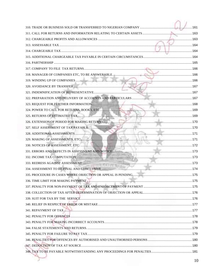|                                                   | . 161 |
|---------------------------------------------------|-------|
|                                                   |       |
|                                                   |       |
|                                                   | . 164 |
|                                                   |       |
|                                                   |       |
|                                                   |       |
|                                                   |       |
|                                                   |       |
|                                                   |       |
|                                                   |       |
|                                                   |       |
|                                                   |       |
|                                                   |       |
|                                                   |       |
|                                                   |       |
|                                                   |       |
|                                                   |       |
|                                                   |       |
|                                                   |       |
|                                                   |       |
| 331. ERRORS AND DEFECTS IN ASSESSMENT AND NOTICE. |       |
|                                                   |       |
|                                                   |       |
|                                                   |       |
|                                                   |       |
|                                                   |       |
|                                                   |       |
|                                                   |       |
|                                                   |       |
|                                                   |       |
|                                                   |       |
|                                                   |       |
|                                                   |       |
|                                                   |       |
|                                                   |       |
|                                                   |       |
|                                                   |       |
|                                                   |       |
|                                                   |       |
|                                                   | 10    |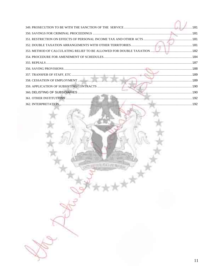| 362 INTERPRETATION | 102 |
|--------------------|-----|

再采有线性细菌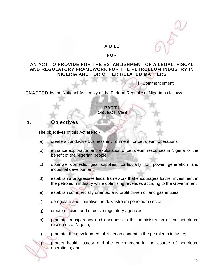#### A BILL

#### FOR

#### AN ACT TO PROVIDE FOR THE ESTABLISHMENT OF A LEGAL, FISCAL AND REGULATORY FRAMEWORK FOR THE PETROLEUM INDUSTRY IN NIGERIA AND FOR OTHER RELATED MATTERS

**Commencement** 

ENACTED by the National Assembly of the Federal Republic of Nigeria as follows:

#### PART I **OBJECTIVES**

### 1. Objectives

The objectives of this Act are to -

- (a) create a conducive business environment for petroleum operations;
- (b) enhance exploration and exploitation of petroleum resources in Nigeria for the benefit of the Nigerian people;
- (c) optimize domestic gas supplies, particularly for power generation and industrial development;
- (d) establish a progressive fiscal framework that encourages further investment in the petroleum industry while optimising revenues accruing to the Government;
- (e) establish commercially oriented and profit driven oil and gas entities;
- (f) deregulate and liberalise the downstream petroleum sector;
- (g) create efficient and effective regulatory agencies;
- (h) promote transparency and openness in the administration of the petroleum resources of Nigeria;
- (i) promote the development of Nigerian content in the petroleum industry;

(j) protect health, safety and the environment in the course of petroleum operations; and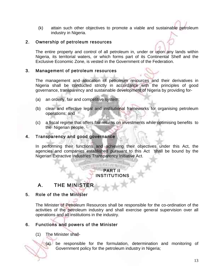(k) attain such other objectives to promote a viable and sustainable petroleum industry in Nigeria.

#### 2. Ownership of petroleum resources

 The entire property and control of all petroleum in, under or upon any lands within Nigeria, its territorial waters, or which forms part of its Continental Shelf and the Exclusive Economic Zone, is vested in the Government of the Federation.

#### 3. Management of petroleum resources

 The management and allocation of petroleum resources and their derivatives in Nigeria shall be conducted strictly in accordance with the principles of good governance, transparency and sustainable development of Nigeria by providing for-

- (a) an orderly, fair and competitive system;
- (b) clear and effective legal and institutional frameworks for organising petroleum operations; and
- (c) a fiscal regime that offers fair returns on investments while optimising benefits to the Nigerian people.

#### 4. Transparency and good governance

In performing their functions and achieving their objectives under this Act, the agencies and companies established pursuant to this Act shall be bound by the Nigerian Extractive Industries Transparency Initiative Act.

#### PART II **INSTITUTIONS**

# A. THE MINISTER

#### 5. Role of the the Minister

The Minister of Petroleum Resources shall be responsible for the co-ordination of the activities of the petroleum industry and shall exercise general supervision over all operations and all institutions in the industry.

### 6. Functions and powers of the Minister

(1) The Minister shall-

(a) be responsible for the formulation, determination and monitoring of Government policy for the petroleum industry in Nigeria;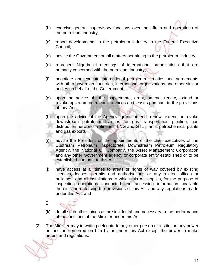- (b) exercise general supervisory functions over the affairs and operations of the petroleum industry;
- (c) report developments in the petroleum industry to the Federal Executive Council;
- (d) advise the Government on all matters pertaining to the petroleum industry;
- (e) represent Nigeria at meetings of international organisations that are primarily concerned with the petroleum industry;
- (f) negotiate and execute international petroleum treaties and agreements with other sovereign countries, international organizations and other similar bodies on behalf of the Government;
- (g) upon the advice of the Inspectorate, grant, amend, renew, extend or revoke upstream petroleum licences and leases pursuant to the provisions of this Act;
- (h) upon the advice of the Agency, grant, amend, renew, extend or revoke downstream petroleum licences for gas transportation pipeline, gas distribution networks, refineries, LNG and GTL plants, petrochemical plants and gas exports
- (i) advise the President on the appointments of the chief executives of the Upstream Petroleum Inspectorate, Downstream Petroleum Regulatory Agency, the National Oil Company, the Asset Management Corporation and any other Government agency or corporate entity established or to be established pursuant to this Act;

再采用用户

- (j) have access at all times to areas or rights of way covered by existing licences, leases, permits and authorisations or any related offices or buildings, and all installations to which this Act applies, for the purpose of inspecting operations conducted and accessing information available therein, and enforcing the provisions of this Act and any regulations made under this Act; and
- ()
- (k) do all such other things as are incidental and necessary to the performance of the functions of the Minister under this Act.
- (2) The Minister may in writing delegate to any other person or institution any power or function conferred on him by or under this Act except the power to make orders and regulations.

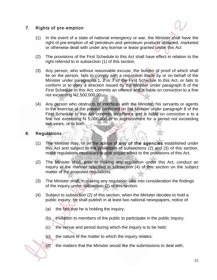#### 7. Rights of pre-emption



- (1) In the event of a state of national emergency or war, the Minister shall have the right of pre-emption of all petroleum and petroleum products obtained, marketed or otherwise dealt with under any license or lease granted under this Act
- (2) The provisions of the First Schedule to this Act shall have effect in relation to the right referred to in subsection (1) of this section.
- (3) Any person, who without reasonable excuse, the burden of proof of which shall lie on the person, fails to comply with a requisition made by or on behalf of the Minister under paragraphs 1, 2 or 7 of the First Schedule to this Act, or fails to conform or to obey a direction issued by the Minister under paragraph 8 of the First Schedule to this Act, commits an offence and is liable on conviction to a fine not exceeding N2,500,000.00.
- (4) Any person who obstructs or interferes with the Minister, his servants or agents in the exercise of the powers conferred on the Minister under paragraph 8 of the First Schedule to this Act commits an offence and is liable on conviction e to a fine not exceeding N 5,000,000 or to imprisonment for a period not exceeding two years, or to both.

ļ

#### 8. Regulations

- (1) The Minister may, or on the advice of any of the agencies established under this Act and subject to the provisions of subsections (2) and (3) of this section, make regulations necessary to give proper effect to the provisions of this Act.
- (2) The Minister shall, prior to making any regulation under this Act, conduct an inquiry in the manner specified in subsection (4) of this section on the subject matter of the proposed regulations.
- (3) The Minister shall, in making any regulation take into consideration the findings of the inquiry under subsection (2) of this section.
- (4) Subject to subsection (2) of this section, when the Minister decides to hold a public inquiry, he shall publish in at least two national newspapers, notice of
	- (a) the fact that he is holding the inquiry;
	- (b) invitation to members of the public to participate in the public inquiry;
	- (c) the venue and period during which the inquiry is to be held;
	- (c) the nature of the matter to which the inquiry relates;
	- (d) the matters that the Minister would like the submissions to deal with;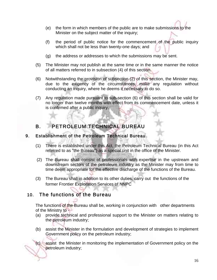- (e) the form in which members of the public are to make submissions to the Minister on the subject matter of the inquiry;
- (f) the period of public notice for the commencement of the public inquiry which shall not be less than twenty-one days; and
- (g) the address or addresses to which the submissions may be sent.
- (5) The Minister may not publish at the same time or in the same manner the notice of all matters referred to in subsection (4) of this section.
- (6) Notwithstanding the provision of subsection (2) of this section, the Minister may, due to the exigency of the circumstances, make any regulation without conducting an inquiry, where he deems it necessary to do so.
- (7) Any regulation made pursuant to sub-section (6) of this section shall be valid for no longer than twelve months with effect from its commencement date, unless it is confirmed after a public inquiry.

# B. PETROLEUM TECHNICAL BUREAU

#### 9. Establishment of the Petroleum Technical Bureau

- (1) There is established under this Act, the Petroleum Technical Bureau (in this Act referred to as "the Bureau") as a special unit in the office of the Minister.
- (2) The Bureau shall consist of professionals with expertise in the upstream and downstream sectors of the petroleum industry as the Minister may from time to time deem appropriate for the effective discharge of the functions of the Bureau.
- (3) The Bureau shall in addition to its other duties, carry out the functions of the former Frontier Exploration Services of NNPC

## 10. The functions of the Bureau

The functions of the Bureau shall be, working in conjunction with other departments of the Ministry to -

- (a) provide technical and professional support to the Minister on matters relating to the petroleum industry;
- (b) assist the Minister in the formulation and development of strategies to implement Government policy on the petroleum industry;

(c) assist the Minister in monitoring the implementation of Government policy on the petroleum industry;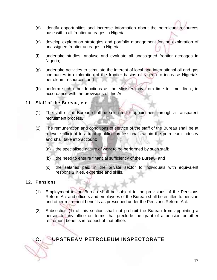- (d) identify opportunities and increase information about the petroleum resources base within all frontier acreages in Nigeria;
- (e) develop exploration strategies and portfolio management for the exploration of unassigned frontier acreages in Nigeria;
- (f) undertake studies, analyse and evaluate all unassigned frontier acreages in Nigeria;
- (g) undertake activities to stimulate the interest of local and international oil and gas companies in exploration of the frontier basins of Nigeria to increase Nigeria's petroleum resources; and
- (h) perform such other functions as the Minister may from time to time direct, in accordance with the provisions of this Act.

#### 11. Staff of the Bureau, etc

- (1) The staff of the Bureau shall be selected for appointment through a transparent recruitment process.
- (2) The remuneration and conditions of service of the staff of the Bureau shall be at a level sufficient to attract qualified professionals within the petroleum industry and shall take into account:
	- (a) the specialised nature of work to be performed by such staff;
	- (b) the need to ensure financial sufficiency of the Bureau; and
	- (c) the salaries paid in the private sector to individuals with equivalent responsibilities, expertise and skills.

#### 12. Pensions

- (1) Employment in the Bureau shall be subject to the provisions of the Pensions Reform Act and officers and employees of the Bureau shall be entitled to pension and other retirement benefits as prescribed under the Pensions Reform Act.
- (2) Subsection (1) of this section shall not prohibit the Bureau from appointing a person to any office on terms that preclude the grant of a pension or other retirement benefits in respect of that office.

# C. UPSTREAM PETROLEUM INSPECTORATE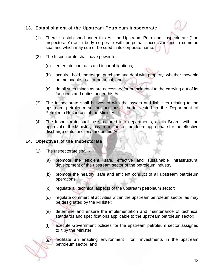#### 13. Establishment of the Upstream Petroleum Inspectorate

- (1) There is established under this Act the Upstream Petroleum Inspectorate ("the Inspectorate") as a body corporate with perpetual succession and a common seal and which may sue or be sued in its corporate name.
- (2) The Inspectorate shall have power to
	- (a) enter into contracts and incur obligations;
	- (b) acquire, hold, mortgage, purchase and deal with property, whether movable or immovable, real or personal; and
	- (c) do all such things as are necessary for or incidental to the carrying out of its functions and duties under this Act.
- (3) The Inspectorate shall be vested with the assets and liabilities relating to the upstream petroleum sector functions hitherto vested in the Department of Petroleum Resources of the Ministry.
- (4) The Inspectorate shall be structured into departments, as its Board, with the approval of the Minister, may from time to time deem appropriate for the effective discharge of its functions under this Act.

#### 14. Objectives of the Inspectorate

- (1) The Inspectorate shall
	- (a) promote the efficient, safe, effective and sustainable infrastructural development of the upstream sector of the petroleum industry;
	- (b) promote the healthy, safe and efficient conduct of all upstream petroleum operations;
	- (c) regulate all technical aspects of the upstream petroleum sector;
	- (d) regulate commercial activities within the upstream petroleum sector as may be designated by the Minister;
	- (e) determine and ensure the implementation and maintenance of technical standards and specifications applicable to the upstream petroleum sector;
	- (f) execute Government policies for the upstream petroleum sector assigned to it by the Minister;
	- (g) facilitate an enabling environment for investments in the upstream petroleum sector; and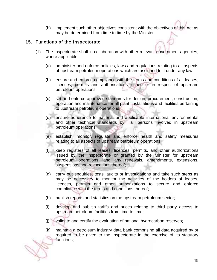(h) implement such other objectives consistent with the objectives of this Act as may be determined from time to time by the Minister.

#### 15. Functions of the Inspectorate

- (1) The Inspectorate shall in collaboration with other relevant government agencies, where applicable -
	- (a) administer and enforce policies, laws and regulations relating to all aspects of upstream petroleum operations which are assigned to it under any law;
	- (b) ensure and enforce compliance with the terms and conditions of all leases, licences, permits and authorisations issued or in respect of upstream petroleum operations;
	- (c) set and enforce approved standards for design, procurement, construction, operation and maintenance for all plant, installations and facilities pertaining to upstream petroleum operations;
	- (d) ensure adherence to national and applicable international environmental and other technical standards by all persons involved in upstream petroleum operations;
	- (e) establish, monitor, regulate and enforce health and safety measures relating to all aspects of upstream petroleum operations;
	- (f) keep registers of all leases, licences, permits, and other authorizations issued by the Inspectorate or granted by the Minister for upstream petroleum operations, and any renewals, amendments, extensions, suspensions and revocations thereof;
	- (g) carry out enquiries, tests, audits or investigations and take such steps as may be necessary to monitor the activities of the holders of leases, licences, permits and other authorizations to secure and enforce compliance with the terms and conditions thereof;
	- (h) publish reports and statistics on the upstream petroleum sector;
	- (i) develop and publish tariffs and prices relating to third party access to upstream petroleum facilities from time to time;
	- (j) validate and certify the evaluation of national hydrocarbon reserves;
	- (k) maintain a petroleum industry data bank comprising all data acquired by or required to be given to the Inspectorate in the exercise of its statutory functions;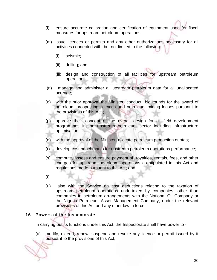- (l) ensure accurate calibration and certification of equipment used for fiscal measures for upstream petroleum operations;
- (m) issue licences or permits and any other authorizations necessary for all activities connected with, but not limited to the following:
	- (i) seismic;
	- (ii) drilling; and
	- (iii) design and construction of all facilities for upstream petroleum operations.
- (n) manage and administer all upstream petroleum data for all unallocated acreage;
- (o) with the prior approval the Minister, conduct bid rounds for the award of petroleum prospecting licences and petroleum mining leases pursuant to the provisions of this Act ;
- (p) approve the concept of the overall design for all field development programmes in the upstream petroleum sector including infrastructure optimisation;
- (q) with the approval of the Minister, allocate petroleum production quotas;
- (r) develop cost benchmarks for upstream petroleum operations performance;
- (s) compute, assess and ensure payment of royalties, rentals, fees, and other charges for upstream petroleum operations as stipulated in this Act and regulations made pursuant to this Act; and
- (t)
- (u) liaise with the Service on cost deductions relating to the taxation of upstream petroleum operations undertaken by companies, other than companies in petroleum arrangements with the National Oil Company or the Nigeria Petroleum Asset Management Company, under the relevant provisions of this Act and any other law in force.

#### 16. Powers of the Inspectorate

In carrying out its functions under this Act, the Inspectorate shall have power to -

(a) modify, extend, renew, suspend and revoke any licence or permit issued by it pursuant to the provisions of this Act;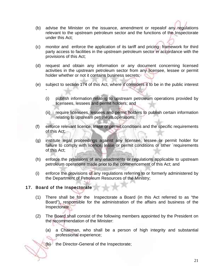- (b) advise the Minister on the issuance, amendment or repealof any regulations relevant to the upstream petroleum sector and the functions of the Inspectorate under this Act;
- (c) monitor and enforce the application of its tariff and pricing framework for third party access to facilities in the upstream petroleum sector in accordance with the provisions of this Act;
- (d) request and obtain any information or any document concerning licensed activities in the upstream petroleum sector from any licensee, lessee or permit holder whether or not it contains business secrets;
- (e) subject to section 174 of this Act, where it considers it to be in the public interest
	- (i) publish information relating to upstream petroleum operations provided by licensees, lessees and permit holders; and
	- (ii) require licensees, lessees and permit holders to publish certain information relating to upstream petroleum operations;
- (f) enforce relevant licence, lease or permit conditions and the specific requirements of this Act;
- (g) institute legal proceedings against any licensee, lessee or permit holder for failure to comply with licence, lease or permit conditions or other `requirements of this Act;
- (h) enforce the provisions of any enactments or regulations applicable to upstream petroleum operations made prior to the commencement of this Act; and
- (i) enforce the provisions of any regulations referring to or formerly administered by the Department of Petroleum Resources of the Ministry;

#### 17. Board of the Inspectorate

-

- (1) There shall be for the Inspectorate a Board (in this Act referred to as "the Board"), responsible for the administration of the affairs and business of the Inspectorate.
- (2) The Board shall consist of the following members appointed by the President on the recommendation of the Minister:
	- (a) a Chairman, who shall be a person of high integrity and substantial professional experience;

(b) the Director-General of the Inspectorate;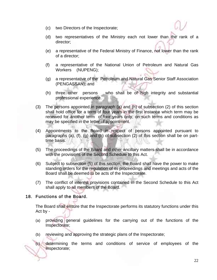- (c) two Directors of the Inspectorate;
- (d) two representatives of the Ministry each not lower than the rank of a director;
- (e) a representative of the Federal Ministry of Finance, not lower than the rank of a director;
- (f) a representative of the National Union of Petroleum and Natural Gas Workers (NUPENG);
- (g) a representative of the Petroleum and Natural Gas Senior Staff Association (PENGASSAN); and
- (h) three other persons who shall be of high integrity and substantial professional experience.
- (3) The persons appointed in paragraph (a) and (h) of subsection (2) of this section shall hold office for a term of four years in the first instance which term may be renewed for another term of four years only, on such terms and conditions as may be specified in the letter of appointment.
- (4) Appointments to the Board in respect of persons appointed pursuant to paragraphs (a), (f), (g) and (h) of subsection (2) of this section shall be on parttime basis.
- (5) The proceedings of the Board and other ancillary matters shall be in accordance with the provisions of the Second Schedule to this Act.
- (6) Subject to subsection (5) of this section, the Board shall have the power to make standing orders for the regulation of its proceedings and meetings and acts of the Board shall be deemed to be acts of the Inspectorate.
- (7) The conflict of interest provisions contained in the Second Schedule to this Act shall apply to all members of the Board.

#### 18. Functions of the Board.

The Board shall ensure that the Inspectorate performs its statutory functions under this Act by -

- (a) providing general guidelines for the carrying out of the functions of the Inspectorate;
- (b) reviewing and approving the strategic plans of the Inspectorate;

(c) determining the terms and conditions of service of employees of the Inspectorate;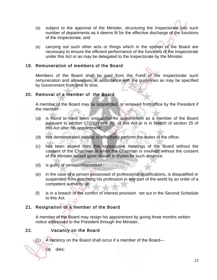- (d) subject to the approval of the Minister, structuring the Inspectorate into such number of departments as it deems fit for the effective discharge of the functions of the Inspectorate; and
- (e) carrying out such other acts or things which in the opinion of the Board are necessary to ensure the efficient performance of the functions of the Inspectorate under this Act or as may be delegated to the Inspectorate by the Minister.

#### 19. Remuneration of members of the Board

Members of the Board shall be paid from the Fund of the Inspectorate such remuneration and allowances, in accordance with the guidelines as may be specified by Government from time to time.

#### 20. Removal of a member of the Board

A member of the Board may be suspended, or removed from office by the President if the member -

- (a) is found to have been unqualified for appointment as a member of the Board pursuant to section 17(2)(a) and (h) of this Act or is in breach of section 25 of this Act after his appointment;
- (b) has demonstrated inability to effectively perform the duties of the office;
- (c) has been absent from five consecutive meetings of the Board without the consent of the Chairman or when the Chairman is involved without the consent of the Minister except good reason is shown for such absence;
- (d) is guilty of serious misconduct ;
- (e) in the case of a person possessed of professional qualifications, is disqualified or suspended from practising his profession in any part of the world by an order of a competent authority; or
- (f) is in a breach of the conflict of interest provision set out in the Second Schedule to this Act.

#### 21. Resignation of a member of the Board

A member of the Board may resign his appointment by giving three months written notice addressed to the President through the Minister.

#### 22. Vacancy on the Board

(1) A vacancy on the Board shall occur if a member of the Board—

(a) dies;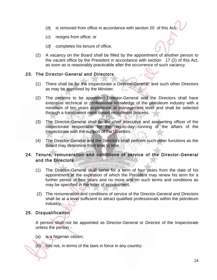- (b) is removed from office in accordance with section 20 of this Act;
- (c) resigns from office; or
- (d) completes his tenure of office.
- (2) A vacancy on the Board shall be filled by the appointment of another person to the vacant office by the President in accordance with section 17 (2) of this Act, as soon as is reasonably practicable after the occurrence of such vacancy.

#### 23. The Director-General and Directors

- (1) There shall be for the Inspectorate a Director-General; and such other Directors as may be approved by the Minister.
- (2) The persons to be appointed Director-General and the Directors shall have extensive technical or professional knowledge of the petroleum industry with a minimum of ten years experience at management level and shall be selected through a transparent merit-based recruitment process.
- (3) The Director-General shall be the chief executive and accounting officer of the Inspectorate responsible for the day-to-day running of the affairs of the Inspectorate with the support of the Directors.
- (4) The Director-General and the Directors shall perform such other functions as the Board may determine from time to time.

#### 24. Tenure, remuneration and conditions of service of the Director-General and the Directors

**VILLE AXIATE NOW** 

- (1) The Director-General shall serve for a term of four years from the date of his appointment at the expiration of which the President may renew his term for a further period of four years and no more and on such terms and conditions as may be specified in the letter of appointment.
- (2) The remuneration and conditions of service of the Director-General and Directors shall be at a level sufficient to attract qualified professionals within the petroleum industry.

#### 25. Disqualification

A person shall not be appointed as Director-General or Director of the Inspectorate unless the person -

(a) is a Nigerian citizen;

(b) has not, in terms of the laws in force in any country: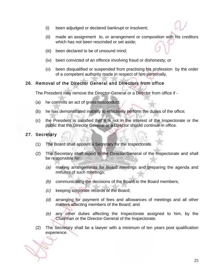- (i) been adjudged or declared bankrupt or insolvent;
- (ii) made an assignment to, or arrangement or composition with his creditors which has not been rescinded or set aside;
- (iii) been declared to be of unsound mind;
- (iv) been convicted of an offence involving fraud or dishonesty; or
- (v) been disqualified or suspended from practising his profession by the order of a competent authority made in respect of him personally.

#### 26. Removal of the Director General and Directors from office

The President may remove the Director-General or a Director from office if -

- (a) he commits an act of gross misconduct;
- (b) he has demonstrated inability to effectively perform the duties of the office;
- (c) the President is satisfied that it is not in the interest of the Inspectorate or the public that the Director General or a Director should continue in office.

#### 27. Secretary

- (1) The Board shall appoint a Secretary for the Inspectorate.
- (2) The Secretary shall report to the Director-General of the Inspectorate and shall be responsible for:
	- (a) making arrangements for Board meetings and preparing the agenda and minutes of such meetings;
	- (b) communicating the decisions of the Board to the Board members;
	- (c) keeping corporate records of the Board;
	- (d) arranging for payment of fees and allowances of meetings and all other matters affecting members of the Board; and
	- (e) any other duties affecting the Inspectorate assigned to him, by the Chairman or the Director-General of the Inspectorate.
- (2) The Secretary shall be a lawyer with a minimum of ten years post qualification experience.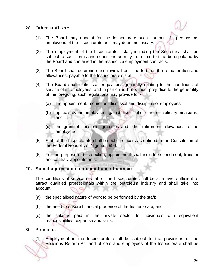#### 28. Other staff, etc

- (1) The Board may appoint for the Inspectorate such number of persons as employees of the Inspectorate as it may deem necessary.
- (2) The employment of the Inspectorate's staff, including the Secretary, shall be subject to such terms and conditions as may from time to time be stipulated by the Board and contained in the respective employment contracts.
- (3) The Board shall determine and review from time to time, the remuneration and allowances, payable to the Inspectorate's staff.
- (4) The Board shall make staff regulations generally relating to the conditions of service of its employees, and in particular, but without prejudice to the generality of the foregoing, such regulations may provide for -
	- (a) the appointment, promotion, dismissal and discipline of employees;
	- (b) appeals by the employees against dismissal or other disciplinary measures; and
	- (c) the grant of pensions, gratuities and other retirement allowances to the employees;
- (5) Staff of the Inspectorate shall be public officers as defined in the Constitution of the Federal Republic of Nigeria, 1999.
- (6) For the purpose of this section, appointment shall include secondment, transfer and contract appointments.

#### 29. Specific provisions on conditions of service

The conditions of service of staff of the Inspectorate shall be at a level sufficient to attract qualified professionals within the petroleum industry and shall take into account:

- (a) the specialised nature of work to be performed by the staff;
- (b) the need to ensure financial prudence of the Inspectorate; and
- (c) the salaries paid in the private sector to individuals with equivalent responsibilities, expertise and skills.

#### 30. Pensions

(1) Employment in the Inspectorate shall be subject to the provisions of the Pensions Reform Act and officers and employees of the Inspectorate shall be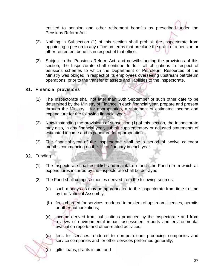entitled to pension and other retirement benefits as prescribed under the Pensions Reform Act.

- (2) Nothing in Subsection (1) of this section shall prohibit the Inspectorate from appointing a person to any office on terms that preclude the grant of a pension or other retirement benefits in respect of that office.
- (3) Subject to the Pensions Reform Act, and notwithstanding the provisions of this section, the Inspectorate shall continue to fulfil all obligations in respect of pensions schemes to which the Department of Petroleum Resources of the Ministry was obliged in respect of its employees overseeing upstream petroleum operations, prior to the transfer of assets and liabilities to the Inspectorate.

#### 31. Financial provisions

- (1) The Inspectorate shall not later than 30th September or such other date to be determined by the Ministry of Finance in each financial year, prepare and present through the Ministry for appropriation, a statement of estimated income and expenditure for the following financial year.
- (2) Notwithstanding the provisions of subsection (1) of this section, the Inspectorate may also, in any financial year, submit supplementary or adjusted statements of estimated income and expenditure for appropriation.
- (3) The financial year of the Inspectorate shall be a period of twelve calendar months commencing on the 1st of January in each year.

32. Funding

- (1) The Inspectorate shall establish and maintain a fund ('the Fund') from which all expenditures incurred by the Inspectorate shall be defrayed.
- (2) The Fund shall comprise monies derived from the following sources:
	- (a) such moneys as may be appropriated to the Inspectorate from time to time by the National Assembly;
	- (b) fees charged for services rendered to holders of upstream licences, permits or other authorizations;
	- (c) income derived from publications produced by the Inspectorate and from reviews of environmental impact assessment reports and environmental evaluation reports and other related activities;
	- (d) fees for services rendered to non-petroleum producing companies and service companies and for other services performed generally;

(e) gifts, loans, grants in aid; and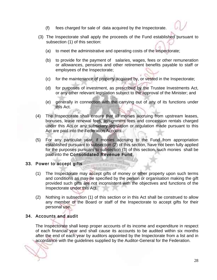- (f) fees charged for sale of data acquired by the Inspectorate.
- (3) The Inspectorate shall apply the proceeds of the Fund established pursuant to subsection (1) of this section:
	- (a) to meet the administrative and operating costs of the Inspectorate;
	- (b) to provide for the payment of salaries, wages, fees or other remuneration or allowances, pensions and other retirement benefits payable to staff or employees of the Inspectorate;
	- (c) for the maintenance of property acquired by, or vested in the Inspectorate;
	- (d) for purposes of investment, as prescribed by the Trustee Investments Act, or any other relevant legislation subject to the approval of the Minister; and
	- (e) generally in connection with the carrying out of any of its functions under this Act.
- (4) The Inspectorate shall ensure that all monies accruing from upstream leases, bonuses, lease renewal fees, assignment fees and concession rentals charged under this Act or any subsidiary legislation or regulation made pursuant to this Act are paid into the Federation Account .
- (5) For any particular year, if monies accruing to the Fund from appropriation established pursuant to subsection (2) of this section, have not been fully applied for the purposes pursuant to subsection (3) of this section, such monies shall be paid into the Consolidated Revenue Fund.

#### 33. Power to accept gifts

(1) The Inspectorate may accept gifts of money or other property upon such terms and conditions as may be specified by the person or organisation making the gift provided such gifts are not inconsistent with the objectives and functions of the Inspectorate under this Act.

(1)第四米(4)21900

(2) Nothing in subsection (1) of this section or in this Act shall be construed to allow any member of the Board or staff of the Inspectorate to accept gifts for their personal use.

#### 34. Accounts and audit

The Inspectorate shall keep proper accounts of its income and expenditure in respect of each financial year and shall cause its accounts to be audited within six months after the end of each year by auditors appointed by the Inspectorate from a list and in accordance with the guidelines supplied by the Auditor-General for the Federation.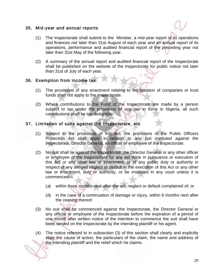#### 35. Mid-year and annual reports

- (1) The Inspectorate shall submit to the Minister, a mid-year report of its operations and finances not later than 31st August of each year and an annual report of its operations, performance and audited financial report of the preceding year not later than 31st May of the following year.
- (2) A summary of the annual report and audited financial report of the Inspectorate shall be published on the website of the Inspectorate for public notice not later than 31st of July of each year.

#### 36. Exemption from income tax

- (1) The provisions of any enactment relating to the taxation of companies or trust funds shall not apply to the Inspectorate.
- (2) Where contributions to the Fund of the Inspectorate are made by a person subject to tax under the provisions of any law in force in Nigeria, all such contributions shall be tax deductible.

#### 37. Limitation of suits against the Inspectorate, etc

- (1) Subject to the provisions of this Act, the provisions of the Public Officers Protection Act shall apply in relation to any suit instituted against the Inspectorate, Director General, an officer or employee of the Inspectorate.
- (2) No suit shall lie against the Inspectorate, the Director General or any other officer or employee of the Inspectorate for any act done in pursuance or execution of this Act or any other law or enactment, or of any public duty or authority in respect of any alleged neglect or default in the execution of this Act or any other law or enactment, duty or authority, or be instituted in any court unless it is commenced—
	- (a) within three months next after the act, neglect or default complained of; or
	- $(b)$  in the case of a continuation of damage or injury, within 6 months next after the ceasing thereof.
- (3) No suit shall be commenced against the Inspectorate, the Director General or any official or employee of the Inspectorate before the expiration of a period of one month after written notice of the intention to commence the suit shall have been served on the Inspectorate by the intending plaintiff or his agent.
- (4) The notice referred to in subsection (3) of this section shall clearly and explicitly state the cause of action, the particulars of the claim, the name and address of the intending plaintiff and the relief which he claims.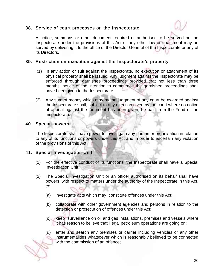#### 38. Service of court processes on the Inspectorate



 A notice, summons or other document required or authorised to be served on the Inspectorate under the provisions of this Act or any other law or enactment may be served by delivering it to the office of the Director General of the Inspectorate or any of its Directors.

#### 39. Restriction on execution against the Inspectorate's property

- (1) In any action or suit against the Inspectorate, no execution or attachment of its physical property shall be issued. Any judgment against the Inspectorate may be enforced through garnishee proceedings provided that not less than three months' notice of the intention to commence the garnishee proceedings shall have been given to the Inspectorate.
- (2) Any sum of money which may by the judgment of any court be awarded against the Inspectorate shall, subject to any direction given by the court where no notice of appeal against the judgment has been given, be paid from the Fund of the Inspectorate.

#### 40. Special powers

The Inspectorate shall have power to investigate any person or organisation in relation to any of its functions or powers under this Act and in order to ascertain any violation of the provisions of this Act.

#### 41. Special Investigation Unit

- (1) For the effective conduct of its functions, the Inspectorate shall have a Special Investigation Unit.
- (2) The Special Investigation Unit or an officer authorised on its behalf shall have powers, with respect to matters under the authority of the Inspectorate in this Act, to:
	- (a) investigate acts which may constitute offences under this Act;
	- (b) collaborate with other government agencies and persons in relation to the detection or prosecution of offences under this Act;
	- (c) keep surveillance on oil and gas installations, premises and vessels where it has reason to believe that illegal petroleum operations are going on;
	- (d) enter and search any premises or carrier including vehicles or any other instrumentalities whatsoever which is reasonably believed to be connected with the commission of an offence;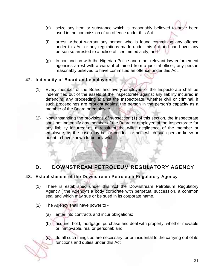- (e) seize any item or substance which is reasonably believed to have been used in the commission of an offence under this Act.
- (f) arrest without warrant any person who is found committing any offence under this Act or any regulations made under this Act and hand over any person so arrested to a police officer immediately; and
- (g) In conjunction with the Nigerian Police and other relevant law enforcement agencies arrest with a warrant obtained from a judicial officer, any person reasonably believed to have committed an offence under this Act;

#### 42. Indemnity of Board and employees

- (1) Every member of the Board and every employee of the Inspectorate shall be indemnified out of the assets of the Inspectorate against any liability incurred in defending any proceeding against the Inspectorate, whether civil or criminal, if such proceedings are brought against the person in the person's capacity as a member of the Board or employee.
- (2) Notwithstanding the provisions of subsection (1) of this section, the Inspectorate shall not indemnify any member of the Board or employee of the Inspectorate for any liability incurred as a result of the wilful negligence of the member or employee, as the case may be, or conduct or acts which such person knew or ought to have known to be unlawful.

# D. DOWNSTREAM PETROLEUM REGULATORY AGENCY

#### 43. Establishment of the Downstream Petroleum Regulatory Agency

- (1) There is established under this Act the Downstream Petroleum Regulatory Agency ("the Agency") a body corporate with perpetual succession, a common seal and which may sue or be sued in its corporate name.
- (2) The Agency shall have power to
	- (a) enter into contracts and incur obligations;
	- (b) acquire, hold, mortgage, purchase and deal with property, whether movable or immovable, real or personal; and
	- (c) do all such things as are necessary for or incidental to the carrying out of its functions and duties under this Act.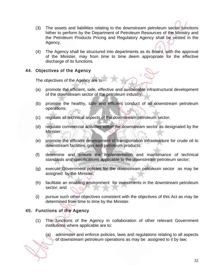- (3) The assets and liabilities relating to the downstream petroleum sector functions hither to perform by the Department of Petroleum Resources of the Ministry and the Petroleum Products Pricing and Regulatory Agency shall be vested in the Agency.
- (4) The Agency shall be structured into departments as its Board, with the approval of the Minister, may from time to time deem appropriate for the effective discharge of its functions.

#### 44. Objectives of the Agency

The objectives of the Agency are to -

- (a) promote the efficient, safe, effective and sustainable infrastructural development of the downstream sector of the petroleum industry;
- (b) promote the healthy, safe and efficient conduct of all downstream petroleum operations;
- (c) regulate all technical aspects of the downstream petroleum sector;
- (d) regulate commercial activities within the downstream sector as designated by the Minister;
- (e) promote the efficient development of transportation infrastructure for crude oil to downstream facilities, gas and petroleum products;
- (f) determine and ensure the implementation and maintenance of technical standards and specifications applicable to the downstream petroleum sector;
- (g) execute Government policies for the downstream petroleum sector as may be assigned by the Minister;
- (h) facilitate an enabling environment for investments in the downstream petroleum sector; and
- (i) pursue such other objectives consistent with the objectives of this Act as may be determined from time to time by the Minister.

#### 45. Functions of the Agency

- (1) The functions of the Agency in collaboration of other relevant Government institutions where applicable are to:
	- (a) administer and enforce policies, laws and regulations relating to all aspects of downstream petroleum operations as may be assigned to it by law;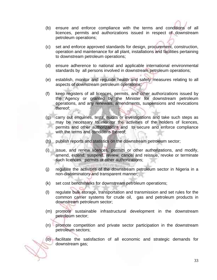- (b) ensure and enforce compliance with the terms and conditions of all licences, permits and authorizations issued in respect of downstream petroleum operations;
- (c) set and enforce approved standards for design, procurement, construction, operation and maintenance for all plant, installations and facilities pertaining to downstream petroleum operations;
- (d) ensure adherence to national and applicable international environmental standards by all persons involved in downstream petroleum operations;
- (e) establish, monitor and regulate health and safety measures relating to all aspects of downstream petroleum operations;
- (f) keep registers of all licences, permits, and other authorizations issued by the Agency or granted by the Minister for downstream petroleum operations, and any renewals, amendments, suspensions and revocations thereof;
- (g) carry out enquiries, tests, audits or investigations and take such steps as may be necessary to monitor the activities of the holders of licences, permits and other authorizations and to secure and enforce compliance with the terms and conditions thereof;
- (h) publish reports and statistics on the downstream petroleum sector;
- (i) issue, and renew licences, permits or other authorizations, and modify, amend, extend, suspend, review, cancel and reissue, revoke or terminate such licences, permits or other authorizations;
- (j) regulate the activities of the downstream petroleum sector in Nigeria in a non-discriminatory and transparent manner;
- (k) set cost benchmarks for downstream petroleum operations;
- (l) regulate bulk storage, transportation and transmission and set rules for the common carrier systems for crude oil, gas and petroleum products in downstream petroleum sector;
- (m) promote sustainable infrastructural development in the downstream petroleum sector;
- (n) promote competition and private sector participation in the downstream petroleum sectors;
- (o) facilitate the satisfaction of all economic and strategic demands for downstream gas;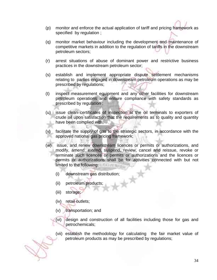- (p) monitor and enforce the actual application of tariff and pricing framework as specified by regulation ;
- (q) monitor market behaviour including the development and maintenance of competitive markets in addition to the regulation of tariffs in the downstream petroleum sectors;
- (r) arrest situations of abuse of dominant power and restrictive business practices in the downstream petroleum sector;
- (s) establish and implement appropriate dispute settlement mechanisms relating to parties engaged in downstream petroleum operations as may be prescribed by regulations;
- (t) inspect measurement equipment and any other facilities for downstream petroleum operations and ensure compliance with safety standards as prescribed by regulation ;
- (u) issue clean certificates of inspection at the oil terminals to exporters of crude oil upon satisfaction that the requirements as to quality and quantity have been complied with;
- (v) facilitate the supply of gas to the strategic sectors, in accordance with the approved national gas pricing framework;
- (w) issue, and renew downstream licences or permits or authorizations, and modify, amend, extend, suspend, review, cancel and reissue, revoke or terminate such licences or permits or authorizations and the licences or permits or authorizations shall be for activities connected with but not limited to the following:
	- (i) downstream gas distribution;<br>(ii) petroleum products
	- (ii) petroleum products;
	- (iii) storage;
	- (iv) retail outlets;
	- (v) transportation; and
	- (vi) design and construction of all facilities including those for gas and petrochemicals;
	- (vii) establish the methodology for calculating the fair market value of petroleum products as may be prescribed by regulations;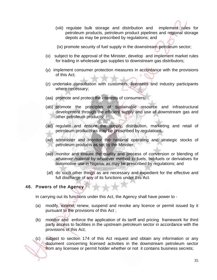- (viii) regulate bulk storage and distribution and implement rules for petroleum products, petroleum product pipelines and regional storage depots as may be prescribed by regulations; and
- (ix) promote security of fuel supply in the downstream petroleum sector;
- (x) subject to the approval of the Minister, develop and implement market rules for trading in wholesale gas supplies to downstream gas distributors;
- (y) implement consumer protection measures in accordance with the provisions of this Act;
- (z) undertake consultation with customers, licensees and industry participants where necessary;
- (aa) promote and protect the interests of consumers;
- (ab) promote the principles of sustainable resource and infrastructural development through the efficient supply and use of downstream gas and other petroleum products;
- (ac) regulate and ensure the supply, distribution, marketing and retail of petroleum products as may be prescribed by regulations;
- (ad) administer and monitor the national operating and strategic stocks of petroleum products as set by the Minister;
- (ae) monitor and ensure the quality and process of conversion or blending of whatever material by whatever method to fuels, bio-fuels or derivatives for automotive use in Nigeria; as may be prescribed by regulations; and
- (af) do such other things as are necessary and expedient for the effective and full discharge of any of its functions under this Act.

#### 46. Powers of the Agency

In carrying out its functions under this Act, the Agency shall have power to -

- (a) modify, extend, renew, suspend and revoke any licence or permit issued by it pursuant to the provisions of this Act ;
- (b) monitor and enforce the application of its tariff and pricing framework for third party access to facilities in the upstream petroleum sector in accordance with the provisions of this Act;
- (c) subject to section 174 of this Act request and obtain any information or any document concerning licensed activities in the downstream petroleum sector from any licensee or permit holder whether or not it contains business secrets;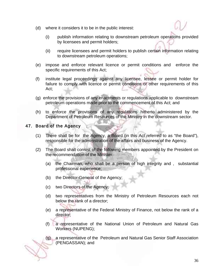- (d) where it considers it to be in the public interest:
	- (i) publish information relating to downstream petroleum operations provided by licensees and permit holders;
	- (ii) require licensees and permit holders to publish certain information relating to downstream petroleum operations;
- (e) impose and enforce relevant licence or permit conditions and enforce the specific requirements of this Act;
- (f) institute legal proceedings against any licensee, lessee or permit holder for failure to comply with licence or permit conditions or other requirements of this Act;
- (g) enforce the provisions of any enactments or regulations applicable to downstream petroleum operations made prior to the commencement of this Act; and
- (h) to enforce the provisions of any regulations hitherto administered by the Department of Petroleum Resources of the Ministry in the downstream sector.

#### 47. Board of the Agency

- (1) There shall be for the Agency, a Board (in this Act referred to as "the Board"), responsible for the administration of the affairs and business of the Agency.
- (2) The Board shall consist of the following members appointed by the President on the recommendation of the Minister:
	- (a) the Chairman, who shall be a person of high integrity and , substantial professional experience;
	- (b) the Director-General of the Agency;
	- (c) two Directors of the Agency;
	- (d) two representatives from the Ministry of Petroleum Resources each not below the rank of a director;
	- (e) a representative of the Federal Ministry of Finance, not below the rank of a director;
	- (f) a representative of the National Union of Petroleum and Natural Gas Workers (NUPENG);
	- (g) a representative of the Petroleum and Natural Gas Senior Staff Association (PENGASSAN); and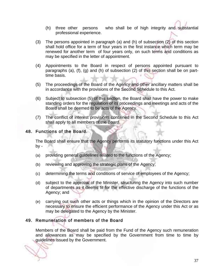- (h) three other persons who shall be of high integrity and substantial professional experience.
- (3) The persons appointed in paragraph (a) and (h) of subsection (2) of this section shall hold office for a term of four years in the first instance which term may be renewed for another term of four years only, on such terms and conditions as may be specified in the letter of appointment.
- (4) Appointments to the Board in respect of persons appointed pursuant to paragraphs (a), (f), (g) and (h) of subsection (2) of this section shall be on parttime basis.
- (5) The proceedings of the Board of the Agency and other ancillary matters shall be in accordance with the provisions of the Second Schedule to this Act.
- (6) Subject to subsection (5) of this section, the Board shall have the power to make standing orders for the regulation of its proceedings and meetings and acts of the Board shall be deemed to be acts of the Agency.
- (7) The conflict of interest provisions contained in the Second Schedule to this Act shall apply to all members of the Board.

#### 48. Functions of the Board.

The Board shall ensure that the Agency performs its statutory functions under this Act by -

- (a) providing general guidelines related to the functions of the Agency;
- (b) reviewing and approving the strategic plans of the Agency;
- (c) determining the terms and conditions of service of employees of the Agency;
- (d) subject to the approval of the Minister, structuring the Agency into such number of departments as it deems fit for the effective discharge of the functions of the Agency; and
- (e) carrying out such other acts or things which in the opinion of the Directors are necessary to ensure the efficient performance of the Agency under this Act or as may be delegated to the Agency by the Minister.

## 49. Remuneration of members of the Board

Members of the Board shall be paid from the Fund of the Agency such remuneration and allowances as may be specified by the Government from time to time by guidelines issued by the Government.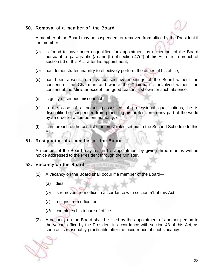#### 50. Removal of a member of the Board

A member of the Board may be suspended, or removed from office by the President if the member -

- (a) is found to have been unqualified for appointment as a member of the Board pursuant to paragraphs (a) and (h) of section 47(2) of this Act or is in breach of section 56 of this Act after his appointment;
- (b) has demonstrated inability to effectively perform the duties of his office;
- (c) has been absent from five consecutive meetings of the Board without the consent of the Chairman and where the Chairman is involved without the consent of the Minister except for good reason is shown for such absence;
- (d) is guilty of serious misconduct ;
- (e) in the case of a person possessed of professional qualifications, he is disqualified or suspended from practicing his profession in any part of the world by an order of a competent authority; or
- (f) is in breach of the conflict of interest rules set out in the Second Schedule to this Act.

#### 51. Resignation of a member of the Board

A member of the Board may resign his appointment by giving three months written notice addressed to the President through the Minister.

#### 52. Vacancy on the Board

(1) A vacancy on the Board shall occur if a member of the Board—

**WILL WAXTER** 

- (a) dies;
- (b) is removed from office in accordance with section 51 of this Act;
- (c) resigns from office; or
- (d) completes his tenure of office.
- (2) A vacancy on the Board shall be filled by the appointment of another person to the vacant office by the President in accordance with section 48 of this Act, as soon as is reasonably practicable after the occurrence of such vacancy.

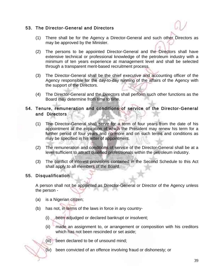#### 53. The Director-General and Directors

- (1) There shall be for the Agency a Director-General and such other Directors as may be approved by the Minister.
- (2) The persons to be appointed Director-General and the Directors shall have extensive technical or professional knowledge of the petroleum industry with a minimum of ten years experience at management level and shall be selected through a transparent merit-based recruitment process.
- (3) The Director-General shall be the chief executive and accounting officer of the Agency responsible for the day-to-day running of the affairs of the Agency with the support of the Directors.
- (4) The Director-General and the Directors shall perform such other functions as the Board may determine from time to time.

## 54. Tenure, remuneration and conditions of service of the Director-General and Directors

- (1) The Director-General shall serve for a term of four years from the date of his appointment at the expiration of which the President may renew his term for a further period of four years and no more and on such terms and conditions as may be specified in his letter of appointment.
- (2) The remuneration and conditions of service of the Director-General shall be at a level sufficient to attract qualified professionals within the petroleum industry.
- (3) The conflict of interest provisions contained in the Second Schedule to this Act shall apply to all members of the Board.

#### 55. Disqualification

A person shall not be appointed as Director-General or Director of the Agency unless the person -

- (a) is a Nigerian citizen;
- (b) has not, in terms of the laws in force in any country-
	- (i) been adjudged or declared bankrupt or insolvent;
	- (ii) made an assignment to, or arrangement or composition with his creditors which has not been rescinded or set aside;
	- (iii) been declared to be of unsound mind;
	- (iv) been convicted of an offence involving fraud or dishonesty; or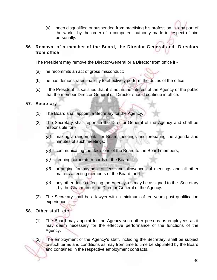(v) been disqualified or suspended from practising his profession in any part of the world by the order of a competent authority made in respect of him personally.

## 56. Removal of a member of the Board, the Director General and Directors from office

The President may remove the Director-General or a Director from office if -

- (a) he recommits an act of gross misconduct;
- (b) he has demonstrated inability to effectively perform the duties of the office;
- (c) if the President is satisfied that it is not in the interest of the Agency or the public that the member Director General or Director should continue in office.

#### 57. Secretary

- (1) The Board shall appoint a Secretary for the Agency.
- (2) The Secretary shall report to the Director-General of the Agency and shall be responsible for -
	- (a) making arrangements for Board meetings and preparing the agenda and minutes of such meetings;
	- (b) communicating the decisions of the Board to the Board members;
	- (c) keeping corporate records of the Board;
	- (d) arranging for payment of fees and allowances of meetings and all other matters affecting members of the Board; and
	- (e) any other duties affecting the Agency as may be assigned to the Secretary , by the Chairman or the Director-General of the Agency.
- (2) The Secretary shall be a lawyer with a minimum of ten years post qualification experience.

## 58. Other staff, etc

(1) The Board may appoint for the Agency such other persons as employees as it may deem necessary for the effective performance of the functions of the Agency.

(2) The employment of the Agency's staff, including the Secretary, shall be subject to such terms and conditions as may from time to time be stipulated by the Board and contained in the respective employment contracts.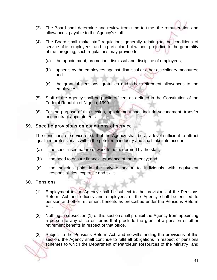- (3) The Board shall determine and review from time to time, the remuneration and allowances, payable to the Agency's staff.
- (4) The Board shall make staff regulations generally relating to the conditions of service of its employees, and in particular, but without prejudice to the generality of the foregoing, such regulations may provide for -
	- (a) the appointment, promotion, dismissal and discipline of employees;
	- (b) appeals by the employees against dismissal or other disciplinary measures; and
	- (c) the grant of pensions, gratuities and other retirement allowances to the employees.
- (5) Staff of the Agency shall be public officers as defined in the Constitution of the Federal Republic of Nigeria, 1999.
- (6) For the purpose of this section, appointment shall include secondment, transfer and contract appointments.

#### 59. Specific provisions on conditions of service

The conditions of service of staff of the Agency shall be at a level sufficient to attract qualified professionals within the petroleum industry and shall take into account -

- (a) the specialised nature of work to be performed by the staff;
- (b) the need to ensure financial prudence of the Agency; and
- (c) the salaries paid in the private sector to individuals with equivalent responsibilities, expertise and skills.

#### 60. Pensions

- (1) Employment in the Agency shall be subject to the provisions of the Pensions Reform Act and officers and employees of the Agency shall be entitled to pension and other retirement benefits as prescribed under the Pensions Reform Act.
- (2) Nothing in subsection (1) of this section shall prohibit the Agency from appointing a person to any office on terms that preclude the grant of a pension or other retirement benefits in respect of that office.
- (3) Subject to the Pensions Reform Act, and notwithstanding the provisions of this section, the Agency shall continue to fulfil all obligations in respect of pensions schemes to which the Department of Petroleum Resources of the Ministry and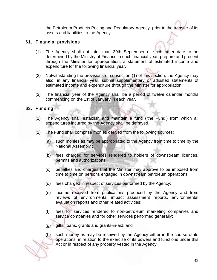the Petroleum Products Pricing and Regulatory Agency prior to the transfer of its assets and liabilities to the Agency.

## 61. Financial provisions

- (1) The Agency shall not later than 30th September or such other date to be determined by the Ministry of Finance in each financial year, prepare and present through the Minister for appropriation, a statement of estimated income and expenditure for the following financial year.
- (2) Notwithstanding the provisions of subsection (1) of this section, the Agency may also, in any financial year, submit supplementary or adjusted statements of estimated income and expenditure through the Minister for appropriation.
- (3) The financial year of the Agency shall be a period of twelve calendar months commencing on the 1st of January in each year.

#### 62. Funding

- (1) The Agency shall establish and maintain a fund ('the Fund') from which all expenditures incurred by the Agency shall be defrayed..
- (2) The Fund shall comprise monies derived from the following sources:
	- (a) such monies as may be appropriated to the Agency from time to time by the National Assembly ;
	- (b) fees charged for services rendered to holders of downstream licences, permits and authorizations;
	- (c) penalties and charges that the Minister may approve to be imposed from time to time on persons engaged in downstream petroleum operations;
	- (d) fees charged in respect of services performed by the Agency;
	- (e) income received from publications produced by the Agency and from reviews of environmental impact assessment reports, environmental evaluation reports and other related activities;
	- (f) fees for services rendered to non-petroleum marketing companies and service companies and for other services performed generally;
	- $(g)$  gifts, loans, grants and grants-in-aid; and
	- (h) such money as may be received by the Agency either in the course of its operations, in relation to the exercise of its powers and functions under this Act or in respect of any property vested in the Agency.

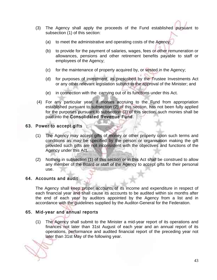- (3) The Agency shall apply the proceeds of the Fund established pursuant to subsection (1) of this section:
	- (a) to meet the administrative and operating costs of the Agency;
	- (b) to provide for the payment of salaries, wages, fees or other remuneration or allowances, pensions and other retirement benefits payable to staff or employees of the Agency;
	- (c) for the maintenance of property acquired by, or vested in the Agency;
	- (d) for purposes of investment, as prescribed by the Trustee Investments Act or any other relevant legislation subject to the approval of the Minister; and
	- (e) in connection with the carrying out of its functions under this Act.
- (4) For any particular year, if monies accruing to the Fund from appropriation established pursuant to subsection (2) of this section, has not been fully applied for the purposes pursuant to subsection (3) of this section, such monies shall be paid into the Consolidated Revenue Fund.

#### 63. Power to accept gifts

- (1) The Agency may accept gifts of money or other property upon such terms and conditions as may be specified by the person or organisation making the gift provided such gifts are not inconsistent with the objectives and functions of the Agency under this Act.
- (2) Nothing in subsection (1) of this section or in this Act shall be construed to allow any member of the Board or staff of the Agency to accept gifts for their personal use.

#### 64. Accounts and audit

The Agency shall keep proper accounts of its income and expenditure in respect of each financial year and shall cause its accounts to be audited within six months after the end of each year by auditors appointed by the Agency from a list and in accordance with the guidelines supplied by the Auditor-General for the Federation.

#### 65. Mid-year and annual reports

(1) The Agency shall submit to the Minister a mid-year report of its operations and finances not later than 31st August of each year and an annual report of its operations, performance and audited financial report of the preceding year not later than 31st May of the following year.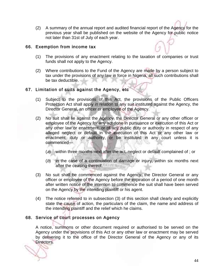(2) A summary of the annual report and audited financial report of the Agency for the previous year shall be published on the website of the Agency for public notice not later than 31st of July of each year.

#### 66. Exemption from income tax

- (1) The provisions of any enactment relating to the taxation of companies or trust funds shall not apply to the Agency.
- (2) Where contributions to the Fund of the Agency are made by a person subject to tax under the provisions of any law in force in Nigeria, all such contributions shall be tax deductible.

#### 67. Limitation of suits against the Agency, etc

- (1) Subject to the provisions of this Act, the provisions of the Public Officers Protection Act shall apply in relation to any suit instituted against the Agency, the Director General, an officer or employee of the Agency.
- (2) No suit shall lie against the Agency, the Director General or any other officer or employee of the Agency for any act done in pursuance or execution of this Act or any other law or enactment, or of any public duty or authority in respect of any alleged neglect or default in the execution of this Act or any other law or enactment, duty or authority, or be instituted in any court unless it is commenced—
	- (a) within three months next after the act, neglect or default complained of ; or
	- (b) in the case of a continuation of damage or injury, within six months next after the ceasing thereof.
- (3) No suit shall be commenced against the Agency, the Director General or any officer or employee of the Agency before the expiration of a period of one month after written notice of the intention to commence the suit shall have been served on the Agency by the intending plaintiff or his agent.
- (4) The notice referred to in subsection (3) of this section shall clearly and explicitly state the cause of action, the particulars of the claim, the name and address of the intending plaintiff and the relief which he claims.

## 68. Service of court processes on Agency

A notice, summons or other document required or authorised to be served on the Agency under the provisions of this Act or any other law or enactment may be served by delivering it to the office of the Director General of the Agency or any of its Directors.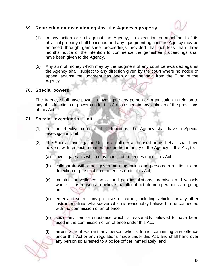#### 69. Restriction on execution against the Agency's property



- (1) In any action or suit against the Agency, no execution or attachment of its physical property shall be issued and any judgment against the Agency may be enforced through garnishee proceedings provided that not less than three months notice of the intention to commence the garnishee proceedings shall have been given to the Agency.
- (2) Any sum of money which may by the judgment of any court be awarded against the Agency shall, subject to any direction given by the court where no notice of appeal against the judgment has been given, be paid from the Fund of the Agency.

#### 70. Special powers

The Agency shall have power to investigate any person or organisation in relation to any of its functions or powers under this Act to ascertain any violation of the provisions of this Act.

#### 71. Special Investigation Unit

- (1) For the effective conduct of its functions, the Agency shall have a Special Investigation Unit.
- (2) The Special Investigation Unit or an officer authorised on its behalf shall have powers, with respect to matters under the authority of the Agency in this Act, to:
	- (a) investigate acts which may constitute offences under this Act;
	- (b) collaborate with other government agencies and persons in relation to the detection or prosecution of offences under this Act;
	- (c) maintain surveillance on oil and gas installations, premises and vessels where it has reasons to believe that illegal petroleum operations are going on;
	- (d) enter and search any premises or carrier, including vehicles or any other instrumentalities whatsoever which is reasonably believed to be connected with the commission of an offence;
	- (e) seize any item or substance which is reasonably believed to have been used in the commission of an offence under this Act.
	- (f) arrest without warrant any person who is found committing any offence under this Act or any regulations made under this Act, and shall hand over any person so arrested to a police officer immediately; and

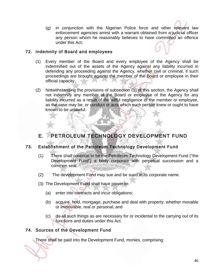(g) in conjunction with the Nigerian Police force and other relevant law enforcement agencies arrest with a warrant obtained from a judicial officer any person whom he reasonably believes to have committed an offence under this Act;

#### 72. Indemnity of Board and employees

- (1) Every member of the Board and every employee of the Agency shall be indemnified out of the assets of the Agency against any liability incurred in defending any proceeding against the Agency, whether civil or criminal, if such proceedings are brought against the member of the Board or employee in their official capacity.
- (2) Notwithstanding the provisions of subsection (1) of this section, the Agency shall not indemnify any member of the Board or employee of the Agency for any liability incurred as a result of the wilful negligence of the member or employee, as the case may be, or conduct or acts which such person knew or ought to have known to be unlawful.

## E. PETROLEUM TECHNOLOGY DEVELOPMENT FUND

## 73. Establishment of the Petroleum Technology Development Fund

- (1) There shall continue to be the Petroleum Technology Development Fund ("the Development Fund") a body corporate with perpetual succession and a common seal. A VALLEY FOR LIST NOTE
- (2) The development Fund may sue and be sued in its corporate name.
- (3) The Development Fund shall have power to-
	- (a) enter into contracts and incur obligations;
	- (b) acquire, hold, mortgage, purchase and deal with property, whether movable or immovable, real or personal; and
	- (c) do all such things as are necessary for or incidental to the carrying out of its functions and duties under this Act.

## 74. Sources of the Development Fund

There shall be paid into the Development Fund, monies, comprising: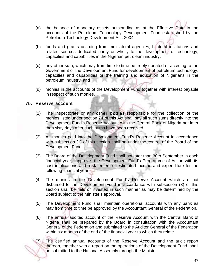- (a) the balance of monetary assets outstanding as at the Effective Date in the accounts of the Petroleum Technology Development Fund established by the Petroleum Technology Development Act, 2004;
- (b) funds and grants accruing from multilateral agencies, bilateral institutions and related sources dedicated partly or wholly to the development of technology, capacities and capabilities in the Nigerian petroleum industry;
- (c) any other sum, which may from time to time be freely donated or accruing to the Government or the Development Fund for development of petroleum technology, capacities and capabilities or the training and education of Nigerians in the petroleum industry; and
- (d) monies in the accounts of the Development Fund together with interest payable in respect of such monies.

#### 75. Reserve account

- (1) The Inspectorate or any other bodies responsible for the collection of the monies listed under section 74 of this Act shall pay all such sums directly into the Development Fund's Reserve Account with the Central Bank of Nigeria not later than sixty days after such sums have been received.
- (2) All monies paid into the Development Fund's Reserve Account in accordance with subsection (1) of this section shall be under the control of the Board of the Development Fund.
- (3) The Board of the Development Fund shall not later than 30th September in each financial year, approve the Development Fund's Programme of Action with its cost implications and a statement of estimated income and expenditure for the following financial year.
- (4) The monies in the Development Fund's Reserve Account which are not disbursed to the Development Fund in accordance with subsection (3) of this section shall be held or invested in such manner as may be determined by the Board subject to the Minister's approval.
- (5) The Development Fund shall maintain operational accounts with any bank as may from time to time be approved by the Accountant General of the Federation.
- (6) The annual audited account of the Reserve Account with the Central Bank of Nigeria shall be prepared by the Board in consultation with the Accountant General of the Federation and submitted to the Auditor General of the Federation within six months of the end of the financial year to which they relate.

The certified annual accounts of the Reserve Account and the audit report thereon, together with a report on the operations of the Development Fund, shall be submitted to the National Assembly through the Minister.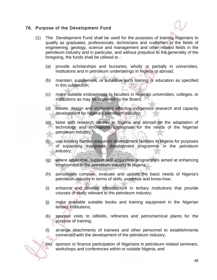#### 76. Purpose of the Development Fund



- (1) The Development Fund shall be used for the purposes of training Nigerians to qualify as graduates, professionals, technicians and craftsmen in the fields of engineering, geology, science and management and other related fields in the petroleum industry and in particular, and without prejudice to the generality of the foregoing, the funds shall be utilised to -
	- (a) provide scholarships and bursaries, wholly or partially in universities, institutions and in petroleum undertakings in Nigeria or abroad;
	- (b) maintain, supplement, or subsidise such training or education as specified in this subsection;
	- (c) make suitable endowments to faculties in Nigerian universities, colleges, or institutions as may be approved by the Board;
	- (d) initiate, design and implement effective indigenous research and capacity development for Nigeria's petroleum industry;
	- (e) liaise with research centres in Nigeria and abroad on the adaptation of technology and innovations appropriate for the needs of the Nigerian petroleum industry;
	- (f) use existing human resources development facilities in Nigeria for purposes of expanding manpower development programme in the petroleum industry;
	- (g) where applicable, support skill acquisition programmes aimed at enhancing employment in the petroleum industry in Nigeria;
	- (h) periodically compute, evaluate and update the basic needs of Nigeria's petroleum industry in terms of skills, expertise and know-how;
	- (i) enhance and develop infrastructure in tertiary institutions that provide courses of study relevant to the petroleum industry;
	- (j) make available suitable books and training equipment in the Nigerian tertiary institutions;
	- (k) sponsor visits to oilfields, refineries and petrochemical plants for the purpose of training;
	- (l) arrange attachments of trainees and other personnel to establishments connected with the development of the petroleum industry;

(m) sponsor or finance participation of Nigerians in petroleum related seminars, workshops and conferences within or outside Nigeria; and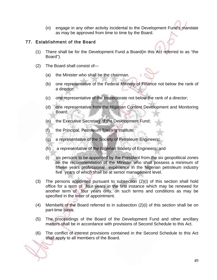(n) engage in any other activity incidental to the Development Fund's mandate as may be approved from time to time by the Board.

#### 77. Establishment of the Board

- (1) There shall be for the Development Fund a Board(in this Act referred to as "the Board").
- (2) The Board shall consist of—
	- (a) the Minister who shall be the chairman.
	- (b) one representative of the Federal Ministry of Finance not below the rank of a director;
	- (c) one representative of the Inspectorate not below the rank of a director;
	- (d) one representative from the Nigerian Content Development and Monitoring Board;
	- (e) the Executive Secretary of the Development Fund;
	- (f) the Principal, Petroleum Training Institute;
	- (g) a representative of the Society of Petroleum Engineers;
	- (h) a representative of the Nigerian Society of Engineers; and
	- (i) six persons to be appointed by the President from the six geopolitical zones on the recommendation of the Minister who shall possess a minimum of fifteen years professional experience in the Nigerian petroleum industry five years of which shall be at senior management level.
- (3) The persons appointed pursuant to subsection (2)(i) of this section shall hold office for a term of four years in the first instance which may be renewed for another term of four years only, on such terms and conditions as may be specified in the letter of appointment.
- (4) Members of the Board referred to in subsection (2)(i) of this section shall be on part-time basis.
- (5) The proceedings of the Board of the Development Fund and other ancillary matters shall be in accordance with provisions of Second Schedule to this Act.
- (6) The conflict of interest provisions contained in the Second Schedule to this Act shall apply to all members of the Board.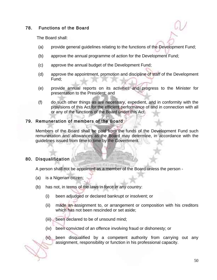#### 78. Functions of the Board

The Board shall:

- (a) provide general guidelines relating to the functions of the Development Fund;
- (b) approve the annual programme of action for the Development Fund;
- (c) approve the annual budget of the Development Fund;
- (d) approve the appointment, promotion and discipline of staff of the Development Fund;
- (e) provide annual reports on its activities and progress to the Minister for presentation to the President; and
- (f) do such other things as are necessary, expedient, and in conformity with the provisions of this Act for the efficient performance of and in connection with all or any of the functions of the Board under this Act.

## 79. Remuneration of members of the Board

Members of the Board shall be paid from the funds of the Development Fund such remuneration and allowances as the Board may determine, in accordance with the guidelines issued from time to time by the Government.

#### 80. Disqualification

A person shall not be appointed as a member of the Board unless the person -

- (a) is a Nigerian citizen;
- (b) has not, in terms of the laws in force in any country:
	- (i) been adjudged or declared bankrupt or insolvent; or
	- (ii) made an assignment to, or arrangement or composition with his creditors which has not been rescinded or set aside;
	- (iii) been declared to be of unsound mind;
	- (iv) been convicted of an offence involving fraud or dishonesty; or
	- (v) been disqualified by a competent authority from carrying out any assignment, responsibility or function in his professional capacity.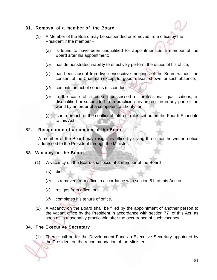## 81. Removal of a member of the Board

- (1) A Member of the Board may be suspended or removed from office by the President if the member –
	- (a) is found to have been unqualified for appointment as a member of the Board after his appointment;
	- (b) has demonstrated inability to effectively perform the duties of his office;
	- (c) has been absent from five consecutive meetings of the Board without the consent of the Chairman except for good reason shown for such absence;
	- (d) commits an act of serious misconduct;
	- (e) in the case of a person possessed of professional qualifications, is disqualified or suspended from practicing his profession in any part of the world by an order of a competent authority; or
	- $(f)$  is in a breach of the conflict of interest rules set out in the Fourth Schedule to this Act.

#### 82. Resignation of a member of the Board

A member of the Board may resign his office by giving three months written notice addressed to the President through the Minister.

#### 83. Vacancy on the Board

- (1) A vacancy on the Board shall occur if a member of the Board—
	- (a) dies;
	- (b) is removed from office in accordance with section 81 of this Act; or
	- (c) resigns from office; or
	- (d) completes his tenure of office.
- (2) A vacancy on the Board shall be filled by the appointment of another person to the vacant office by the President in accordance with section 77 of this Act, as soon as is reasonably practicable after the occurrence of such vacancy.

## 84. The Executive Secretary

(1) There shall be for the Development Fund an Executive Secretary appointed by the President on the recommendation of the Minister.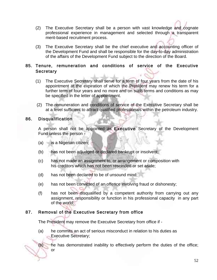- (2) The Executive Secretary shall be a person with vast knowledge and cognate professional experience in management and selected through a transparent merit-based recruitment process.
- (3) The Executive Secretary shall be the chief executive and accounting officer of the Development Fund and shall be responsible for the day-to-day administration of the affairs of the Development Fund subject to the direction of the Board.

#### 85. Tenure, remuneration and conditions of service of the Executive **Secretary**

- (1) The Executive Secretary shall serve for a term of four years from the date of his appointment at the expiration of which the President may renew his term for a further term of four years and no more and on such terms and conditions as may be specified in the letter of appointment.
- (2) The remuneration and conditions of service of the Executive Secretary shall be at a level sufficient to attract qualified professionals within the petroleum industry.

#### 86. Disqualification

or

 A person shall not be appointed as Executive Secretary of the Development Fund unless the person -

- (a) is a Nigerian citizen;
- (b) has not been adjudged or declared bankrupt or insolvent;
- (c) has not made an assignment to, or arrangement or composition with his creditors which has not been rescinded or set aside;
- (d) has not been declared to be of unsound mind;
- (e) has not been convicted of an offence involving fraud or dishonesty;
- (f) has not been disqualified by a competent authority from carrying out any assignment, responsibility or function in his professional capacity in any part of the world;

#### 87. Removal of the Executive Secretary from office

The President may remove the Executive Secretary from office if -

 (a) he commits an act of serious misconduct in relation to his duties as Executive Secretary;

(b) he has demonstrated inability to effectively perform the duties of the office;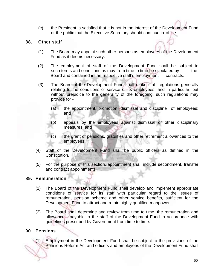(c) the President is satisfied that it is not in the interest of the Development Fund or the public that the Executive Secretary should continue in office.

#### 88. Other staff

- (1) The Board may appoint such other persons as employees of the Development Fund as it deems necessary.
- (2) The employment of staff of the Development Fund shall be subject to such terms and conditions as may from time to time be stipulated by the Board and contained in the respective staff's employment contracts.
- (3) The Board of the Development Fund shall make staff regulations generally relating to the conditions of service of its employees, and in particular, but without prejudice to the generality of the foregoing, such regulations may provide for -
	- (a) the appointment, promotion, dismissal and discipline of employees; and
	- (b) appeals by the employees against dismissal or other disciplinary measures; and
	- (c) the grant of pensions, gratuities and other retirement allowances to the employees;
- (4) Staff of the Development Fund shall be public officers as defined in the Constitution.
- (5) For the purpose of this section, appointment shall include secondment, transfer and contract appointments

## 89. Remuneration

- (1) The Board of the Development Fund shall develop and implement appropriate conditions of service for its staff with particular regard to the issues of remuneration, pension scheme and other service benefits, sufficient for the Development Fund to attract and retain highly qualified manpower.
- (2) The Board shall determine and review from time to time, the remuneration and allowances, payable to the staff of the Development Fund in accordance with guidelines prescribed by Government from time to time.

## 90. Pensions

(1) Employment in the Development Fund shall be subject to the provisions of the Pensions Reform Act and officers and employees of the Development Fund shall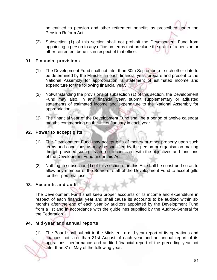be entitled to pension and other retirement benefits as prescribed under the Pension Reform Act.

(2) Subsection (1) of this section shall not prohibit the Development Fund from appointing a person to any office on terms that preclude the grant of a pension or other retirement benefits in respect of that office.

## 91. Financial provisions

- (1) The Development Fund shall not later than 30th September or such other date to be determined by the Minister in each financial year, prepare and present to the National Assembly for appropriation, a statement of estimated income and expenditure for the following financial year.
- (2) Notwithstanding the provisions of subsection (1) of this section, the Development Fund may also, in any financial year, submit supplementary or adjusted statements of estimated income and expenditure to the National Assembly for appropriation.
- (3) The financial year of the Development Fund shall be a period of twelve calendar months commencing on the 1st of January in each year.

#### 92. Power to accept gifts

- (1) The Development Fund may accept gifts of money or other property upon such terms and conditions as may be specified by the person or organisation making the gift provided such gifts are not inconsistent with the objectives and functions of the Development Fund under this Act.
- (2) Nothing in subsection (1) of this section or in this Act shall be construed so as to allow any member of the Board or staff of the Development Fund to accept gifts for their personal use.

#### 93. Accounts and audit

The Development Fund shall keep proper accounts of its income and expenditure in respect of each financial year and shall cause its accounts to be audited within six months after the end of each year by auditors appointed by the Development Fund from a list and in accordance with the guidelines supplied by the Auditor-General for the Federation.

## 94. Mid-year and annual reports

(1) The Board shall submit to the Minister a mid-year report of its operations and finances not later than 31st August of each year and an annual report of its operations, performance and audited financial report of the preceding year not later than 31st May of the following year.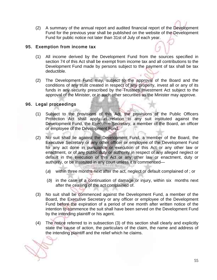(2) A summary of the annual report and audited financial report of the Development Fund for the previous year shall be published on the website of the Development Fund for public notice not later than 31st of July of each year.

## 95. Exemption from income tax

- (1) All income derived by the Development Fund from the sources specified in section 74 of this Act shall be exempt from income tax and all contributions to the Development Fund made by persons subject to the payment of tax shall be tax deductible.
- (2) The Development Fund may, subject to the approval of the Board and the conditions of any trust created in respect of any property, invest all or any of its funds in any security prescribed by the Trustees Investment Act subject to the approval of the Minister, or in such other securities as the Minister may approve.

## 96. Legal proceedings

- (1) Subject to the provisions of this Act, the provisions of the Public Officers Protection Act shall apply in relation to any suit instituted against the Development Fund, the Executive Secretary, a member of the Board, an officer or employee of the Development Fund.
- (2) No suit shall lie against the Development Fund, a member of the Board, the Executive Secretary or any other officer or employee of the Development Fund for any act done in pursuance or execution of this Act or any other law or enactment, or of any public duty or authority in respect of any alleged neglect or default in the execution of this Act or any other law or enactment, duty or authority, or be instituted in any court unless it is commenced—
	- (a) within three months next after the act, neglect or default complained of ; or
	- (b) in the case of a continuation of damage or injury, within six months next after the ceasing of the act complained of.
- (3) No suit shall be commenced against the Development Fund, a member of the Board, the Executive Secretary or any officer or employee of the Development Fund before the expiration of a period of one month after written notice of the intention to commence the suit shall have been served on the Development Fund by the intending plaintiff or his agent.
- (4) The notice referred to in subsection (3) of this section shall clearly and explicitly state the cause of action, the particulars of the claim, the name and address of the intending plaintiff and the relief which he claims.

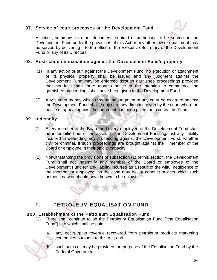## 97. Service of court processes on the Development Fund



A notice, summons or other document required or authorised to be served on the Development Fund under the provisions of this Act or any other law or enactment may be served by delivering it to the office of the Executive Secretary of the Development Fund or any of its Directors.

#### 98. Restriction on execution against the Development Fund's property

- (1) In any action or suit against the Development Fund, no execution or attachment of its physical property shall be issued and any judgment against the Development Fund may be enforced through garnishee proceedings provided that not less than three months notice of the intention to commence the garnishee proceedings shall have been given to the Development Fund.
- (2) Any sum of money which may by the judgment of any court be awarded against the Development Fund shall, subject to any direction given by the court where no notice of appeal against the judgment has been given, be paid by the Fund .

#### 99. Indemnity

- (1) Every member of the Board and every employee of the Development Fund shall be indemnified out of the assets of the Development Fund against any liability incurred in defending any proceeding against the Development Fund, whether civil or criminal, if such proceedings are brought against the member of the Board or employee in their official capacity.
- (2) Notwithstanding the provisions of subsection (1) of this section, the Development Fund shall not indemnify any member of the Board or employee of the Development Fund for any liability incurred as a result of the wilful negligence of the member or employee, as the case may be, or conduct or acts which such person knew or should have known to be unlawful.

# F. PETROLEUM EQUALISATION FUND

## 100. Establishment of the Petroleum Equalisation Fund

- (1) There shall continue to be the Petroleum Equalisation Fund ("the Equalisation Fund") into which shall be paid:
	- (a) any net surplus revenue recovered from petroleum products marketing companies pursuant to this Act; and
	- (b) such sums as may be provided for purpose of the Equalisation Fund by the Federal Government.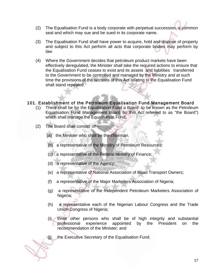- (2) The Equalisation Fund is a body corporate with perpetual succession, a common seal and which may sue and be sued in its corporate name.
- (3) The Equalisation Fund shall have power to acquire, hold and dispose of property and subject to this Act perform all acts that corporate bodies may perform by law.
- (4) Where the Government decides that petroleum product markets have been effectively deregulated, the Minister shall take the required actions to ensure that the Equalisation Fund ceases to exist and its assets and liabilities transferred to the Government to be controlled and managed by the Ministry and at such time the provisions of the sections of this Act relating to the Equalisation Fund shall stand repealed.

#### 101. Establishment of the Petroleum Equalisation Fund Management Board

- (1) There shall be for the Equalisation Fund a Board to be known as the Petroleum Equalisation Fund Management Board (in this Act referred to as "the Board") which shall manage the Equalisation Fund.
- (2) The Board shall consist of
	- (a) the Minister who shall be the chairman.
	- (b) a representative of the Ministry of Petroleum Resources;
	- (c) a representative of the Federal Ministry of Finance;
	- (d) a representative of the Agency;
	- (e) a representative of National Association of Road Transport Owners;
	- (f) a representative of the Major Marketers Association of Nigeria;
	- (g) a representative of the Independent Petroleum Marketers Association of Nigeria;
	- (h) a representative each of the Nigerian Labour Congress and the Trade Union Congress of Nigeria;
	- (i) three other persons who shall be of high integrity and substantial professional experience appointed by the President on the recommendation of the Minister; and
	- (j) the Executive Secretary of the Equalisation Fund.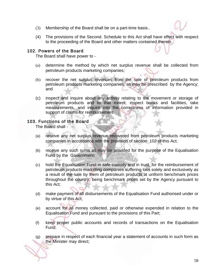- (3) Membership of the Board shall be on a part-time basis..
- (4) The provisions of the Second. Schedule to this Act shall have effect with respect to the proceeding of the Board and other matters contained therein.

#### 102. Powers of the Board

The Board shall have power to -

- (a) determine the method by which net surplus revenue shall be collected from petroleum products marketing companies;
- (b) recover the net surplus revenues from the sale of petroleum products from petroleum products marketing companies, as may be prescribed by the Agency; and
- (c) inspect and inquire about any activity relating to the movement or storage of petroleum products and to that extent, inspect books and facilities, take measurements, and inquire into the correctness of information provided in support of claims for reimbursement.

#### 103. Functions of the Board

The Board shall -

- (a) receive any net surplus revenue recovered from petroleum products marketing companies in accordance with the provision of section 102 of this Act;
- (b) receive any such sums as may be provided for the purpose of the Equalisation Fund by the Government;
- (c) hold the Equalisation Fund in safe custody and in trust, for the reimbursement of petroleum products marketing companies suffering loss solely and exclusively as a result of the sale by them of petroleum products at uniform benchmark prices throughout the country, being benchmark prices set by the Agency pursuant to this Act;
- (d) make payment of all disbursements of the Equalisation Fund authorised under or by virtue of this Act;
- (e) account for all money collected, paid or otherwise expended in relation to the Equalisation Fund and pursuant to the provisions of this Part;
- (f) keep proper public accounts and records of transactions on the Equalisation Fund;
- (g) prepare in respect of each financial year a statement of accounts in such form as the Minister may direct;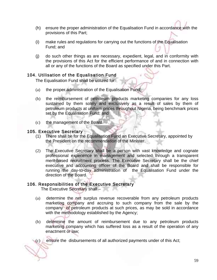- (h) ensure the proper administration of the Equalisation Fund in accordance with the provisions of this Part;
- (i) make rules and regulations for carrying out the functions of the Equalisation Fund; and
- (j) do such other things as are necessary, expedient, legal, and in conformity with the provisions of this Act for the efficient performance of and in connection with all or any of the functions of the Board as specified under this Part.

#### 104. Utilisation of the Equalisation Fund

The Equalisation Fund shall be utilized for:

- (a) the proper administration of the Equalisation Fund;
- (b) the reimbursement of petroleum products marketing companies for any loss sustained by them solely and exclusively as a result of sales by them of petroleum products at uniform prices throughout Nigeria, being benchmark prices set by the Equalisation Fund; and
- (c) the management of the Board.

#### 105. Executive Secretary

- (1) There shall be for the Equalisation Fund an Executive Secretary, appointed by the President on the recommendation of the Minister.
- (2) The Executive Secretary shall be a person with vast knowledge and cognate professional experience in management and selected through a transparent merit-based recruitment process. The Executive Secretary shall be the chief executive and accounting officer of the Board and shall be responsible for running the day-to-day administration of the Equalisation Fund under the direction of the Board.

#### 106. Responsibilities of the Executive Secretary

The Executive Secretary shall –

- (a) determine the net surplus revenue recoverable from any petroleum products marketing company and accruing to such company from the sale by the company of petroleum products at such prices, as may be sold in accordance with the methodology established by the Agency;
- (b) determine the amount of reimbursement due to any petroleum products marketing company which has suffered loss as a result of the operation of any enactment or law;

(c) ensure the disbursements of all authorized payments under of this Act;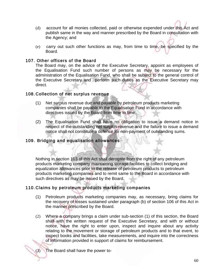- (d) account for all monies collected, paid or otherwise expended under this Act and publish same in the way and manner prescribed by the Board in consultation with the Agency; and
- (e) carry out such other functions as may, from time to time, be specified by the Board.

#### 107. Other officers of the Board

The Board may, on the advice of the Executive Secretary, appoint as employees of the Equalisation Fund such number of persons as may be necessary for the administration of the Equalisation Fund, who shall be subject to the general control of the Executive Secretary and perform such duties as the Executive Secretary may direct.

#### 108. Collection of net surplus revenue

- (1) Net surplus revenue due and payable by petroleum products marketing companies shall be payable to the Equalisation Fund in accordance with directives issued by the Board from time to time,
- (2) The Equalisation Fund shall have no obligation to issue a demand notice in respect of the outstanding net surplus revenue and the failure to issue a demand notice shall not constitute a defence for non-payment of outstanding sums.

#### 109. Bridging and equalisation allowances

Nothing in section 103 of this Act shall derogate from the right of any petroleum products marketing company maintaining storage facilities to collect bridging and equalization allowances prior to the release of petroleum products to petroleum products marketing companies and to remit same to the Board in accordance with such directives as may be issued by the Board.

#### 110. Claims by petroleum products marketing companies

- (1) Petroleum products marketing companies may, as necessary, bring claims for the recovery of losses sustained under paragraph (b) of section 106 of this Act in the manner prescribed by the Board.
- (2) Where a company brings a claim under sub-section (1) of this section, the Board shall with the written request of the Executive Secretary, and with or without notice, have the right to enter upon, inspect and inquire about any activity relating to the movement or storage of petroleum products and to that event, to inspect books and facilities, take measurements, and inquire into the correctness of information provided in support of claims for reimbursement.

(3) The Board shall have the power to-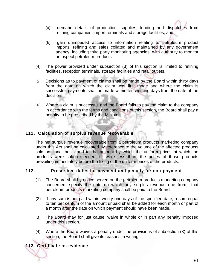- (a) demand details of production, supplies, loading and dispatches from refining companies, import terminals and storage facilities; and
- (b) gain unimpeded access to information relating to petroleum product imports, refining and sales collated and maintained by any government agency, including third party monitoring agencies, with authority to monitor or inspect petroleum products.
- (4) The power provided under subsection (3) of this section is limited to refining facilities, reception terminals, storage facilities and retail outlets.
- (5) Decisions as to payment of claims shall be made by the Board within thirty days from the date on which the claim was first made and where the claim is successful, payments shall be made within ten working days from the date of the decision.
- (6) Where a claim is successful and the Board fails to pay the claim to the company in accordance with the terms and conditions of this section, the Board shall pay a penalty to be prescribed by the Minister.

#### 111. Calculation of surplus revenue recoverable

The net surplus revenue recoverable from a petroleum products marketing company under this Act shall be calculated by reference to the volume of the affected products sold on zonal basis and to the amount by which the uniform prices at which the products were sold exceeded, or were less than, the prices of those products prevailing immediately before the fixing of the uniform prices of the products.

#### 112. Prescribed dates for payment and penalty for non-payment

- (1) The Board shall by notice served on the petroleum products marketing company concerned, specify the date on which any surplus revenue due from that petroleum products marketing company shall be paid to the Board.
- (2) If any sum is not paid within twenty-one days of the specified date, a sum equal to ten per centum of the amount unpaid shall be added for each month or part of a month after the date on which payment should have been made.
- (3) The Board may for just cause, waive in whole or in part any penalty imposed under this section.
- (4) Where the Board waives a penalty under the provisions of subsection (3) of this section, the Board shall give its reasons in writing.

## 113. Certificate as evidence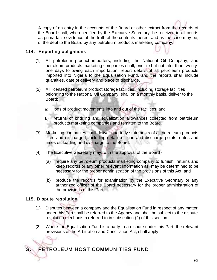A copy of an entry in the accounts of the Board or other extract from the records of the Board shall, when certified by the Executive Secretary, be received in all courts as prima facie evidence of the truth of the contents thereof and as the case may be, of the debt to the Board by any petroleum products marketing company.

## 114. Reporting obligations

- (1) All petroleum product importers, including the National Oil Company, and petroleum products marketing companies shall, prior to but not later than twentyone days following each importation, report details of all petroleum products imported into Nigeria to the Equalisation Fund, and the reports shall include quantities, date of delivery and place of discharge.
- (2) All licensed petroleum product storage facilities, including storage facilities belonging to the National Oil Company, shall on a monthly basis, deliver to the Board:
	- (a) logs of product movements into and out of the facilities; and
	- (b) returns of bridging and equalization allowances collected from petroleum products marketing companies and remitted to the Board.
- (3) Marketing companies shall deliver quarterly statements of all petroleum products lifted and discharged, including details of load and discharge points, dates and times of loading and discharge to the Board.
- (4) The Executive Secretary may, with the approval of the Board
	- (a) require any petroleum products marketing company to furnish returns and keep records or any other relevant information as may be determined to be necessary for the proper administration of the provisions of this Act; and
	- (b) produce the records for examination by the Executive Secretary or any authorized officer of the Board necessary for the proper administration of the provisions of this Part.

## 115. Dispute resolution

j.

- (1) Disputes between a company and the Equalisation Fund in respect of any matter under this Part shall be referred to the Agency and shall be subject to the dispute resolution mechanism referred to in subsection (2) of this section.
- (2) Where the Equalisation Fund is a party to a dispute under this Part, the relevant provisions of the Arbitration and Conciliation Act, shall apply.

# G. PETROLEUM HOST COMMUNITIES FUND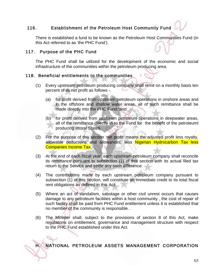## 116. Establishment of the Petroleum Host Community Fund

There is established a fund to be known as the Petroleum Host Communities Fund (in this Act referred to as 'the PHC Fund').

#### 117. Purpose of the PHC Fund

The PHC Fund shall be utilized for the development of the economic and social infrastructure of the communities within the petroleum producing area.

#### 118. Beneficial entitlements to the communities

- (1) Every upstream petroleum producing company shall remit on a monthly basis ten percent of its net profit as follows -.
	- (a) for profit derived from upstream petroleum operations in onshore areas and in the offshore and shallow water areas, all of such remittance shall be made directly into the PHC Fund; and
	- (b) for profit derived from upstream petroleum operations in deepwater areas, all of the remittance directly in to the Fund for the benefit of the petroleuml producing littoral States.
- (2) For the purpose of this section 'net profit' means the adjusted profit less royalty, allowable deductions and allowances, less Nigerian Hydrocarbon Tax less Companies Income Tax.
- (3) At the end of each fiscal year, each upstream petroleum company shall reconcile its remittance pursuant to subsection (1) of this section with its actual filed tax return to the Service and settle any such difference.
- (4) The contributions made by each upstream petroleum company pursuant to subsection (1) of this section, will constitute an immediate credit to its total fiscal rent obligations as defined in this Act.
- (5) Where an act of vandalism, sabotage or other civil unrest occurs that causes damage to any petroleum facilities within a host community , the cost of repair of such facility shall be paid from PHC Fund entitlement unless it is established that no member of the community is responsible. .
- (6) The Minister shall, subject to the provisions of section 8 of this Act, make regulations on entitlement, governance and management structure with respect to the PHC Fund established under this Act.

#### NATIONAL PETROLEUM ASSETS MANAGEMENT CORPORATION Ī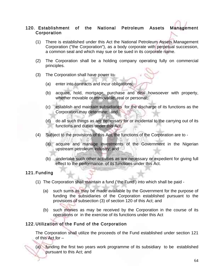## 120. Establishment of the National Petroleum Assets Management **Corporation**

- (1) There is established under this Act the National Petroleum Assets Management Corporation ("the Corporation"), as a body corporate with perpetual succession, a common seal and which may sue or be sued in its corporate name.
- (2) The Corporation shall be a holding company operating fully on commercial principles.
- (3) The Corporation shall have power to-
	- (a) enter into contracts and incur obligations;
	- (b) acquire, hold, mortgage, purchase and deal howsoever with property, whether movable or immovable, real or personal;
	- (c) establish and maintain subsidiaries for the discharge of its functions as the Corporation may determine; and
	- (d) do all such things as are necessary for or incidental to the carrying out of its functions and duties under this Act.
- (4) Subject to the provisions of this Act, the functions of the Corporation are to
	- (a) acquire and manage investments of the Government in the Nigerian upstream petroleum industry; and
	- (b) undertake such other activities as are necessary or expedient for giving full effect to the performance of its functions under this Act.

#### 121. Funding

- (1) The Corporation shall maintain a fund ('the Fund') into which shall be paid
	- (a) such sums as may be made available by the Government for the purpose of funding the subsidiaries of the Corporation established pursuant to the provisions of subsection (3) of section 120 of this Act; and
	- (b) such monies as may be received by the Corporation in the course of its operations or in the exercise of its functions under this Act

## 122. Utilization of the Fund of the Corporation

The Corporation shall utilize the proceeds of the Fund established under section 121 of this Act for –

(a) funding the first two years work programme of its subsidiary to be established pursuant to this Act; and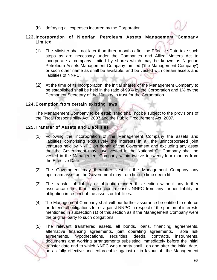(b) defraying all expenses incurred by the Corporation.

#### 123. Incorporation of Nigerian Petroleum Assets Management Company Limited

- (1) The Minister shall not later than three months after the Effective Date take such steps as are necessary under the Companies and Allied Matters Act to incorporate a company limited by shares which may be known as Nigerian Petroleum Assets Management Company Limited ('the Management Company') or such other name as shall be available, and be vested with certain assets and liabilities of NNPC.
- (2) At the time of its incorporation, the initial shares of the Management Company to be established shall be held in the ratio of 99% by the Corporation and 1% by the Permanent Secretary of the Ministry in trust for the Corporation.

#### 124. Exemption from certain existing laws

The Management Company to be established shall not be subject to the provisions of the Fiscal Responsibility Act, 2007 and the Public Procurement Act, 2007.

#### 125. Transfer of Assets and Liabilities

- (1) Following the incorporation of the Management Company the assets and liabilities comprising exclusively the interests in all the unincorporated joint ventures held by NNPC on behalf of the Government and excluding any asset that the Government may have vested in the National Oil Company shall be vested in the Management Company within twelve to twenty-four months from the Effective Date.
- (2) The Government may thereafter vest in the Management Company any upstream asset as the Government may from time to time deem fit.

672116-F

- (3) The transfer of liability or obligation under this section without any further assurance other than this section releases NNPC from any further liability or obligation in respect of the assets or liabilities.
- (4) The Management Company shall without further assurance be entitled to enforce or defend all obligations for or against NNPC in respect of the portion of interests mentioned in subsection (1) of this section as if the Management Company were the original party to such obligations.
- (5) The relevant transferred assets, all bonds, loans, financing agreements, alternative financing agreements, joint operating agreements, sole risk agreements, hypothecations, securities, deeds, contracts, instruments, documents and working arrangements subsisting immediately before the initial transfer date and to which NNPC was a party shall, on and after the initial date, be as fully effective and enforceable against or in favour of the Management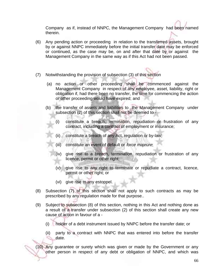Company as if, instead of NNPC, the Management Company had been named therein.

- (6) Any pending action or proceeding in relation to the transferred assets, brought by or against NNPC immediately before the initial transfer date may be enforced or continued, as the case may be, on and after that date by or against the Management Company in the same way as if this Act had not been passed.
- (7) Notwithstanding the provision of subsection (3) of this section
	- (a) no action or other proceeding shall be commenced against the Management Company in respect of any employee, asset, liability, right or obligation if, had there been no transfer, the time for commencing the action or other proceeding would have expired; and
	- (b) the transfer of assets and liabilities to the Management Company under subsection (2) of this section shall not be deemed to -
		- (i) constitute a breach, termination, repudiation or frustration of any contract, including a contract of employment or insurance;
		- (ii) constitute a breach of any Act, regulation or by-law;
		- (iii) constitute an event of default or *force majeure*;
		- (iv) give rise to a breach, termination, repudiation or frustration of any licence, permit or other right;
		- (v) give rise to any right to terminate or repudiate a contract, licence, permit or other right; or
		- (vi) give rise to any estoppel.
- (8) Subsection (7) of this section shall not apply to such contracts as may be prescribed by any regulation made for that purpose..
- (9) Subject to subsection (8) of this section, nothing in this Act and nothing done as a result of a transfer under subsection (2) of this section shall create any new cause of action in favour of a -
	- (i) holder of a debt instrument issued by NNPC before the transfer date; or
	- (ii) party to a contract with NNPC that was entered into before the transfer date.

(10) Any guarantee or surety which was given or made by the Government or any other person in respect of any debt or obligation of NNPC, and which was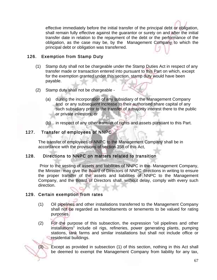effective immediately before the initial transfer of the principal debt or obligation, shall remain fully effective against the guarantor or surety on and after the initial transfer date in relation to the repayment of the debt or the performance of the obligation, as the case may be, by the Management Company to which the principal debt or obligation was transferred.

#### 126. Exemption from Stamp Duty

- (1) Stamp duty shall not be chargeable under the Stamp Duties Act in respect of any transfer made or transaction entered into pursuant to this Part on which, except for the exemption granted under this section, stamp duty would have been payable.
- (2) Stamp duty shall not be chargeable
	- (a) during the incorporation of any subsidiary of the Management Company and or any subsequent increase to their authorised share capital of any such subsidiary prior to the transfer of a majority interest there to the public or private investors; or
	- (b) in respect of any other transfer of rights and assets pursuant to this Part.

#### 127. Transfer of employees of NNPC

The transfer of employees of NNPC to the Management Company shall be in accordance with the provisions of section 358 of this Act.

#### 128. Directions to NNPC on matters related to transition

 Prior to the vesting of assets and liabilities of NNPC in the Management Company, the Minister may give the Board of Directors of NNPC directions in writing to ensure the proper transfer of the assets and liabilities of NNPC to the Management Company, and the Board of Directors shall, without delay, comply with every such direction.

#### 129. Certain exemption from rates

- (1) Oil pipelines and other installations transferred to the Management Company shall not be regarded as hereditaments or tenements to be valued for rating purposes.
- (2) For the purpose of this subsection, the expression "oil pipelines and other installations" include oil rigs, refineries, power generating plants, pumping stations, tank farms and similar installations but shall not include office or residential buildings.
- (3) Except as provided in subsection (1) of this section, nothing in this Act shall be deemed to exempt the Management Company from liability for any tax,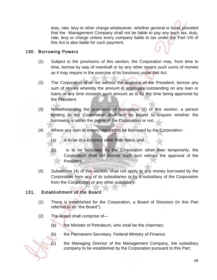duty, rate, levy or other charge whatsoever, whether general or local; provided that the Management Company shall not be liable to pay any such tax, duty, rate, levy or charge unless every company liable to tax under the Part VIII of this Act is also liable for such payment.

## 130. Borrowing Powers

- (1) Subject to the provisions of this section, the Corporation may, from time to time, borrow by way of overdraft or by any other means such sums of monies as it may require in the exercise of its functions under this Act.
- (2) The Corporation shall not without the approval of the President, borrow any sum of money whereby the amount in aggregate outstanding on any loan or loans at any time exceeds such amount as is for the time being approved by the President.
- (3) Notwithstanding the provisions of subsection (2) of this section, a person lending to the Corporation shall not be bound to enquire whether the borrowing is within the power of the Corporation or not.
- (4) Where any sum of money required to be borrowed by the Corporation
	- (a) is to be in a currency other than Naira; and
	- (b) is to be borrowed by the Corporation other than temporarily, the Corporation shall not borrow such sum without the approval of the President. **WITH AXINE NOW**
- (5) Subsection (4) of this section, shall not apply to any money borrowed by the Corporation from any of its subsidiaries or by a subsidiary of the Corporation from the Corporation or any other subsidiary.

## 131. Establishment of the Board

- (1) There is established for the Corporation, a Board of Directors (in this Part referred to as "the Board").
- (2) The Board shall comprise of—
	- (a) the Minister of Petroleum, who shall be the chairman;
	- (b) the Permanent Secretary, Federal Ministry of Finance;
	- (c) the Managing Director of the Management Company, the subsidiary company to be established by the Corporation pursuant to this Part;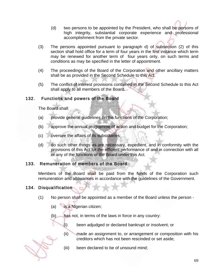- (d) two persons to be appointed by the President, who shall be persons of high integrity, substantial corporate experience and professional accomplishment from the private sector.
- (3) The persons appointed pursuant to paragraph d) of subsection (2) of this section shall hold office for a term of four years in the first instance which term may be renewed for another term of four years only, on such terms and conditions as may be specified in the letter of appointment.
- (4) The proceedings of the Board of the Corporation and other ancillary matters shall be as provided in the Second Schedule to this Act.
- (5) The conflict of interest provisions contained in the Second Schedule to this Act shall apply to all members of the Board.

#### 132. Functions and powers of the Board

The Board shall:

- (a) provide general guidelines on the functions of the Corporation;
- (b) approve the annual programme of action and budget for the Corporation;
- (c) oversee the affairs of its subsidiaries;
- (d) do such other things as are necessary, expedient, and in conformity with the provisions of this Act for the efficient performance of and in connection with all or any of the functions of the Board under this Act.

#### 133. Remuneration of members of the Board

Members of the Board shall be paid from the funds of the Corporation such remuneration and allowances in accordance with the guidelines of the Government.

## 134. Disqualification

- (1) No person shall be appointed as a member of the Board unless the person
	- (a) is a Nigerian citizen;
	- (b) has not, in terms of the laws in force in any country:
		- (i) been adjudged or declared bankrupt or insolvent; or
		- (ii) made an assignment to, or arrangement or composition with his creditors which has not been rescinded or set aside;
		- (iii) been declared to be of unsound mind;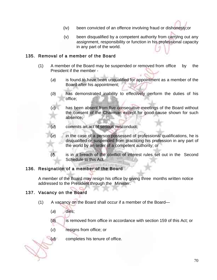- (iv) been convicted of an offence involving fraud or dishonesty;or
- (v) been disqualified by a competent authority from carrying out any assignment, responsibility or function in his professional capacity in any part of the world.

#### 135. Removal of a member of the Board

- (1) A member of the Board may be suspended or removed from office by the President if the member -
	- (a) is found to have been unqualified for appointment as a member of the Board after his appointment;
	- (b) has demonstrated inability to effectively perform the duties of his office;
	- (c) has been absent from five consecutive meetings of the Board without the consent of the Chairman except for good cause shown for such absence;
	- commits an act of serious misconduct:
	- $(e)$  in the case of a person possessed of professional qualifications, he is disqualified or suspended from practicing his profession in any part of the world by an order of a competent authority; or
	- is in a breach of the conflict of interest rules set out in the Second Schedule to this Act.

#### 136. Resignation of a member of the Board

A member of the Board may resign his office by giving three months written notice addressed to the President through the Minister.

#### 137. Vacancy on the Board

- (1) A vacancy on the Board shall occur if a member of the Board—
	- (a) dies;

(b) is removed from office in accordance with section 159 of this Act; or

(c) resigns from office; or

(d) completes his tenure of office.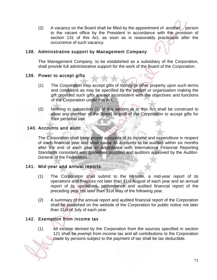(2) A vacancy on the Board shall be filled by the appointment of another person to the vacant office by the President in accordance with the provision of section 131 of this Act, as soon as is reasonably practicable after the occurrence of such vacancy.

#### 138. Administrative support by Management Company

The Management Company, to be established as a subsidiary of the Corporation, shall provide full administrative support for the work of the Board of the Corporation.

#### 139. Power to accept gifts

- (1) The Corporation may accept gifts of money or other property upon such terms and conditions as may be specified by the person or organisation making the gift provided such gifts are not inconsistent with the objectives and functions of the Corporation under this Act.
- (2) Nothing in subsection (1) of this section or in this Act shall be construed to allow any member of the Board or staff of the Corporation to accept gifts for their personal use.

#### 140. Accounts and audit

 The Corporation shall keep proper accounts of its income and expenditure in respect of each financial year and shall cause its accounts to be audited within six months after the end of each year in accordance with International Financial Reporting Standards consistent with guidelines supplied and auditors approved by the Auditor-General of the Federation. .

## 141. Mid-year and annual reports

- (1) The Corporation shall submit to the Minister, a mid-year report of its operations and finances not later than 31st August of each year and an annual report of its operations, performance and audited financial report of the preceding year not later than 31st May of the following year.
- (2) A summary of the annual report and audited financial report of the Corporation shall be published on the website of the Corporation for public notice not later than 31st of July of each year.

## 142. Exemption from income tax

(1) All income derived by the Corporation from the sources specified in section 121 shall be exempt from income tax and all contributions to the Corporation made by persons subject to the payment of tax shall be tax deductible.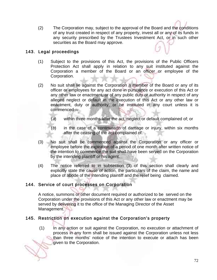(2) The Corporation may, subject to the approval of the Board and the conditions of any trust created in respect of any property, invest all or any of its funds in any security prescribed by the Trustees Investment Act, or in such other securities as the Board may approve.

## 143. Legal proceedings

- (1) Subject to the provisions of this Act, the provisions of the Public Officers Protection Act shall apply in relation to any suit instituted against the Corporation a member of the Board or an officer or employee of the Corporation.
- (2) No suit shall lie against the Corporation a member of the Board or any of its officer or employees for any act done in pursuance or execution of this Act or any other law or enactment, or of any public duty or authority in respect of any alleged neglect or default in the execution of this Act or any other law or enactment, duty or authority, or be instituted in any court unless it is commenced—
	- (a) within three months after the act, neglect or default complained of; or
	- (b) in the case of a continuation of damage or injury, within six months after the ceasing of the act complained of.
- (3) No suit shall be commenced against the Corporation or any officer or employee before the expiration of a period of one month after written notice of the intention to commence the suit shall have been served on the Corporation by the intending plaintiff or his agent.
- (4) The notice referred to in subsection (3) of this section shall clearly and explicitly state the cause of action, the particulars of the claim, the name and place of abode of the intending plaintiff and the relief being claimed.

## 144. Service of court processes on Corporation

A notice, summons or other document required or authorized to be served on the Corporation under the provisions of this Act or any other law or enactment may be served by delivering it to the office of the Managing Director of the Asset Management.

## 145. Restriction on execution against the Corporation's property

 (1) In any action or suit against the Corporation, no execution or attachment of process in any form shall be issued against the Corporation unless not less than three months' notice of the intention to execute or attach has been given to the Corporation.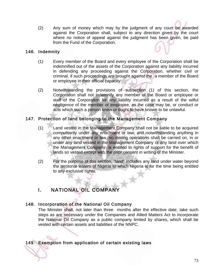(2) Any sum of money which may by the judgment of any court be awarded against the Corporation shall, subject to any direction given by the court where no notice of appeal against the judgment has been given, be paid from the Fund of the Corporation.

#### 146. Indemnity

- (1) Every member of the Board and every employee of the Corporation shall be indemnified out of the assets of the Corporation against any liability incurred in defending any proceeding against the Corporation, whether civil or criminal, if such proceedings are brought against the a member of the Board or employee in their official capacity.
- (2) Notwithstanding the provisions of subsection (1) of this section, the Corporation shall not indemnify any member of the Board or employee or staff of the Corporation for any liability incurred as a result of the wilful negligence of the member or employee, as the case may be, or conduct or acts which such a person knew or ought to have known to be unlawful.

# 147. Protection of land belonging to the Management Company

- (1) Land vested in the Management Company shall not be liable to be acquired compulsorily under any enactment or law; and notwithstanding anything in any other enactment or law, no mining operations shall be carried on, in or under any land vested in the Management Company or any land over which the Management Company is entitled to rights of support for the benefit of lands so vested except with the prior consent in writing of the Minister.
- (2) For the purpose of this section, "land" includes any land under water beyond the territorial waters of Nigeria to which Nigeria is for the time being entitled to any exclusive rights.

# I. NATIONAL OIL COMPANY

# 148. Incorporation of the National Oil Company

The Minister shall, not later than three months after the effective date, take such steps as are necessary under the Companies and Allied Matters Act to incorporate the National Oil Company as a public company limited by shares, which shall be vested with certain assets and liabilities of the NNPC.

# 149. Exemption from application of certain existing laws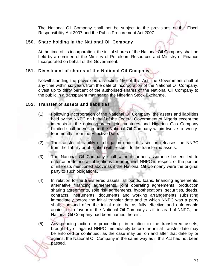The National Oil Company shall not be subject to the provisions of the Fiscal Responsibility Act 2007 and the Public Procurement Act 2007.

## 150. Share holding in the National Oil Company

At the time of its incorporation, the initial shares of the National Oil Company shall be held by a nominee of the Ministry of Petroleum Resources and Ministry of Finance Incorporated on behalf of the Government.

## 151. Divestment of shares of the National Oil Company

Notwithstanding the provisions of section 150 of this Act, the Government shall at any time within six years from the date of incorporation of the National Oil Company, divest up to thirty percent of the authorised shares of the National Oil Company to the public in a transparent manner on the Nigerian Stock Exchange.

#### 152. Transfer of assets and liabilities

- (1) Following incorporation of the National Oil Company, the assets and liabilities held by the NNPC on behalf of the Federal Government of Nigeria except the interests in the unincorporated joint ventures and Nigerian Gas Company Limited shall be vested in the National Oil Company within twelve to twentyfour months from the Effective Date.
- (2) The transfer of liability or obligation under this section releases the NNPC from the liability or obligation with respect to the transferred assets.
- (3) The National Oil Company shall without further assurance be entitled to enforce or defend all obligations for or against NNPC in respect of the portion of interests mentioned above as if the National Oil Company were the original party to such obligations.
- (4) In relation to the transferred assets, all bonds, loans, financing agreements, alternative financing agreements, joint operating agreements, production sharing agreements, sole risk agreements, hypothecations, securities, deeds, contracts, instruments, documents and working arrangements subsisting immediately before the initial transfer date and to which NNPC was a party shall, on and after the initial date, be as fully effective and enforceable against or in favour of the National Oil Company as if, instead of NNPC, the National Oil Company had been named therein.
- (5) Any pending action or proceeding in relation to the transferred assets, brought by or against NNPC immediately before the initial transfer date may be enforced or continued, as the case may be, on and after that date by or against the National Oil Company in the same way as if this Act had not been passed.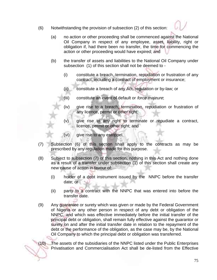(6) Notwithstanding the provision of subsection (2) of this section:



- (a) no action or other proceeding shall be commenced against the National Oil Company in respect of any employee, asset, liability, right or obligation if, had there been no transfer, the time for commencing the action or other proceeding would have expired; and
- (b) the transfer of assets and liabilities to the National Oil Company under subsection (1) of this section shall not be deemed to -
	- (i) constitute a breach, termination, repudiation or frustration of any contract, including a contract of employment or insurance;
	- (ii) constitute a breach of any Act, regulation or by-law; or
	- (iii) constitute an event of default or *force majeure*;
	- (iv) give rise to a breach, termination, repudiation or frustration of any licence, permit or other right;
	- (v) give rise to any right to terminate or repudiate a contract, licence, permit or other right; and
	- (vi) give rise to any estoppel.
- (7) Subsection (6) of this section shall apply to the contracts as may be prescribed by any regulation made for this purpose.
- (8) Subject to subsection (7) of this section, nothing in this Act and nothing done as a result of a transfer under subsection (1) of this section shall create any new cause of action in favour of:
	- (i) holder of a debt instrument issued by the NNPC before the transfer date; or
	- (ii) party to a contract with the NNPC that was entered into before the transfer date.
- (9) Any guarantee or surety which was given or made by the Federal Government of Nigeria or any other person in respect of any debt or obligation of the NNPC, and which was effective immediately before the initial transfer of the principal debt or obligation, shall remain fully effective against the guarantor or surety on and after the initial transfer date in relation to the repayment of the debt or the performance of the obligation, as the case may be, by the National Oil Company to which the principal debt or obligation was transferred.

(10) The assets of the subsidiaries of the NNPC listed under the Public Enterprises Privatisation and Commercialisation Act shall be de-listed from the Effective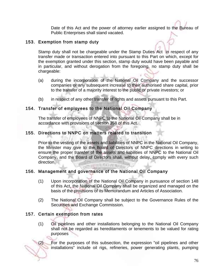Date of this Act and the power of attorney earlier assigned to the Bureau of Public Enterprises shall stand vacated.

## 153. Exemption from stamp duty

Stamp duty shall not be chargeable under the Stamp Duties Act in respect of any transfer made or transaction entered into pursuant to this Part on which, except for the exemption granted under this section, stamp duty would have been payable and in particular, and without derogation from the foregoing, no stamp duty shall be chargeable:

- (a) during the incorporation of the National Oil Company and the successor companies or any subsequent increase to their authorised share capital, prior to the transfer of a majority interest to the public or private investors; or
- (b) in respect of any other transfer of rights and assets pursuant to this Part.

## 154. Transfer of employees to the National Oil Company

The transfer of employees of NNPC to the National Oil Company shall be in accordance with provisions of section 358 of this Act.

#### 155. Directions to NNPC on matters related to transition

Prior to the vesting of the assets and liabilities of NNPC in the National Oil Company, the Minister may give to the Board of Directors of NNPC directions in writing to ensure the proper transfer of the assets and liabilities of NNPC to the National Oil Company, and the Board of Directors shall, without delay, comply with every such direction. **CONTRACTOR** 

# 156. Management and governance of the National Oil Company

- (1) Upon incorporation of the National Oil Company in pursuance of section 148 of this Act, the National Oil Company shall be organized and managed on the basis of the provisions of its Memorandum and Articles of Association.
- (2) The National Oil Company shall be subject to the Governance Rules of the Securities and Exchange Commission.

# 157. Certain exemption from rates

(1) Oil pipelines and other installations belonging to the National Oil Company shall not be regarded as hereditaments or tenements to be valued for rating purposes

(2) For the purposes of this subsection, the expression "oil pipelines and other installations" include oil rigs, refineries, power generating plants, pumping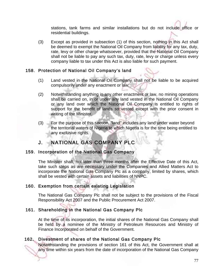stations, tank farms and similar installations but do not include office or residential buildings.

(3) Except as provided in subsection (1) of this section, nothing in this Act shall be deemed to exempt the National Oil Company from liability for any tax, duty, rate, levy or other charge whatsoever, provided that the National Oil Company shall not be liable to pay any such tax, duty, rate, levy or charge unless every company liable to tax under this Act is also liable for such payment.

#### 158. Protection of National Oil Company's land

- (1) Land vested in the National Oil Company shall not be liable to be acquired compulsorily under any enactment or law;
- (2) Notwithstanding anything in any other enactment or law, no mining operations shall be carried on, in or under any land vested in the National Oil Company or any land over which the National Oil Company is entitled to rights of support for the benefit of lands so vested except with the prior consent in writing of the Minister.
- (3) For the purpose of this section, "land" includes any land under water beyond the territorial waters of Nigeria to which Nigeria is for the time being entitled to any exclusive rights.

# J. NATIONAL GAS COMPANY PLC

#### 159. Incorporation of the National Gas Company

The Minister shall, not later than three months after the Effective Date of this Act, take such steps as are necessary under the Companies and Allied Matters Act to incorporate the National Gas Company Plc as a company, limited by shares, which shall be vested with certain assets and liabilities of NNPC.

# 160. Exemption from certain existing Legislation

The National Gas Company Plc shall not be subject to the provisions of the Fiscal Responsibility Act 2007 and the Public Procurement Act 2007.

# 161. Shareholding in the National Gas Company Plc

At the time of its incorporation, the initial shares of the National Gas Company shall be held by a nominee of the Ministry of Petroleum Resources and Ministry of Finance Incorporated on behalf of the Government.

# 162. Divestment of shares of the National Gas Company Plc

Notwithstanding the provisions of section 161 of this Act, the Government shall at any time within six years from the date of incorporation of the National Gas Company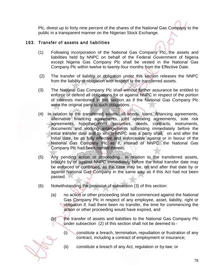Plc, divest up to forty nine percent of the shares of the National Gas Company to the public in a transparent manner on the Nigerian Stock Exchange.

## 163. Transfer of assets and liabilities

- (1) Following incorporation of the National Gas Company Plc, the assets and liabilities held by NNPC on behalf of the Federal Government of Nigeria except Nigeria Gas Company Plc shall be vested in the National Gas Company Plc within twelve to twenty-four months from the Effective Date.
- (2) The transfer of liability or obligation under this section releases the NNPC from the liability or obligation with respect to the transferred assets.
- (3) The National Gas Company Plc shall without further assurance be entitled to enforce or defend all obligations for or against NNPC in respect of the portion of interests mentioned in this section as if the National Gas Company Plc were the original party to such obligations.
- (4) In relation to the transferred assets, all bonds, loans, financing agreements, alternative financing agreements, joint operating agreements, sole risk agreements, hypothecations, securities, deeds, contracts, instruments, documents and working arrangements subsisting immediately before the initial transfer date and to which NNPC was a party shall, on and after the initial date, be as fully effective and enforceable against or in favour of the National Gas Company Plc as if, instead of NNPC, the National Gas Company Plc had been named therein.
- (5) Any pending action or proceeding in relation to the transferred assets, brought by or against NNPC immediately before the initial transfer date may be enforced or continued, as the case may be, on and after that date by or against National Gas Company in the same way as if this Act had not been passed.
- (6) Notwithstanding the provision of subsection (3) of this section:
	- (a) no action or other proceeding shall be commenced against the National Gas Company Plc in respect of any employee, asset, liability, right or obligation if, had there been no transfer, the time for commencing the action or other proceeding would have expired, and
	- (b) the transfer of assets and liabilities to the National Gas Company Plc under subsection (2) of this section shall not be deemed to -
		- (i) constitute a breach, termination, repudiation or frustration of any contract, including a contract of employment or insurance;
		- (ii) constitute a breach of any Act, regulation or by-law; or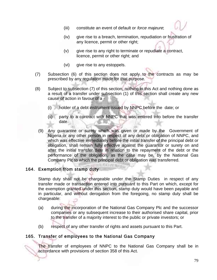- (iii) constitute an event of default or *force majeure*;
- (iv) give rise to a breach, termination, repudiation or frustration of any licence, permit or other right;
- (v) give rise to any right to terminate or repudiate a contract, licence, permit or other right; and
- (vi) give rise to any estoppels.
- (7) Subsection (6) of this section does not apply to the contracts as may be prescribed by any regulation made for that purpose.
- (8) Subject to subsection (7) of this section, nothing in this Act and nothing done as a result of a transfer under subsection (1) of this section shall create any new cause of action in favour of a -
	- (i) holder of a debt instrument issued by NNPC before the date; or
	- (ii) party to a contract with NNPC that was entered into before the transfer date.
	- (9) Any guarantee or surety which was given or made by the Government of Nigeria or any other person in respect of any debt or obligation of NNPC, and which was effective immediately before the initial transfer of the principal debt or obligation, shall remain fully effective against the guarantor or surety on and after the initial transfer date in relation to the repayment of the debt or the performance of the obligation, as the case may be, by the National Gas Company Plc to which the principal debt or obligation was transferred.

 $1/1.3.141216$ 

#### 164. Exemption from stamp duty

Stamp duty shall not be chargeable under the Stamp Duties in respect of any transfer made or transaction entered into pursuant to this Part on which, except for the exemption granted under this section, stamp duty would have been payable and in particular, and without derogation from the foregoing, no stamp duty shall be chargeable:

- (a) during the incorporation of the National Gas Company Plc and the successor companies or any subsequent increase to their authorised share capital, prior to the transfer of a majority interest to the public or private investors; or
- (b) respect of any other transfer of rights and assets pursuant to this Part.

# 165. Transfer of employees to the National Gas Company

The transfer of employees of NNPC to the National Gas Company shall be in accordance with provisions of section 358 of this Act.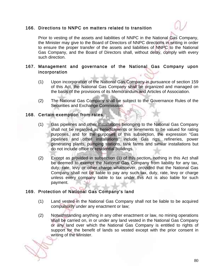## 166. Directions to NNPC on matters related to transition



Prior to vesting of the assets and liabilities of NNPC in the National Gas Company, the Minister may give to the Board of Directors of NNPC directions in writing in order to ensure the proper transfer of the assets and liabilities of NNPC to the National Gas Company, and the Board of Directors shall, without delay, comply with every such direction.

#### 167. Management and governance of the National Gas Company upon incorporation

- (1) Upon incorporation of the National Gas Company in pursuance of section 159 of this Act, the National Gas Company shall be organized and managed on the basis of the provisions of its Memorandum and Articles of Association.
- (2) The National Gas Company shall be subject to the Governance Rules of the Securities and Exchange Commission.

#### 168. Certain exemption from rates

- (1) Gas pipelines and other installations belonging to the National Gas Company shall not be regarded as hereditaments or tenements to be valued for rating purposes, and for the purposes of this subsection, the expression "Gas pipelines and other installations" include Gas rigs, refineries, power generating plants, pumping stations, tank farms and similar installations but do not include office or residential buildings.
- (2) Except as provided in subsection (1) of this section, nothing in this Act shall be deemed to exempt the National Gas Company from liability for any tax, duty, rate, levy or other charge whatsoever, provided that the National Gas Company shall not be liable to pay any such tax, duty, rate, levy or charge unless every company liable to tax under this Act is also liable for such payment.

# 169. Protection of National Gas Company's land

- (1) Land vested in the National Gas Company shall not be liable to be acquired compulsorily under any enactment or law;
- (2) Notwithstanding anything in any other enactment or law, no mining operations shall be carried on, in or under any land vested in the National Gas Company or any land over which the National Gas Company is entitled to rights of support for the benefit of lands so vested except with the prior consent in writing of the Minister.

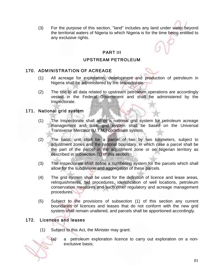(3) For the purpose of this section, "land" includes any land under water beyond the territorial waters of Nigeria to which Nigeria is for the time being entitled to any exclusive rights.

## PART III

#### UPSTREAM PETROLEUM

#### 170. ADMINISTRATION OF ACREAGE

- (1) All acreage for exploration, development and production of petroleum in Nigeria shall be administered by the Inspectorate.
- (2) The title to all data related to upstream petroleum operations are accordingly vested in the Federal Government and shall be administered by the Inspectorate.

#### 171. National grid system

- (1) The Inspectorate shall adopt a national grid system for petroleum acreage management and such grid system shall be based on the Universal Transverse Mercator (U.T.M.) coordinate system.
- (2) The basic unit shall be a parcel of two by two kilometers, subject to adjustment zones and the national boundary, in which case a parcel shall be the part of the parcel in the adjustment zone or on Nigerian territory as described in subsection (1) of this section.
- (3) The Inspectorate shall define a numbering system for the parcels which shall allow for the subdivision and aggregation of these parcels.
- (4) The grid system shall be used for the definition of licence and lease areas, relinquishments, bid procedures, identification of well locations, petroleum conservation measures and such other regulatory and acreage management procedures.
- (5) Subject to the provisions of subsection (1) of this section any current boundaries of licences and leases that do not conform with the new grid system shall remain unaltered, and parcels shall be apportioned accordingly.

# 172. Licences and leases

(1) Subject to this Act, the Minister may grant:



(a) a petroleum exploration licence to carry out exploration on a nonexclusive basis;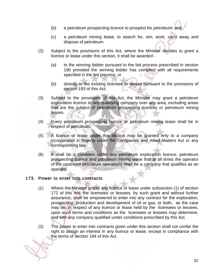- (b) a petroleum prospecting licence to prospect for petroleum; and
- (c) a petroleum mining lease, to search for, win, work, carry away and dispose of petroleum.
- (2) Subject to the provisions of this Act, where the Minister decides to grant a licence or lease under this section, it shall be awarded -
	- (a) to the winning bidder pursuant to the bid process prescribed in section 190 provided the winning bidder has complied with all requirements specified in the bid process; or
	- (b) directly to the existing licensee or lessee pursuant to the provisions of section 193 of this Act;
- (3) Subject to the provisions of this Act, the Minister may grant a petroleum exploration licence to any qualifying company over any area, excluding areas that are the subject of petroleum prospecting licences or petroleum mining leases.
- (4) Every petroleum prospecting licence or petroleum mining lease shall be in respect of petroleum.
- (5) A licence or lease under this section may be granted only to a company incorporated in Nigeria under the Companies and Allied Matters Act or any corresponding law.
- (6) It shall be a condition under any petroleum exploration licence, petroleum prospecting licence and petroleum mining lease that at all times the operator of the upstream petroleum operations shall be a company that qualifies as an operator.

#### 173. Power to enter into contracts

- (1) Where the Minister grants any licence or lease under subsection (1) of section 172 of this Act, the licensees or lessees, by such grant and without further assurance, shall be empowered to enter into any contract for the exploration, prospecting, production and development of oil or gas, or both, as the case may be, in respect of any licence or lease held by the licensees or lessees, upon such terms and conditions as the licensees or lessees may determine, and with any company qualified under conditions prescribed by this Act.
- (2) The power to enter into contracts given under this section shall not confer the right to assign an interest in any licence or lease, except in compliance with the terms of section 194 of this Act.

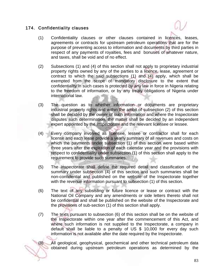## 174. Confidentiality clauses



- (1) Confidentiality clauses or other clauses contained in licences, leases, agreements or contracts for upstream petroleum operations that are for the purpose of preventing access to information and documents by third parties in respect of any payments of royalties, fees and bonuses of whatever nature, and taxes, shall be void and of no effect.
- (2) Subsections (1) and (4) of this section shall not apply to proprietary industrial property rights owned by any of the parties to a licence, lease, agreement or contract to which the said subsections (1) and (4) apply, which shall be exempted from the scope of mandatory disclosure to the extent that confidentiality in such cases is protected by any law in force in Nigeria relating to the freedom of information, or by any treaty obligations of Nigeria under international law.
- (3) The question as to whether information or documents are proprietary industrial property rights and within the ambit of subsection (2) of this section shall be decided by the owner of such information and where the Inspectorate disputes such determination, the matter shall be decided by an independent expert appointed by the Inspectorate and the relevant licensee or lessee.
- (4) Every company involved as licensee, lessee or contractor shall for each license and each lease provide a yearly summary of all revenues and costs on which the payments under subsection (1) of this section were based within three years after the expiration of each calendar year and the provisions with respect to confidentiality under subsection (1) of this section shall apply to the requirement to provide such summaries.
- (5) The Inspectorate shall define the required detail and classification of the summary under subsection (4) of this section and such summaries shall be non-confidential and published on the website of the Inspectorate together with the revenue information pursuant to subsection (1) of this section.
- (6) The text of any subsisting or future licence or lease or contract with the National Oil Company and any amendments or side letters thereto shall not be confidential and shall be published on the website of the Inspectorate and the provisions of sub-section (1) of this section shall apply.
- (7) The texts pursuant to subsection (6) of this section shall be on the website of the Inspectorate within one year after the commencement of this Act, and where such information is not supplied to the Inspectorate, a company in default shall be liable to a penalty of US \$ 10,000 for every day such information is not available after the date required by the Inspectorate.

(8) All geological, geophysical, geochemical and other technical petroleum data obtained during upstream petroleum operations as determined by the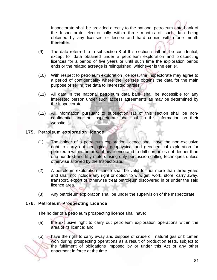Inspectorate shall be provided directly to the national petroleum data bank of the Inspectorate electronically within three months of such data being obtained by any licensee or lessee and hard copies within one month thereafter.

- (9) The data referred to in subsection 8 of this section shall not be confidential, except for data obtained under a petroleum exploration and prospecting licences for a period of five years or until such time the exploration period ends or the related acreage is relinquished, whichever is the earlier.
- (10) With respect to petroleum exploration licences, the Inspectorate may agree to a period of confidentiality where the licensee obtains the data for the main purpose of selling the data to interested parties.
- (11) All data in the national petroleum data bank shall be accessible for any interested person under such access agreements as may be determined by the Inspectorate.
- (12) All information pursuant to subsection (1) of this section shall be nonconfidential and the Inspectorate shall publish this information on their website.

#### 175. Petroleum exploration licence

- (1) The holder of a petroleum exploration licence shall have the non-exclusive right to carry out geological, geophysical and geochemical exploration for petroleum within the area of his licence and to drill coreholes not deeper than one hundred and fifty meters using only percussion drilling techniques unless otherwise allowed by the Inspectorate.
- (2) A petroleum exploration licence shall be valid for not more than three years and shall not include any right or option to win, get, work, store, carry away, transport, export or otherwise treat petroleum discovered in or under the said licence area.
- (3) Any petroleum exploration shall be under the supervision of the Inspectorate.

#### 176. Petroleum Prospecting Licence

The holder of a petroleum prospecting licence shall have:

- (a) the exclusive right to carry out petroleum exploration operations within the area of its licence; and
- (b) have the right to carry away and dispose of crude oil, natural gas or bitumen won during prospecting operations as a result of production tests, subject to the fulfilment of obligations imposed by or under this Act or any other enactment in force at the time.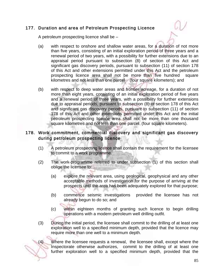# 177. Duration and area of Petroleum Prospecting Licence

A petroleum prospecting licence shall be –

- (a) with respect to onshore and shallow water areas, for a duration of not more than five years, consisting of an initial exploration period of three years and a renewal period of two years, with a possibility for further extensions due to an appraisal period pursuant to subsection (8) of section of this Act and significant gas discovery periods, pursuant to subsection (11) of section 178 of this Act and other extensions permitted under this Act and the petroleum prospecting licence area shall not be more than five hundred square kilometres and not less than one parcel (four square kilometers); and
- (b) with respect to deep water areas and frontier acreage, for a duration of not more than eight years, consisting of an initial exploration period of five years and a renewal period of three years, with a possibility for further extensions due to appraisal periods, pursuant to subsection (8) of section 178 of this Act and significant gas discovery periods, pursuant to subsection (11) of section 178 of this Act and other extensions permitted under this Act and the initial petroleum prospecting licence area shall not be more than one thousand square kilometres and not less than one parcel (four square kilometers).

## 178. Work commitment, commercial discovery and significant gas discovery during petroleum prospecting licence

- (1) A petroleum prospecting licence shall contain the requirement for the licensee to commit to a work programme.
- (2) The work-programme referred to under subsection (1) of this section shall oblige the licensee to:
	- (a) explore the relevant area, using geological, geophysical and any other acceptable methods of investigation for the purpose of arriving at the prospects until the area has been adequately explored for that purpose;
	- (b) commence seismic investigations provided the licensee has not already begun to do so; and
	- (c) within eighteen months of granting such licence to begin drilling operations with a modern petroleum well drilling outfit.
- (3) During the initial period, the licensee shall commit to the drilling of at least one exploration well to a specified minimum depth, provided that the licence may require more than one well to a minimum depth.

(4) Where the licensee requests a renewal, the licensee shall, except where the Inspectorate otherwise authorizes, commit to the drilling of at least one further exploration well to a specified minimum depth, provided that the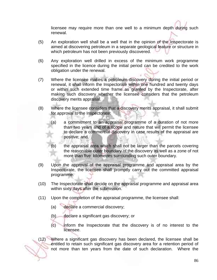licensee may require more than one well to a minimum depth during such renewal.

- (5) An exploration well shall be a well that in the opinion of the Inspectorate is aimed at discovering petroleum in a separate geological feature or structure in which petroleum has not been previously discovered.
- (6) Any exploration well drilled in excess of the minimum work programme specified in the licence during the initial period can be credited to the work obligation under the renewal.
- (7) Where the licensee makes a petroleum discovery during the initial period or renewal, it shall inform the Inspectorate within one hundred and twenty days or within such extended time frame as granted by the Inspectorate, after making such discovery whether the licensee considers that the petroleum discovery merits appraisal.
- (8) Where the licensee considers that a discovery merits appraisal, it shall submit for approval to the Inspectorate:
	- (a) a commitment to an appraisal programme of a duration of not more than two years and of a scope and nature that will permit the licensee to declare a commercial discovery in case results of the appraisal are positive; and
	- (b) the appraisal area which shall not be larger than the parcels covering the reasonable outer boundary of the discovery as well as a zone of not more than five kilometres surrounding such outer boundary.
- (9) Upon the approval of the appraisal programme and appraisal area by the Inspectorate, the licensee shall promptly carry out the committed appraisal programme.
- (10) The Inspectorate shall decide on the appraisal programme and appraisal area within sixty days after the submission.
- (11) Upon the completion of the appraisal programme, the licensee shall:
	- (a) declare a commercial discovery;
	- (b) declare a significant gas discovery; or
	- (c) inform the Inspectorate that the discovery is of no interest to the licensee.

(12) Where a significant gas discovery has been declared, the licensee shall be entitled to retain such significant gas discovery area for a retention period of not more than ten years from the date of such declaration. Where the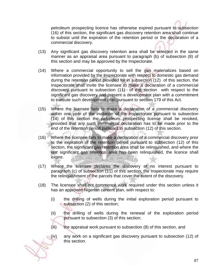petroleum prospecting licence has otherwise expired pursuant to subsection (16) of this section, the significant gas discovery retention area shall continue to subsist until the expiration of the retention period or the declaration of a commercial discovery.

- (13) Any significant gas discovery retention area shall be selected in the same manner as an appraisal area pursuant to paragraph (b) of subsection (8) of this section and may be approved by the Inspectorate.
- (14) Where a commercial opportunity to sell the gas materializes based on information provided by the Inspectorate with respect to domestic gas demand during the retention period provided for in subsection (12) of this section, the Inspectorate shall invite the licensee to make a declaration of a commercial discovery pursuant to subsection (11) of this section with respect to the significant gas discovery and present a development plan with a commitment to execute such development plan pursuant to section 179 of this Act.
- (15) Where the licensee fails to make a declaration of a commercial discovery within one year of the invitation of the Inspectorate pursuant to subsection (14) of this section the petroleum prospecting license shall be revoked, provided that any such commercial declaration has to be made prior to the end of the retention period pursuant to subsection (12) of this section.
- (16) Where the licensee fails to make a declaration of a commercial discovery prior to the expiration of the retention period pursuant to subsection (12) of this section, the significant gas retention area shall be relinquished, and where the last significant gas retention area has been relinquished, the licence shall expire.
- (17) Where the licensee declares the discovery of no interest pursuant to paragraph (c) of subsection (11) of this section, the Inspectorate may require the relinquishment of the parcels that cover the extent of the discovery.
- (18) The licensee shall not commence work required under this section unless it has an approved Nigerian content plan, with respect to:
	- (i) the drilling of wells during the initial exploration period pursuant to subsection (2) of this section;
	- (ii) the drilling of wells during the renewal of the exploration period pursuant to subsection (3) of this section;
	- (iii) the appraisal work pursuant to subsection (8) of this section, and
	- (iv) any work on a significant gas discovery pursuant to subsection (12) of this section.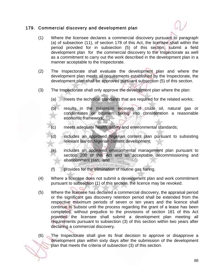## 179. Commercial discovery and development plan



- (1) Where the licensee declares a commercial discovery pursuant to paragraph (a) of subsection (11), of section 178 of this Act, the licensee shall within the period provided for in subsection (5) of this section, submit a field development plan for the commercial discovery to the Inspectorate as well as a commitment to carry out the work described in the development plan in a manner acceptable to the Inspectorate.
- (2) The Inspectorate shall evaluate the development plan and where the development plan meets all requirements established by the Inspectorate, the development plan shall be approved pursuant subsection (5) of this section.
- (3) The Inspectorate shall only approve the development plan where the plan:
	- (a) meets the technical standards that are required for the related works;
	- (b) results in the maximum recovery of crude oil, natural gas or condensates or bitumen, taking into consideration a reasonable economic framework;
	- meets adequate health, safety and environmental standards;
	- (d) includes an approved Nigerian content plan pursuant to subsisting relevant law on Nigerian content development;
	- (e) includes an approved environmental management plan pursuant to section 200 of this Act and an acceptable decommissioning and abandonment plan; and
	- (f) provides for the elimination of routine gas flaring.
- (4) Where a licensee does not submit a development plan and work commitment pursuant to subsection (1) of this section, the licence may be revoked.
- (5) Where the licensee has declared a commercial discovery, the appraisal period or the significant gas discovery retention period shall be extended from the respective maximum periods of seven or ten years and the licence shall continue to subsist until the process regarding the grant of a lease has been completed, without prejudice to the provisions of section 181 of this Act provided the licensee shall submit a development plan meeting all requirements pursuant to subsection (3) of this section within two years after declaring a commercial discovery.
- (6) The Inspectorate shall give its final decision to approve or disapprove a development plan within sixty days after the submission of the development plan that meets the criteria of subsection (3) of this section.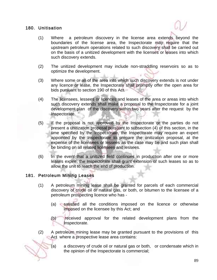## 180. Unitisation



- (1) Where a petroleum discovery in the license area extends beyond the boundaries of the license area, the Inspectorate may require that the upstream petroleum operations related to such discovery shall be carried out on the basis of a unitized development with the licenses or leases into which such discovery extends.
- (2) The unitized development may include non-straddling reservoirs so as to optimize the development.
- (3) Where some or all of the area into which such discovery extends is not under any licence or lease, the Inspectorate shall promptly offer the open area for bids pursuant to section 190 of this Act.
- (4) The licensees, lessees or licences and leases of the area or areas into which such discovery extends shall make a proposal to the Inspectorate for a joint development plan of the discovery within two years after the request by the Inspectorate.
- (5) If the proposal is not approved by the Inspectorate or the parties do not present a unitization proposal pursuant to subsection (4) of this section, in the time specified by the Inspectorate, the Inspectorate may require an expert appointed by the Inspectorate to prepare the unitization proposal, at the expense of the licensees or lessees as the case may be and such plan shall be binding on all related licensees and lessees.
- (6) In the event that a unitized field continues in production after one or more leases expire, the Inspectorate shall grant extension of such leases so as to allow the unit to reach the end of production.

#### 181. Petroleum Mining Leases

- (1) A petroleum mining lease shall be granted for parcels of each commercial discovery of crude oil or natural gas, or both, or bitumen to the licensee of a petroleum prospecting licence who has -
	- (a) satisfied all the conditions imposed on the licence or otherwise imposed on the licensee by this Act; and
	- (b) received approval for the related development plans from the Inspectorate.
- (2) A petroleum mining lease may be granted pursuant to the provisions of this Act where a prospective lease area contains:
	- (a) a discovery of crude oil or natural gas or both, or condensate which in the opinion of the Inspectorate is commercial;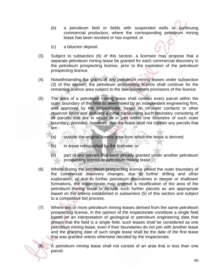- (b) a petroleum field or fields with suspended wells or continuing commercial production, where the corresponding petroleum mining lease has been revoked or has expired; or
- (c) a bitumen deposit.
- (3) Subject to subsection (6) of this section, a licensee may propose that a separate petroleum mining lease be granted for each commercial discovery in the petroleum prospecting licence, prior to the expiration of the petroleum prospecting licence.
- (4) Notwithstanding the grants of any petroleum mining leases under subsection (3) of this section, the petroleum prospecting licence shall continue for the remaining licence area subject to the relinquishment provisions of the licence.
- (5) The area of a petroleum mining lease shall contain every parcel within the outer boundary of the field as determined by an independent engineering firm, and approved by the Inspectorate, based on oil-water contacts or other reservoir limits and includes a zone surrounding such boundary consisting of all parcels that are in whole or in part within one kilometre of such outer boundary, provided, however, that the lease shall not contain any parcels that are -
	- (a) outside the original licence area from which the lease is derived;
	- (b) in areas relinquished by the licensee; or
	- (c) part of any parcels that were already granted under another petroleum prospecting licence or petroleum mining lease.
- (6) Where during the petroleum prospecting licence period the outer boundary of the commercial discovery changes, due to further drilling and other exploration, or due to further petroleum discoveries in deeper or shallower formations, the Inspectorate may approve a modification of the area of the petroleum mining lease to include such further parcels as are appropriate based on the criteria established in subsection (5) of this section and subject to a competitive bid process.
- (7) Where two or more petroleum mining leases derived from the same petroleum prospecting license, in the opinion of the Inspectorate constitute a single field based on an interpretation of geological or petroleum engineering data that proves that the field is a single field, such leases shall be considered as one petroleum mining lease, even if their boundaries do not join with another lease and the granting date of such single lease shall be the date of the first lease that was granted unless otherwise decided by the Inspectorate.

(8) A petroleum mining lease shall not consist of an area that is less than one parcel.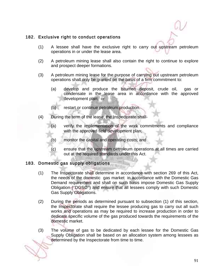#### 182. Exclusive right to conduct operations

- (1) A lessee shall have the exclusive right to carry out upstream petroleum operations in or under the lease area.
- (2) A petroleum mining lease shall also contain the right to continue to explore and prospect deeper formations.
- (3) A petroleum mining lease for the purpose of carrying out upstream petroleum operations shall only be granted on the basis of a firm commitment to:
	- (a) develop and produce the bitumen deposit, crude oil, gas or condensate in the lease area in accordance with the approved development plan; or
	- (b) restart or continue petroleum production.
- (4) During the term of the lease, the Inspectorate shall-
	- (a) verify the implementation of the work commitments and compliance with the approved field development plan;
	- (b) monitor the capital and operating costs; and
	- (c) ensure that the upstream petroleum operations at all times are carried out at the required standards under this Act.

#### 183. Domestic gas supply obligations

- (1) The Inspectorate shall determine in accordance with section 269 of this Act, the needs of the domestic gas market in accordance with the Domestic Gas Demand requirement and shall on such basis impose Domestic Gas Supply Obligation (''DGSO'') and ensure that all lessees comply with such Domestic Gas Supply Obligations.
- (2) During the periods as determined pursuant to subsection (1) of this section, the Inspectorate shall require the lessee producing gas to carry out all such works and operations as may be required to increase production in order to dedicate specific volume of the gas produced towards the requirements of the domestic market.
- (3) The volume of gas to be dedicated by each lessee for the Domestic Gas Supply Obligation shall be based on an allocation system among lessees as determined by the Inspectorate from time to time.

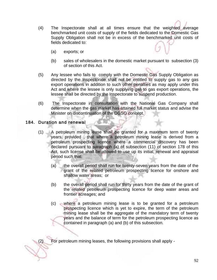- (4) The Inspectorate shall at all times ensure that the weighted average benchmarked unit costs of supply of the fields dedicated to the Domestic Gas Supply Obligation shall not be in excess of the benchmarked unit costs of fields dedicated to:
	- (a) exports; or
	- (b) sales of wholesalers in the domestic market pursuant to subsection (3) of section of this Act.
- (5) Any lessee who fails to comply with the Domestic Gas Supply Obligation as directed by the Inspectorate shall not be entitled to supply gas to any gas export operations in addition to such other penalties as may apply under this Act and where the lessee is only supplying gas to gas export operations, the lessee shall be directed by the Inspectorate to suspend production.
- (6) The Inspectorate in consultation with the National Gas Company shall determine when the gas market has attained full market status and advise the Minister on discontinuation of the DGSO concept.

#### 184. Duration and renewal

- (1) A petroleum mining lease shall be granted for a maximum term of twenty years, provided , that where a petroleum mining lease is derived from a petroleum prospecting licence where a commercial discovery has been declared pursuant to paragraph (a) of subsection (11) of section 178 of this Act, such license shall be allowed to use up its initial, renewal and appraisal period such that:
	- (a) the overall period shall run for twenty-seven years from the date of the grant of the related petroleum prospecting licence for onshore and shallow water areas; or
	- (b) the overall period shall run for thirty years from the date of the grant of the related petroleum prospecting licence for deep water areas and frontier acreages; and
	- (c) where a petroleum mining lease is to be granted for a petroleum prospecting licence which is yet to expire, the term of the petroleum mining lease shall be the aggregate of the mandatory term of twenty years and the balance of term for the petroleum prospecting licence as contained in paragraph (a) and (b) of this subsection.

(2) For petroleum mining leases, the following provisions shall apply -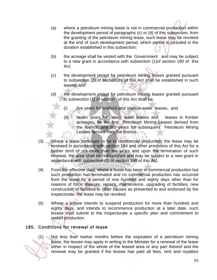- (a) where a petroleum mining lease is not in commercial production within the development period of paragraphs (c) or (d) of this subsection, from the granting of the petroleum mining lease, such lease may be revoked at the end of such development period, which period is included in the duration established in this subsection;
- (b) the acreage shall be vested with the Government and may be subject to a new grant in accordance with subsection (1)of section 190 of this Act;
- (c) the development period for petroleum mining leases granted pursuant to subsection (2) of section181 of this Act shall be established in such leases; and
- (d) the development period for petroleum mining leases granted pursuant to subsection (1) of section of this Act shall be:
	- (i) five years for onshore and shallow water leases, and
	- (ii) seven years for deep water leases and leases in frontier acreages, for the first Petroleum Mining Leases derived from the licence, and ten years for subsequent Petroleum Mining Leases derived from the licence.
- (3) Where a lease continues to be in commercial production, the lease may be renewed in accordance with section 184 and other provisions of this Act for a further term of not more than ten years and upon the termination of such renewal, the area shall be relinquished and may be subject to a new grant in accordance with subsection (1) of section 190 of this Act.
- (4) From the effective date, where a lease has been in commercial production but such production has terminated and no commercial production has occurred from the lease for a period of one hundred and eighty days other than for reasons of force majeure, repairs, maintenance, upgrading of facilities, new construction of facilities or other causes as presented to and endorsed by the Inspectorate, the lease may be revoked.
- (5) Where a lessee intends to suspend production for more than hundred and eighty days, and intends to recommence production at a later date, such lessee shall submit to the Inspectorate a specific plan and commitment to restart production.

# 185. Conditions for renewal of lease

(1) Not less than twelve months before the expiration of a petroleum mining lease, the lessee may apply in writing to the Minister for a renewal of the lease either in respect of the whole of the leased area or any part thereof and the renewal may be granted if the lessee has paid all fees, rent and royalties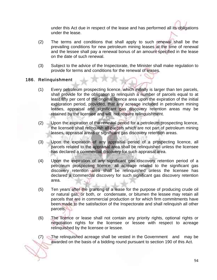under this Act due in respect of the lease and has performed all its obligations under the lease.

- (2) The terms and conditions that shall apply to such renewal shall be the prevailing conditions for new petroleum mining leases at the time of renewal and the lessee shall pay a renewal bonus of an amount specified in the lease on the date of such renewal.
- (3) Subject to the advice of the Inspectorate, the Minister shall make regulation to provide for terms and conditions for the renewal of leases.

## 186. Relinquishment

- (1) Every petroleum prospecting licence, which initially is larger than ten parcels, shall provide for the obligation to relinquish a number of parcels equal to at least fifty per cent of the original licence area upon the expiration of the initial exploration period, provided, that any acreage included in petroleum mining leases, appraisal and significant gas discovery retention areas may be retained by the licensee and will not require relinquishment.
- (2) Upon the expiration of the renewal period for a petroleum prospecting licence, the licensee shall relinquish all parcels which are not part of petroleum mining leases, appraisal areas or significant gas discovery retention areas.
- (3) Upon the expiration of any appraisal period of a prospecting licence, all parcels related to the appraisal area shall be relinquished unless the licensee has declared a commercial discovery for such appraisal area.
- (4) Upon the expiration of any significant gas discovery retention period of a petroleum prospecting licence, all acreage related to the significant gas discovery retention area shall be relinquished unless the licensee has declared a commercial discovery for such significant gas discovery retention area.
- (5) Ten years after the granting of a lease for the purpose of producing crude oil or natural gas, or both, or condensate, or bitumen the lessee may retain all parcels that are in commercial production or for which firm commitments have been made to the satisfaction of the Inspectorate and shall relinquish all other parcels.
- (6) The licence or lease shall not contain any priority rights, optional rights or negotiation rights for the licensee or lessee with respect to acreage relinquished by the licensee or lessee.

(7) The relinquished acreage shall be vested in the Government and may be awarded on the basis of a bidding round pursuant to section 190 of this Act.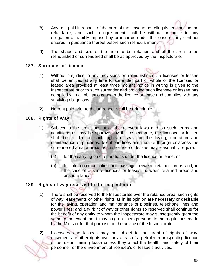- (8) Any rent paid in respect of the area of the lease to be relinquished shall not be refundable, and such relinquishment shall be without prejudice to any obligation or liability imposed by or incurred under the lease or any contract entered in pursuance thereof before such relinquishment.
- (9) The shape and size of the area to be retained and of the area to be relinquished or surrendered shall be as approved by the Inspectorate.

# 187. Surrender of licence

- (1) Without prejudice to any provisions on relinquishment, a licensee or lessee shall be entitled at any time to surrender part or whole of the licensed or leased area provided at least three months notice in writing is given to the Inspectorate prior to such surrender and provided such licensee or lessee has complied with all obligations under the licence or lease and complies with any surviving obligations.
- (2) No rent paid prior to the surrender shall be refundable.

## 188. Rights of Way

- (1) Subject to the provisions of all the relevant laws and on such terms and conditions as may be approved by the Inspectorate, the licensee or lessee shall be entitled to such rights of way for the laying, operation and maintenance of pipelines, telephone lines and the like through or across the surrendered area or areas as the licensee or lessee may reasonably require:
	- (a) for the carrying on of operations under the licence or lease; or
	- (b) for inter-communication and passage between retained areas and, in the case of offshore licences or leases, between retained areas and onshore lands.

#### 189. Rights of way reserved to the Inspectorate

- (1) There shall be reserved to the Inspectorate over the retained area, such rights of way, easements or other rights as in its opinion are necessary or desirable for the laying, operation and maintenance of pipelines, telephone lines and power lines; and any right of way or other rights so reserved shall continue for the benefit of any entity to whom the Inspectorate may subsequently grant the same to the extent that it may so grant them pursuant to the regulations made by the Minister for that purpose on the advice of the Inspectorate.
- (2) Licensees and lessees may not object to the grant of rights of way, easements or other rights over any areas of a petroleum prospecting licence or petroleum mining lease unless they affect the health, and safety of their personnel or the environment of licensee's or lessee's activities.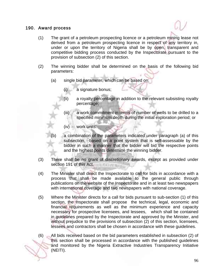#### 190. Award process



- (1) The grant of a petroleum prospecting licence or a petroleum mining lease not derived from a petroleum prospecting licence in respect of any territory in, under or upon the territory of Nigeria shall be by open, transparent and competitive bidding process conducted by the Inspectorate pursuant to the provision of subsection (2) of this section.
- (2) The winning bidder shall be determined on the basis of the following bid parameters:
	- (a) single bid parameter, which can be based on:
		- (i) a signature bonus;
		- (ii) a royalty percentage in addition to the relevant subsisting royalty percentage;
		- (iii) a work commitment in terms of number of wells to be drilled to a specified minimum depth during the initial exploration period; or
		- (iv) work units.
	- a combination of the parameters indicated under paragraph (a) of this subsection, based on a point system that is self-assessable by the bidder in such a manner that the bidder will bid the respective points and the highest points determine the winning bidder.
- (3) There shall be no grant of discretionary awards, except as provided under section 191 of this Act. **LICKTAD HOLD**
- (4) The Minister shall direct the Inspectorate to call for bids in accordance with a process that shall be made available to the general public through publications on the website of the Inspectorate and in at least two newspapers with international coverage and two newspapers with national coverage.
- (5) Where the Minister directs for a call for bids pursuant to sub-section (1) of this section, the Inspectorate shall propose the technical, legal, economic and financial requirements as well as the minimum experience and capacity necessary for prospective licensees, and lessees, which shall be contained in guidelines prepared by the Inspectorate and approved by the Minister, and without prejudice to the provisions of subsection (2) of this section, licensees, lessees and contractors shall be chosen in accordance with these guidelines.
- (6) All bids received based on the bid parameters established in subsection (2) of this section shall be processed in accordance with the published guidelines and monitored by the Nigeria Extractive Industries Transparency Initiative (NEITI).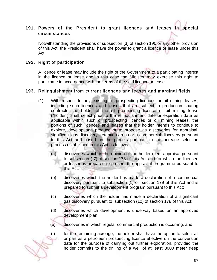# 191. Powers of the President to grant licences and leases in special circumstances

Notwithstanding the provisions of subsection (3) of section 190 or any other provision of this Act, the President shall have the power to grant a licence or lease under this Act.

#### 192. Right of participation

A licence or lease may include the right of the Government to a participating interest in the licence or lease and in this case the Minister may exercise this right to participate in accordance with the terms of the said licence or lease.

#### 193. Relinquishment from current licences and leases and marginal fields

- (1) With respect to any existing oil prospecting licences or oil mining leases, including such licences and leases that are subject to production sharing contracts, the holder of the oil prospecting licence or oil mining lease ("holder") shall select prior to the relinquishment date or expiration date as applicable within such oil prospecting licences or oil mining leases, the portions of such licences and leases that the holder intends to continue to explore, develop and produce or to propose as discoveries for appraisal, significant gas discovery retention areas or a commercial discovery pursuant to this Act and based on the parcels pursuant to the acreage selection process established in this Act as follows:
	- (a) discoveries which in the opinion of the holder merit appraisal pursuant to subsection ( 7) of section 178 of this Act and for which the licensee or lessee is prepared to present the appraisal programme pursuant to this Act;
	- (b) discoveries which the holder has made a declaration of a commercial discovery pursuant to subsection (1) of section 179 of this Act and is prepared to submit a development program pursuant to this Act;
	- (c) discoveries which the holder has made a declaration of a significant gas discovery pursuant to subsection (12) of section 178 of this Act;
	- (d) discoveries which development is underway based on an approved development plan;
	- (e) discoveries in which regular commercial production is occurring; and



(f) for the remaining acreage, the holder shall have the option to select all or part as a petroleum prospecting licence effective on the conversion date for the purpose of carrying out further exploration, provided the holder commits to the drilling of a well of at least 3000 meter deep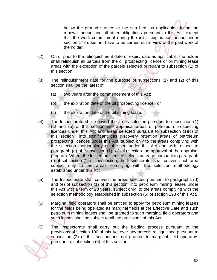below the ground surface or the sea bed, as applicable, during the renewal period and all other obligations pursuant to this Act, except that the work commitment during the initial exploration period under section 178 does not have to be carried out in view of the past work of the holder.

- (2) On or prior to the relinquishment date or expiry date as applicable, the holder shall relinquish all parcels from the oil prospecting licence or oil mining lease areas with the exception of the parcels selected pursuant to subsection (1) of this section.
- (3) The relinquishment date for the purpose of subsections (1) and (2) of this section shall be the latest of:
	- (a) two years after the commencement of this Act;
	- (b) the expiration date of the oil prospecting licence; or
	- (c) the expiration date of the oil mining lease.
- (4) The Inspectorate shall convert the areas selected pursuant to subsection (1) (a) and (b) of this section into appraisal areas of petroleum prospecting licences under this Act and areas selected pursuant to subsection (1)(c) of this section into significant gas discovery retention areas of petroleum prospecting licences under this Act, subject only to the areas complying with the selection methodology established under this Act and with respect to paragraph (a) of subsection (1) of this section the approval of the appraisal program. Where the lessee or licensee selects acreage pursuant to paragraph (f) of subsection (1) of this section, the Inspectorate shall convert such area subject only to the areas complying with the selection methodology established under this Act.
- (5) The Inspectorate shall convert the areas selected pursuant to paragraphs (d) and (e) of subsection (1) of this section, into petroleum mining leases under this Act with a term of 20 years, subject only to the areas complying with the selection methodology established in subsection (5) of section 193 of this Act.
- (6) Marginal field operators shall be entitled to apply for petroleum mining leases for the fields being operated as marginal fields at the Effective Date and such petroleum mining leases shall be granted to such marginal field operators and such leases shall be subject to all the provisions of this Act.
- (7) The Inspectorate shall carry out the bidding process pursuant to the provisions of section 190 of this Act over any parcels relinquished pursuant to subsection (2) of this section and not granted to marginal field operators pursuant to subsection (6) of this section.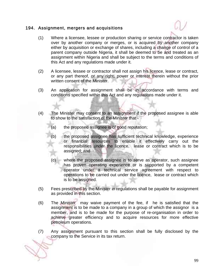#### 194. Assignment, mergers and acquisitions



- (1) Where a licensee, lessee or production sharing or service contractor is taken over by another company or merges, or is acquired by another company either by acquisition or exchange of shares, including a change of control of a parent company outside Nigeria, it shall be deemed to be and treated as an assignment within Nigeria and shall be subject to the terms and conditions of this Act and any regulations made under it.
- (2) A licensee, lessee or contractor shall not assign his licence, lease or contract, or any part thereof, or any right, power or interest therein without the prior written consent of the Minister.
- (3) An application for assignment shall be in accordance with terms and conditions specified within this Act and any regulations made under it.
- (4) The Minister may consent to an assignment if the proposed assignee is able to show to the satisfaction of the Minister that -
	- (a) the proposed assignee is of good reputation;
	- (b) the proposed assignee has sufficient technical knowledge, experience or financial resources to enable it effectively carry out the responsibilities under the licence, lease or contract which is to be assigned; and
	- (c) where the proposed assignee is to serve as operator, such assignee has proven operating experience or is supported by a competent operator under a technical service agreement with respect to operations to be carried out under the licence, lease or contract which is to be assigned.
- (5) Fees prescribed by the Minister in regulations shall be payable for assignment as provided in this section.
- (6) The Minister may waive payment of the fee, if he is satisfied that the assignment is to be made to a company in a group of which the assignor is a member, and is to be made for the purpose of re-organisation in order to achieve greater efficiency and to acquire resources for more effective petroleum operations.
- (7) Any assignment pursuant to this section shall be fully disclosed by the company to the Service in its tax return.

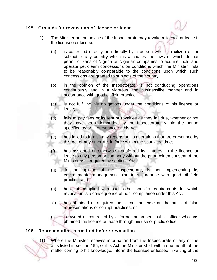## 195. Grounds for revocation of licence or lease

- (1) The Minister on the advice of the Inspectorate may revoke a licence or lease if the licensee or lessee:
	- (a) is controlled directly or indirectly by a person who is a citizen of, or subject of any country which is a country the laws of which do not permit citizens of Nigeria or Nigerian companies to acquire, hold and operate petroleum concessions on conditions which the Minister finds to be reasonably comparable to the conditions upon which such concessions are granted to subjects of the country;
	- (b) in the opinion of the Inspectorate, is not conducting operations continuously and in a vigorous and businesslike manner and in accordance with good oil field practice;
	- (c) is not fulfilling his obligations under the conditions of his licence or lease;
	- (d) fails to pay fees or its rent or royalties as they fall due, whether or not they have been demanded by the Inspectorate, within the period specified by or in pursuance of this Act;
	- (e) has failed to furnish any reports on its operations that are prescribed by this Act or any other Act in force within the stipulated time;
	- has assigned or otherwise transferred its interest in the licence or lease to any person or company without the prior written consent of the Minister as is required by section 194;
	- (g) in the opinion of the Inspectorate, is not implementing its environmental management plan in accordance with good oil field practice; and
	- (h) has not complied with such other specific requirements for which revocation is a consequence of non- compliance under this Act.
	- (i) has obtained or acquired the licence or lease on the basis of false representations or corrupt practices; or
	- $(i)$  is owned or controlled by a former or present public officer who has obtained the licence or lease through misuse of public office.

# 196. Representation permitted before revocation

(1) Where the Minister receives information from the Inspectorate of any of the acts listed in section 195, of this Act the Minister shall within one month of the matter coming to his knowledge, inform the licensee or lessee in writing of the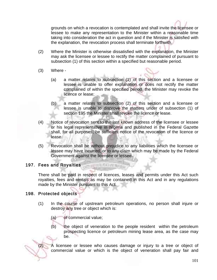grounds on which a revocation is contemplated and shall invite the licensee or lessee to make any representation to the Minister within a reasonable time taking into consideration the act in question and if the Minister is satisfied with the explanation, the revocation process shall terminate forthwith.

- (2) Where the Minister is otherwise dissatisfied with the explanation, the Minister may ask the licensee or lessee to rectify the matter complained of pursuant to subsection (1) of this section within a specified but reasonable period.
- (3) Where
	- (a) a matter relates to subsection (1) of this section and a licensee or lessee is unable to offer explanation or does not rectify the matter complained of within the specified period, the Minister may revoke the licence or lease;
	- (b) a matter relates to subsection (2) of this section and a licensee or lessee is unable to disprove the matters under of subsection (1) of section 195 the Minister shall revoke the licence or lease.
- (4) Notice of revocation sent to the last known address of the licensee or lessee or his legal representative in Nigeria and published in the Federal Gazette shall, for all purposes, be sufficient notice of the revocation of the licence or lease.
- (5) Revocation shall be without prejudice to any liabilities which the licensee or lessee may have incurred, or to any claim which may be made by the Federal Government against the licensee or lessee.

#### 197. Fees and Royalties

There shall be paid in respect of licences, leases and permits under this Act such royalties, fees and rentals as may be contained in this Act and in any regulations made by the Minister pursuant to this Act.

**WILL ANTIBAL** 

# 198. Protected objects

- (1) In the course of upstream petroleum operations, no person shall injure or destroy any tree or object which is:
	- (a) of commercial value;
	- (b) the object of veneration to the people resident within the petroleum prospecting licence or petroleum mining lease area, as the case may be.

(2) A licensee or lessee who causes damage or injury to a tree or object of commercial value or which is the object of veneration shall pay fair and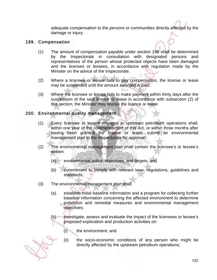adequate compensation to the persons or communities directly affected by the damage or injury.

## 199. Compensation

- (1) The amount of compensation payable under section 198 shall be determined by the Inspectorate in consultation with designated persons and representatives of the person whose protected objects have been damaged and the licenses or lessees, in accordance with regulation made by the Minister on the advice of the Inspectorate.
- (2) Where a licensee or lessee fails to pay compensation, the license or lease may be suspended until the amount awarded is paid.
- (3) Where the licensee or lessee fails to make payment within thirty days after the suspension of the said licence or lease in accordance with subsection (2) of this section, the Minister may revoke the licence or lease.

## 200. Environmental quality management

- (1) Every licensee or lessee engaged in upstream petroleum operations shall, within one year of the commencement of this Act, or within three months after having been granted the license or lease, submit an environmental management plan to the Inspectorate for approval.
- (2) The environmental management plan shall contain the licensee's or lessee's written:
	- (a) environmental policy, objectives, and targets; and
	- (b) commitment to comply with relevant laws, regulations, guidelines and standards;
- (3) The environmental management plan shall:
	- (a) establish initial baseline information and a program for collecting further baseline information concerning the affected environment to determine protection and remedial measures and environmental management objectives;
	- (b) investigate, assess and evaluate the impact of the licensees or lessee's proposed exploration and production activities on:
		- (i) the environment; and
		- (ii) the socio-economic conditions of any person who might be directly affected by the upstream petroleum operations;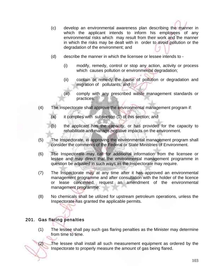- (c) develop an environmental awareness plan describing the manner in which the applicant intends to inform his employees of any environmental risks which may result from their work and the manner in which the risks may be dealt with in order to avoid pollution or the degradation of the environment; and
- (d) describe the manner in which the licensee or lessee intends to
	- (i) modify, remedy, control or stop any action, activity or process which causes pollution or environmental degradation;
	- (ii) contain or remedy the cause of pollution or degradation and migration of pollutants; and
	- (iii) comply with any prescribed waste management standards or practices.
- (4) The Inspectorate shall approve the environmental management program if:
	- (a) it complies with subsection (1) of this section; and
	- (b) the applicant has the capacity, or has provided for the capacity to rehabilitate and manage negative impacts on the environment.
- (5) The Inspectorate, in approving the environmental management program shall consider the comments of the Federal or State Ministries of Environment.
- (6) The Inspectorate may call for additional information from the licensee or lessee and may direct that the environmental management programme in question be adjusted in such ways as the Inspectorate may require.
- (7) The Inspectorate may at any time after it has approved an environmental management programme and after consultation with the holder of the licence or lease concerned, request an amendment of the environmental management programme.
- (8) No chemicals shall be utilized for upstream petroleum operations, unless the Inspectorate has granted the applicable permits.

#### 201. Gas flaring penalties

(1) The lessee shall pay such gas flaring penalties as the Minister may determine from time to time.

(2) The lessee shall install all such measurement equipment as ordered by the Inspectorate to properly measure the amount of gas being flared.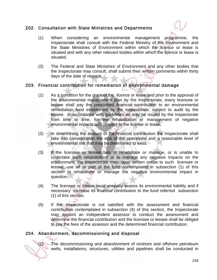## 202. Consultation with State Ministries and Departments



- (1) When considering an environmental management programme, the Inspectorate shall consult with the Federal Ministry of the Environment and the State Ministries of Environment within which the licence or lease is situated and with any other relevant bodies within which the licence or lease is situated.
- (2) The Federal and State Ministries of Environment and any other bodies that the Inspectorate may consult, shall submit their written comments within thirty days of the date of request.

## 203. Financial contribution for remediation of environmental damage

- (1) As a condition for the grant of the licence or lease and prior to the approval of the environmental management plan by the Inspectorate, every licencee or lessee shall pay the prescribed financial contribution to an environmental remediation fund established by the Inspectorate, subject to audit by the lessee, in accordance with guidelines as may be issued by the Inspectorate from time to time, for the rehabilitation or management of negative environmental impacts with respect to the license or lease.
- (2) In determining the amount of the financial contribution the Inspectorate shall take into consideration the size of the operations and a reasonable level of environmental risk that may be determined to exist.
- (3) If the licensee or lessee fails to rehabilitate or manage, or is unable to undertake such rehabilitation or to manage any negative impacts on the environment, the Inspectorate may, upon written notice to such licensee or lessee, use all or part of the fund contemplated in subsection (1) of this section to rehabilitate or manage the negative environmental impact in question.
- (4) The licensee or lessee must annually assess its environmental liability and if necessary increase its financial contribution to the fund referred subsection (1) of this section.
- (5) If the Inspectorate is not satisfied with the assessment and financial contribution contemplated in subsection (4) of this section, the Inspectorate may appoint an independent assessor to conduct the assessment and determine the financial contribution and the licensee or lessee shall be obliged to pay the fees of the assessor and the determined financial contribution.

# 204. Abandonment, decommissioning and disposal

(1) The decommissioning and abandonment of onshore and offshore petroleum wells, installations, structures, utilities and pipelines shall be conducted in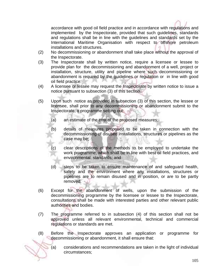

accordance with good oil field practice and in accordance with regulations and implemented by the Inspectorate, provided that such guidelines, standards and regulations shall be in line with the guidelines and standards set by the International Maritime Organisation with respect to offshore petroleum installations and structures.

- (2) No decommissioning or abandonment shall take place without the approval of the Inspectorate.
- (3) The Inspectorate shall by written notice, require a licensee or lessee to provide plan for the decommissioning and abandonment of a well, project or installation, structure, utility and pipeline where such decommissioning or abandonment is required by the guidelines or regulation or in line with good oil field practice.
- (4) A licensee or lessee may request the Inspectorate by written notice to issue a notice pursuant to subsection (3) of this section.
- (5) Upon such notice as provided in subsection (3) of this section, the lessee or licensee, shall prior to any decommissioning or abandonment submit to the Inspectorate, a programme setting out:
	- (a) an estimate of the cost of the proposed measures;
	- (b) details of measures proposed to be taken in connection with the decommissioning of disused installations, structures or pipelines as the case may be;
	- (c) clear descriptions of the methods to be employed to undertake the work programme, which shall be in line with best oil field practices, and environmental standards; and
	- (d) steps to be taken to ensure maintenance of and safeguard health, safety and the environment where any installations, structures or pipelines are to remain disused and in position, or are to be partly removed.
- (6) Except for the abandonment of wells, upon the submission of the decommissioning programme by the licensee or lessee to the Inspectorate, consultations shall be made with interested parties and other relevant public authorities and bodies.
- (7) The programme referred to in subsection (4) of this section shall not be approved unless all relevant environmental, technical and commercial regulations or standards are met.
- (8) Before the Inspectorate approves an application or programme for decommissioning or abandonment, it shall ensure that:
	- (a) considerations and recommendations are taken in the light of individual circumstances;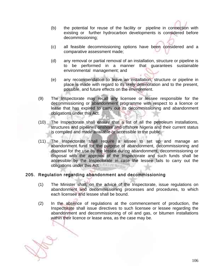- (b) the potential for reuse of the facility or pipeline in connection with existing or further hydrocarbon developments is considered before decommissioning;
- (c) all feasible decommissioning options have been considered and a comparative assessment made;
- (d) any removal or partial removal of an installation, structure or pipeline is to be performed in a manner that guarantees sustainable environmental management; and
- (e) any recommendation to leave an installation, structure or pipeline in place is made with regard to its likely deterioration and to the present, possible, and future effects on the environment.
- (9) The Inspectorate may recall any licensee or lessee responsible for the decommissioning or abandonment programme with respect to a licence or lease that has expired to carry out its decommissioning and abandonment obligations under this Act.
- (10) The Inspectorate shall ensure that a list of all the petroleum installations, structures and pipelines onshore and offshore Nigeria and their current status is compiled and made available or accessible to the public.
- (11) The Inspectorate shall require a lessee to set up and manage an abandonment fund for the purpose of abandonment, decommissioning and disposal for the use by the lessee during abandonment, decommissioning or disposal with the approval of the Inspectorate and such funds shall be accessible by the Inspectorate in case the lessee fails to carry out the obligations under this Act.

#### 205. Regulation regarding abandonment and decommissioning

- (1) The Minister shall, on the advice of the Inspectorate, issue regulations on abandonment and decommissioning processes and procedures, to which each licensee and lessee shall be bound.
- (2) In the absence of regulations at the commencement of production, the Inspectorate shall issue directives to such licensee or lessee regarding the abandonment and decommissioning of oil and gas, or bitumen installations within their licence or lease area, as the case may be.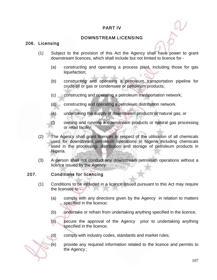# PART IV

## DOWNSTREAM LICENSING

#### 206. Licensing

- (1) Subject to the provision of this Act the Agency shall have power to grant downstream licences, which shall include but not limited to licence for -
	- (a) constructing and operating a process plant, including those for gas liquefaction;
	- (b) constructing and operating a petroleum transportation pipeline for crude oil or gas or condensate or petroleum products;
	- (c) constructing and operating a petroleum transportation network;
	- (d) constructing and operating a petroleum distribution network.
	- (e) undertaking the supply of downstream products or natural gas; or
	- (f) owning and running a downstream products or natural gas processing or retail facility.
- (2) The Agency shall grant licences in respect of the utilisation of all chemicals used for downstream petroleum operations in Nigeria including chemicals used in the processing, distribution and storage of petroleum products in Nigeria.
- (3) A person shall not conduct any downstream petroleum operations without a licence issued by the Agency.

#### 207. Conditions for licencing

- (1) Conditions to be included in a licence issued pursuant to this Act may require the licensee to -
	- (a) comply with any directions given by the Agency in relation to matters specified in the licence;
	- (b) undertake or refrain from undertaking anything specified in the licence;
	- (c) secure the approval of the Agency prior to undertaking anything specified in the licence;
	- (d) comply with industry codes, standards and market rules;
	- (e) provide any required information related to the licence and permits to the Agency ;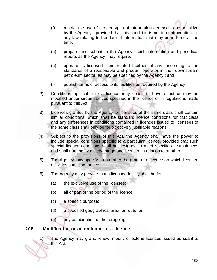- (f) restrict the use of certain types of information deemed to be sensitive by the Agency , provided that this condition is not in contravention of any law relating to freedom of information that may be in force at the time;
- (g) prepare and submit to the Agency such information and periodical reports as the Agency may require;
- (h) operate its licensed and related facilities, if any, according to the standards of a reasonable and prudent operator in the downstream petroleum sector as may be specified by the Agency ; and
- (i) publish terms of access to its facilities as required by the Agency .
- (2) Conditions applicable to a licence may cease to have effect or may be modified under circumstances specified in the licence or in regulations made pursuant to this Act.
- (3) Licences granted by the Agency to licensees of the same class shall contain similar conditions, which shall be standard licence conditions for that class and any differences in conditions contained in licences issued to licensees of the same class shall only be for objectively justifiable reasons.
- (4) Subject to the provisions of this Act, the Agency shall have the power to include special conditions specific to a particular licence, provided that such special licence conditions shall be designed to meet specific circumstances and shall not unduly disadvantage one licensee in relation to another.
- (5) The Agency may specify a date after the grant of a licence on which licensed activities shall commence.
- (6) The Agency may provide that a licensed facility shall be for:
	- (a) the exclusive use of the licensee;
	- (b) all or part of the period of the licence;
	- (c) a specific purpose;
	- (d) a specified geographical area, or route; or
	- (e) any combination of the foregoing.

#### 208. Modification or amendment of a licence

(1) The Agency may grant, renew, modify or extend licences issued pursuant to this Act.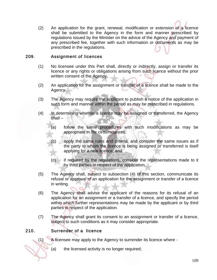(2) An application for the grant, renewal, modification or extension of a licence shall be submitted to the Agency in the form and manner prescribed by regulations issued by the Minister on the advice of the Agency and payment of any prescribed fee, together with such information or documents as may be prescribed in the regulations.

### 209. Assignment of licences

- (1) No licensee under this Part shall, directly or indirectly, assign or transfer its licence or any rights or obligations arising from such licence without the prior written consent of the Agency.
- (2) An application for the assignment or transfer of a licence shall be made to the Agency.
- (3) The Agency may require the applicant to publish a notice of the application in such form and manner within the period as may be prescribed in regulations.
- (4) In determining whether a licence may be assigned or transferred, the Agency shall –
	- (a) follow the same procedures with such modifications as may be appropriate in the circumstances;
	- (b) apply the same rules and criteria, and consider the same issues as if the party to whom the licence is being assigned or transferred is itself applying for a new licence; and
	- (c) if required by the regulations, consider the representations made to it by third parties in respect of the application.
- (5) The Agency shall, subject to subsection (4) of this section, communicate its refusal or approval of an application for the assignment or transfer of a licence in writing.
- (6) The Agency shall advise the applicant of the reasons for its refusal of an application for an assignment or a transfer of a licence, and specify the period within which further representations may be made by the applicant or by third parties in respect of the application.
- (7) The Agency shall grant its consent to an assignment or transfer of a licence, subject to such conditions as it may consider appropriate.

# 210. Surrender of a licence

(1) A licensee may apply to the Agency to surrender its licence where -

(a) the licensed activity is no longer required;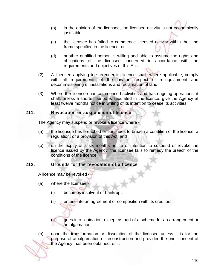- (b) in the opinion of the licensee, the licensed activity is not economically justifiable;
- (c) the licensee has failed to commence licensed activity within the time frame specified in the licence; or
- (d) another qualified person is willing and able to assume the rights and obligations of the licensee concerned in accordance with the requirements and objectives of this Act.
- (2) A licensee applying to surrender its licence shall, where applicable, comply with all requirements of the law in respect of relinquishment and decommissioning of installations and reclamation of land.
- (3) Where the licensee has commenced activities and has ongoing operations, it shall, unless a shorter period is stipulated in the licence, give the Agency at least twelve months notice in writing of its intention to cease its activities.

### 211. Revocation or suspension of licence

The Agency may suspend or revoke a licence where -

- (a) the licensee has breached or continues to breach a condition of the licence, a regulation, or a provision of this Act; and
- (b) on the expiry of a six months notice of intention to suspend or revoke the licence issued by the Agency, the licensee fails to remedy the breach of the conditions of the licence.

#### 212. Grounds for the revocation of a licence

A licence may be revoked

- (a) where the licensee
	- (i) becomes insolvent or bankrupt;
	- (ii) enters into an agreement or composition with its creditors;
	- (iii) goes into liquidation, except as part of a scheme for an arrangement or amalgamation.

التهور

(b) upon the transformation or dissolution of the licensee unless it is for the purpose of amalgamation or reconstruction and provided the prior consent of the Agency has been obtained; or .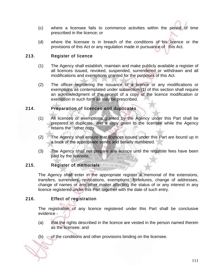- (c) where a licensee fails to commence activities within the period of time prescribed in the licence; or
- (d) where the licensee is in breach of the conditions of his licence or the provisions of this Act or any regulation made in pursuance of this Act.

### 213. Register of licence

- (1) The Agency shall establish, maintain and make publicly available a register of all licences issued, revoked, suspended, surrendered or withdrawn and all modifications and exemptions granted for the purposes of this Act.
- (2) The officer registering the issuance of a licence or any modifications or exemptions as contemplated under subsection (1) of this section shall require an acknowledgment of the receipt of a copy of the licence modification or exemption in such form as may be prescribed.

#### 214. Preparation of licences and duplicates

- (1) All licences or exemptions granted by the Agency under this Part shall be prepared in duplicate, and a copy given to the licensee while the Agency retains the other copy.
- (2) The Agency shall ensure that licences issued under this Part are bound up in a book of the appropriate series and serially numbered.
- (3) The Agency shall not prepare any licence until the requisite fees have been paid by the licensee.

#### 215. Register of memorials

The Agency shall enter in the appropriate register a memorial of the extensions, transfers, surrenders, revocations, exemptions, forfeitures, change of addresses, change of names or any other matter affecting the status of or any interest in any licence registered under this Part together with the date of such entry.

#### 216. Effect of registration

The registration of any licence registered under this Part shall be conclusive evidence -

- (a) that the rights described in the licence are vested in the person named therein as the licensee; and
- (b) of the conditions and other provisions binding on the licensee.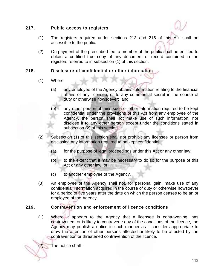#### 217. Public access to registers

- (1) The registers required under sections 213 and 215 of this Act shall be accessible to the public.
- (2) On payment of the prescribed fee, a member of the public shall be entitled to obtain a certified true copy of any document or record contained in the registers referred to in subsection (1) of this section.

### 218. Disclosure of confidential or other information

- (1) Where:
	- (a) any employee of the Agency obtains information relating to the financial affairs of any licensee, or to any commercial secret in the course of duty or otherwise howsoever; and
	- (b) any other person obtains such or other information required to be kept confidential under the provisions of this Act from any employee of the Agency, the person shall not make use of such information, nor disclose it to any other person except under the conditions stated in subsection (2) of this section.
- (2) Subsection (1) of this section shall not prohibit any licensee or person from disclosing any information required to be kept confidential:
	- (a) for the purpose of legal proceedings under this Act or any other law;
	- (b) to the extent that it may be necessary to do so for the purpose of this Act or any other law; or
	- (c) to another employee of the Agency.
- (3) An employee of the Agency shall not, for personal gain, make use of any confidential information acquired in the course of duty or otherwise howsoever for a period of five years after the date on which the person ceases to be an or employee of the Agency.

# 219. Contravention and enforcement of licence conditions

(1) Where it appears to the Agency that a licensee is contravening, has contravened, or is likely to contravene any of the conditions of the licence, the Agency may publish a notice in such manner as it considers appropriate to draw the attention of other persons affected or likely to be affected by the contravention or threatened contravention of the licence.

(2) The notice shall -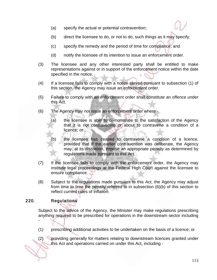- (a) specify the actual or potential contravention;
- (b) direct the licensee to do, or not to do, such things as it may specify;
- (c) specify the remedy and the period of time for compliance; and
- (d) notify the licensee of its intention to issue an enforcement order.
- (3) The licensee and any other interested party shall be entitled to make representations against or in support of the enforcement notice within the date specified in the notice.
- (4) If a licensee fails to comply with a notice served pursuant to subsection (1) of this section, the Agency may issue an enforcement order.
- (5) Failure to comply with an enforcement order shall constitute an offence under this Act.
- (6) The Agency may not issue an enforcement order where
	- (a) the licensee is able to demonstrate to the satisfaction of the Agency that it is not contravening or about to contravene a condition of a licence; or
	- (b) the licensee has ceased to contravene a condition of a licence, provided that if the earlier contravention was deliberate, the Agency may, at its discretion, impose an appropriate penalty as determined by regulations made pursuant to this Act.
- (7) If the licensee fails to comply with the enforcement order, the Agency may institute legal proceedings at the Federal High Court against the licensee to ensure compliance.
- (8) Subject to the regulations made pursuant to this Act, the Agency may adjust from time to time the penalty referred to in subsection (6)(b) of this section to reflect current rates of inflation.

### 220. Regulations

-

Subject to the advice of the Agency, the Minister may make regulations prescribing anything required to be prescribed for operations in the downstream sector including

(1) prescribing additional activities to be undertaken on the basis of a licence; or

(2) providing generally for matters relating to downstream licences granted under this Act and operations carried on under this Act, including -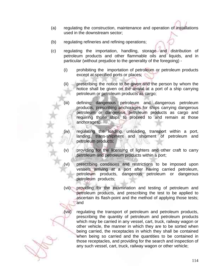- (a) regulating the construction, maintenance and operation of installations used in the downstream sector;
- (b) regulating refineries and refining operations;
- (c) regulating the importation, handling, storage and distribution of petroleum products and other flammable oils and liquids, and in particular (without prejudice to the generality of the foregoing) -
	- (i) prohibiting the importation of petroleum or petroleum products except at specified ports or places;
	- (ii) prescribing the notice to be given and the person by whom the notice shall be given on the arrival at a port of a ship carrying petroleum or petroleum products as cargo;
	- (iii) defining dangerous petroleum and dangerous petroleum products, prescribing anchorages for ships carrying dangerous petroleum or dangerous petroleum products as cargo and requiring those ships to proceed to and remain at those anchorages;
	- (iv) regulating the loading, unloading, transport within a port, landing, trans-shipment and shipment of petroleum and petroleum products;
	- (v) providing for the licensing of lighters and other craft to carry petroleum and petroleum products within a port;
	- (vi) prescribing conditions and restrictions to be imposed upon vessels arriving at a port after having carried petroleum, petroleum products, dangerous petroleum or dangerous petroleum products;
	- (vii) providing for the examination and testing of petroleum and petroleum products, and prescribing the test to be applied to ascertain its flash-point and the method of applying those tests; and
	- (viii) regulating the transport of petroleum and petroleum products, prescribing the quantity of petroleum and petroleum products which may be carried in any vessel, cart, truck, railway wagon or other vehicle, the manner in which they are to be sorted when being carried, the receptacles in which they shall be contained when being so carried and the quantities to be contained in those receptacles, and providing for the search and inspection of any such vessel, cart, truck, railway wagon or other vehicle;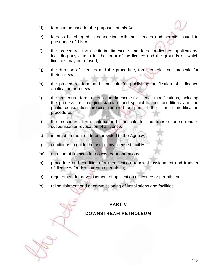- (d) forms to be used for the purposes of this Act;
- (e) fees to be charged in connection with the licences and permits issued in pursuance of this Act;
- (f) the procedure, form, criteria, timescale and fees for licence applications, including any criteria for the grant of the licence and the grounds on which licences may be refused;
- (g) the duration of licences and the procedure, form, criteria and timescale for their renewal;
- (h) the procedure, form and timescale for publishing notification of a licence application or renewal;
- (i) the procedure, form, criteria and timescale for licence modifications, including the process for changing standard and special licence conditions and the public consultation process required as part of the licence modification procedures;
- (j) the procedure, form, criteria and timescale for the transfer or surrender, suspension or revocation of a licence;
- (k) information required to be provided to the Agency;
- (l) conditions to guide the use of any licensed facility;
- (m) duration of licences for downstream operations;
- (n) procedure and conditions for modification, renewal, assignment and transfer of licences for downstream operations;
- (o) requirement for advertisement of application of licence or permit; and
- (p) relinquishment and decommissioning of installations and facilities.

### PART V

### DOWNSTREAM PETROLEUM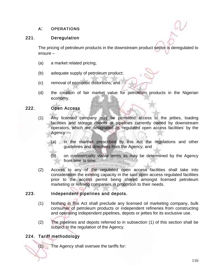### A: OPERATIONS

### 221. Deregulation

The pricing of petroleum products in the downstream product sector is deregulated to ensure –

- (a) a market related pricing;
- (b) adequate supply of petroleum product;
- (c) removal of economic distortions; and
- (d) the creation of fair market value for petroleum products in the Nigerian economy.

#### 222. Open Access

- (1) Any licensed company may be permitted access to the jetties, loading facilities and storage depots or pipelines currently owned by downstream operators, which are designated as 'regulated open access facilities' by the Agency —
	- (a) in the manner prescribed by this Act the regulations and other guidelines and directives from the Agency; and
	- (b) on commercially viable terms as may be determined by the Agency from time to time.
- (2) Access to any of the regulated open access facilities shall take into consideration the existing capacity in the said open access regulated facilities prior to the access permit being shared amongst licensed petroleum marketing or refining companies in proportion to their needs.

#### 223. Independent pipelines and depots.

- (1) Nothing in this Act shall preclude any licensed oil marketing company, bulk consumer of petroleum products or independent refineries from constructing and operating independent pipelines, depots or jetties for its exclusive use.
- (2) The pipelines and depots referred to in subsection (1) of this section shall be subject to the regulation of the Agency.

### 224. Tariff methodology

(1) The Agency shall oversee the tariffs for: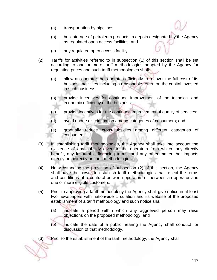- (a) transportation by pipelines;
- (b) bulk storage of petroleum products in depots designated by the Agency as regulated open access facilities; and
- (c) any regulated open access facility.
- (2) Tariffs for activities referred to in subsection (1) of this section shall be set according to one or more tariff methodologies adopted by the Agency for regulating prices and such tariff methodologies shall:
	- (a) allow an operator that operates efficiently to recover the full cost of its business activities including a reasonable return on the capital invested in such business;
	- (b) provide incentives for continued improvement of the technical and economic efficiency of the business;
	- (c) provide incentives for the continued improvement of quality of services;
	- (d) avoid undue discrimination among categories of consumers; and
	- (e) gradually reduce cross-subsidies among different categories of consumers.
- (3) In establishing tariff methodologies, the Agency shall take into account the existence of any subsidy given to the operators from which they directly benefit, any favourable financing terms, and any other matter that impacts directly or indirectly on tariff methodologies.
- (4) Notwithstanding the provision of subsection (2) of this section, the Agency shall have the power to establish tariff methodologies that reflect the terms and conditions of a contract between operators or between an operator and one or more eligible customers.
- (5) Prior to approving a tariff methodology the Agency shall give notice in at least two newspapers with nationwide circulation and its website of the proposed establishment of a tariff methodology and such notice shall:
	- (a) indicate a period within which any aggrieved person may raise objections on the proposed methodology; and
	- (b) indicate the date of a public hearing the Agency shall conduct for discussion of that methodology.

(6) Prior to the establishment of the tariff methodology, the Agency shall: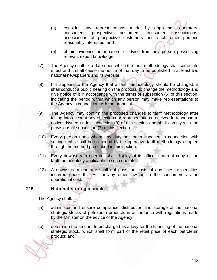- (a) consider any representations made by applicants, operators, consumers, prospective customers, consumers associations, associations of prospective customers and such other persons reasonably interested; and
- (b) obtain evidence, information or advice from any person possessing relevant expert knowledge.
- (7) The Agency shall fix a date upon which the tariff methodology shall come into effect and it shall cause the notice of that day to be published in at least two national newspapers and its website.
- (8) If it appears to the Agency that a tariff methodology should be changed, it shall conduct a public hearing on the proposal to change the methodology and give notice of it in accordance with the terms of subsection (5) of this section, indicating the period within which any person may make representations to the Agency in connection with the proposal.
- (9) The Agency may confirm the proposed changes to tariff methodology after taking into account any objections or representations received in response to notices issued under subsection (8) of this section and shall comply with the provisions of subsection (7) of this section.
- (10) Every person upon whom any duty has been imposed in connection with setting tariffs shall be so bound by the operative tariff methodology adopted through the method prescribed in this section.
- (11) Every downstream operator shall display at its office a current copy of the tariff methodology applicable to such operator.
- (12) A downstream operator shall not pass the costs of any fines or penalties incurred under this Act or any other law on to the consumers as an operational cost.

### 225. National strategic stock

The Agency shall:

- (a) administer and ensure compliance, distribution and storage of the national strategic stocks of petroleum products in accordance with regulations made by the Minister on the advice of the Agency;
- (b) determine the amount to be charged as a levy for the financing of the national strategic stock, which shall form part of the retail price of each petroleum product; and

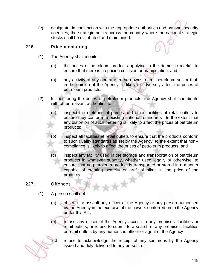(c) designate, in conjunction with the appropriate authorities and national security agencies, the strategic points across the country where the national strategic stocks shall be distributed and maintained.

### 226. Price monitoring

(1) The Agency shall monitor -

- 
- (a) the prices of petroleum products applying in the domestic market to ensure that there is no pricing collusion or manipulation; and
- (b) any activity of any operator in the downstream petroleum sector that, in the opinion of the Agency, is likely to adversely affect the prices of petroleum products.
- (2) In monitoring the prices of petroleum products, the Agency shall coordinate with other relevant authorities to -
	- (a) inspect the metering of pumps and other facilities at retail outlets to ensure they conform to existing national standards , to the extent that any distortion of such metering is likely to affect the prices of petroleum products;
	- (b) inspect all facilities at retail outlets to ensure that the products conform to such quality standards as set by the Agency, to the extent that non- compliance is likely to affect the prices of petroleum products; and
	- (c) inspect any facility used in the storage and transportation of petroleum products in whatever quantity, whether used legally or otherwise, to ensure that no petroleum product is transported or stored in a manner capable of creating scarcity or artificial hikes in the price of the products.

#### 227. Offences

- (1) A person shall not
	- (a) obstruct or assault any officer of the Agency or any person authorised by the Agency in the exercise of the powers conferred on to the Agency under this Act;
	- (b) refuse any officer of the Agency access to any premises, facilities or retail outlets, or refuse to submit to a search of any premises, facilities or retail outlets by any authorised officer or agent of the Agency

refuse to acknowledge the receipt of any summons by the Agency issued and duly delivered to any person; or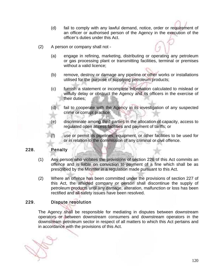- (d) fail to comply with any lawful demand, notice, order or requirement of an officer or authorised person of the Agency in the execution of the officer's duties under this Act.
- (2) A person or company shall not
	- (a) engage in refining, marketing, distributing or operating any petroleum or gas processing plant or transmitting facilities, terminal or premises without a valid licence;
	- (b) remove, destroy or damage any pipeline or other works or installations utilised for the purpose of supplying petroleum products;
	- (c) furnish a statement or incomplete information calculated to mislead or wilfully delay or obstruct the Agency and its officers in the exercise of their duties;
	- (d) fail to cooperate with the Agency in its investigation of any suspected crime or corrupt practice;
	- (e) discriminate among third parties in the allocation of capacity, access to regulated open access facilities and payment of tariffs; or
	- (f) use or permit its pipelines, equipment, or other facilities to be used for or in relation to the commission of any criminal or civil offence.

#### 228. Penalty

- (1) Any person who violates the provisions of section 226 of this Act commits an offence and is liable on conviction to payment of a fine which shall be as prescribed by the Minister in a regulation made pursuant to this Act.
- (2) Where an offence has been committed under the provisions of section 227 of this Act, the affected company or person shall discontinue the supply of petroleum products until any damage, alteration, malfunction or loss has been rectified and all safety issues have been resolved.

#### 229. Dispute resolution

The Agency shall be responsible for mediating in disputes between downstream operators or between downstream consumers and downstream operators in the downstream petroleum sector in respect of all matters to which this Act pertains and in accordance with the provisions of this Act.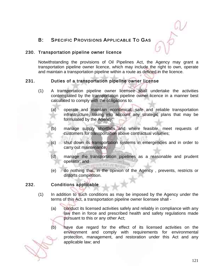

# B: SPECIFIC PROVISIONS APPLICABLE TO GAS

#### 230. Transportation pipeline owner licence

Notwithstanding the provisions of Oil Pipelines Act, the Agency may grant a transportation pipeline owner licence, which may include the right to own, operate and maintain a transportation pipeline within a route as defined in the licence.

### 231. Duties of a transportation pipeline owner license

- (1) A transportation pipeline owner licensee shall undertake the activities contemplated by the transportation pipeline owner licence in a manner best calculated to comply with the obligations to:
	- (a) operate and maintain economical, safe and reliable transportation infrastructure, taking into account any strategic plans that may be formulated by the Agency;
	- (b) manage supply shortfalls and where feasible, meet requests of customers for transportation above contractual volumes;
	- (c) shut down its transportation systems in emergencies and in order to carry out maintenance;
	- (d) manage the transportation pipelines as a reasonable and prudent operator; and
	- (e) do nothing that, in the opinion of the Agency , prevents, restricts or distorts competition.

#### 232. Conditions applicable

- (1) In addition to such conditions as may be imposed by the Agency under the terms of this Act, a transportation pipeline owner licensee shall -
	- (a) conduct its licensed activities safely and reliably in compliance with any law then in force and prescribed health and safety regulations made pursuant to this or any other Act;
	- (b) have due regard for the effect of its licensed activities on the environment and comply with requirements for environmental protection, management, and restoration under this Act and any applicable law; and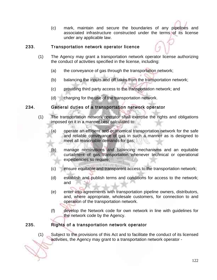(c) mark, maintain and secure the boundaries of any pipelines and associated infrastructure constructed under the terms of its license under any applicable law.

#### 233. Transportation network operator licence

- (1) The Agency may grant a transportation network operator license authorizing the conduct of activities specified in the license, including:
	- (a) the conveyance of gas through the transportation network;
	- (b) balancing the inputs and off takes from the transportation network;
	- (c) providing third party access to the transportation network; and
	- (d) charging for the use of the transportation network.

#### 234. General duties of a transportation network operator

- (1) The transportation network operator shall exercise the rights and obligations imposed on it in a manner best calculated to:
	- (a) operate an efficient and economical transportation network for the safe and reliable conveyance of gas in such a manner as is designed to meet all reasonable demands for gas;
	- (b) manage nominations and balancing mechanisms and an equitable curtailment of gas transportation whenever technical or operational expediencies so require;
	- (c) ensure equitable and transparent access to the transportation network;
	- (d) establish and publish terms and conditions for access to the network; and
	- (e) enter into agreements with transportation pipeline owners, distributors, and, where appropriate, wholesale customers, for connection to and operation of the transportation network.
	- (f) develop the Network code for own network in line with guidelines for the network code by the Agency.

### 235. Rights of a transportation network operator

(1) Subject to the provisions of this Act and to facilitate the conduct of its licensed activities, the Agency may grant to a transportation network operator -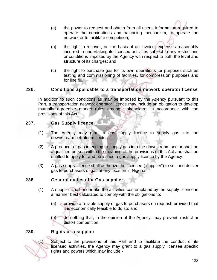- (a) the power to request and obtain from all users, information required to operate the nominations and balancing mechanism, to operate the network or to facilitate competition;
- (b) the right to recover, on the basis of an invoice, expenses reasonably incurred in undertaking its licensed activities subject to any restrictions or conditions imposed by the Agency with respect to both the level and structure of its charges; and
- (c) the right to purchase gas for its own operations for purposes such as testing and commissioning of facilities, for compression purposes and for line fill.

### 236. Conditions applicable to a transportation network operator license

In addition to such conditions as may be imposed by the Agency pursuant to this Part, a transportation network operator licence may include an obligation to develop mutually agreeable market rules among stakeholders in accordance with the provisions of this Act.

#### 237. Gas Supply licence

- (1) The Agency may grant a gas supply licence to supply gas into the downstream petroleum sector.
- (2) A producer of gas intending to supply gas into the downstream sector shall be a qualified person within the meaning of the provisions of this Act and shall be entitled to apply for and be issued a gas supply licence by the Agency.
- (3) A gas supply licence shall authorize the licensee ("supplier") to sell and deliver gas to purchasers of gas at any location in Nigeria.

#### 238. General duties of a Gas supplier

- (1) A supplier shall undertake the activities contemplated by the supply licence in a manner best calculated to comply with the obligations to:
	- (a) provide a reliable supply of gas to purchasers on request, provided that it is economically feasible to do so; and
	- (b) do nothing that, in the opinion of the Agency, may prevent, restrict or distort competition.

### 239. Rights of a supplier

(1) Subject to the provisions of this Part and to facilitate the conduct of its licensed activities, the Agency may grant to a gas supply licensee specific rights and powers which may include -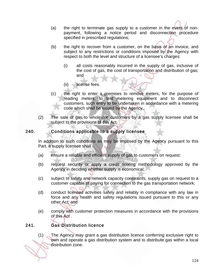- (a) the right to terminate gas supply to a customer in the event of nonpayment, following a notice period and disconnection procedure specified in prescribed regulations;
- (b) the right to recover from a customer, on the basis of an invoice, and subject to any restrictions or conditions imposed by the Agency with respect to both the level and structure of a licensee's charges:
	- (i) all costs reasonably incurred in the supply of gas, inclusive of the cost of gas, the cost of transportation and distribution of gas; and
	- (ii) license fees.
- (c) the right to enter a premises to remove meters, for the purpose of reading meters, to test metering equipment and to disconnect customers, such entry to be undertaken in accordance with a metering code which shall be issued by the Agency..
- (2) The sale of gas to wholesale customers by a gas supply licensee shall be subject to the provisions of this Act.

#### 240. Conditions applicable to a supply licensee

In addition to such conditions as may be imposed by the Agency pursuant to this Part, a supply licensee shall -

- (a) ensure a reliable and efficient supply of gas to customers on request;
- (b) request security or apply a credit scoring methodology approved by the Agency in deciding whether supply is economical;
- (c) subject to safety and network capacity constraints, supply gas on request to a customer capable of paying for connection to the gas transportation network;
- (d) conduct licensed activities safely and reliably in compliance with any law in force and any health and safety regulations issued pursuant to this or any other Act; and
- (e) comply with customer protection measures in accordance with the provisions of this Act .

### 241. Gas Distribution licence

(1) The Agency may grant a gas distribution licence conferring exclusive right to own and operate a gas distribution system and to distribute gas within a local distribution zone.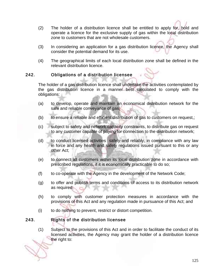- (2) The holder of a distribution licence shall be entitled to apply for, hold and operate a licence for the exclusive supply of gas within the local distribution zone to customers that are not wholesale customers.
- (3) In considering an application for a gas distribution licence, the Agency shall consider the potential demand for its use.
- (4) The geographical limits of each local distribution zone shall be defined in the relevant distribution licence.

### 242. Obligations of a distribution licensee

The holder of a gas distribution licence shall undertake the activities contemplated by the gas distribution licence in a manner best calculated to comply with the obligations:

- (a) to develop, operate and maintain an economical distribution network for the safe and reliable conveyance of gas;
- (b) to ensure a reliable and efficient distribution of gas to customers on request,;
- (c) subject to safety and network capacity constraints, to distribute gas on request to any customer capable of paying for connection to the distribution network;
- (d) to conduct licensed activities safely and reliably, in compliance with any law in force and any health and safety regulations issued pursuant to this or any other Act;
- (e) to connect all customers within its local distribution zone in accordance with prescribed regulations, if it is economically practicable to do so;
- (f) to co-operate with the Agency in the development of the Network Code;
- (g) to offer and publish terms and conditions of access to its distribution network as required;
- (h) to comply with customer protection measures in accordance with the provisions of this Act and any regulation made in pursuance of this Act; and
- (i) to do nothing to prevent, restrict or distort competition.

# 243. Rights of the distribution licensee

(1) Subject to the provisions of this Act and in order to facilitate the conduct of its licensed activities, the Agency may grant the holder of a distribution licence the right to: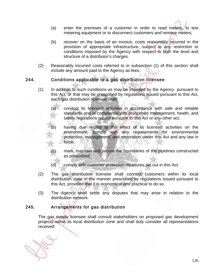- (a) enter the premises of a customer in order to read meters, to test metering equipment or to disconnect customers and remove meters;
- (b) recover on the basis of an invoice, costs reasonably incurred in the provision of appropriate infrastructure, subject to any restriction or conditions imposed by the Agency with respect to both the level and structure of a distributor's charges.
- (2) Reasonably incurred costs referred to in subsection (1) of this section shall include any amount paid to the Agency as fees.

### 244. Conditions applicable to a gas distribution licensee

- (1) In addition to such conditions as may be imposed by the Agency pursuant to this Act, or that may be prescribed by regulations issued pursuant to this Act, each gas distribution licensee shall:
	- (a) conduct its licensed activities in accordance with safe and reliable standards and in compliance with prescribed management, health, and safety regulations issued pursuant to this Act or any other act;
	- (b) having due regard to the effect of its licensed activities on the environment, comply with any requirements for environmental protection, management, and restoration under this Act and any law in force;
	- (c) mark, maintain and secure the boundaries of the pipelines constructed as prescribed;
	- (d) comply with customer protection measures set out in this Act.
- (2) The gas distribution licensee shall connect customers within its local distribution zone in the manner prescribed by regulations issued pursuant to this Act, provided that it is economical and practical to do so.
- (3) The Agency shall settle any disputes that may arise in relation to the distribution network.

### 245. Arrangements for gas distribution

The gas supply licensee shall consult stakeholders on proposed gas development projects within its local distribution zone and shall duly consider all representations received.

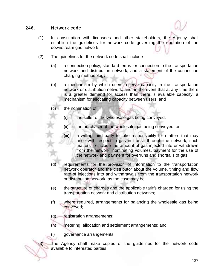#### 246. Network code

- (1) In consultation with licensees and other stakeholders, the Agency shall establish the guidelines for network code governing the operation of the downstream gas network.
- (2) The guidelines for the network code shall include
	- (a) a connection policy, standard terms for connection to the transportation network and distribution network, and a statement of the connection charging methodology;
	- (b) a mechanism by which users reserve capacity in the transportation network or distribution network, and, in the event that at any time there is a greater demand for access than there is available capacity, a mechanism for allocating capacity between users; and
	- (c) the nomination of:
		- (i) the seller of the wholesale gas being conveyed;
		- (ii) the purchaser of the wholesale gas being conveyed; or
		- (iii) a willing third party to take responsibility for matters that may arise with respect to gas in transit through the network, such matters to include the amount of gas injected into or withdrawn from the network, nominating volumes, payment for the use of the network and payment for overruns and shortfalls of gas;
	- (d) requirements for the provision of information to the transportation network operator and the distributor about the volume, timing and flow rate of injections into and withdrawals from the transportation network or distribution network, as the case may be;
	- (e) the structure of charges and the applicable tariffs charged for using the transportation network and distribution networks;
	- (f) where required, arrangements for balancing the wholesale gas being conveyed;
	- (g) registration arrangements;
	- (h) metering, allocation and settlement arrangements; and
	- (i) governance arrangements.

(3) The Agency shall make copies of the guidelines for the network code available to interested parties.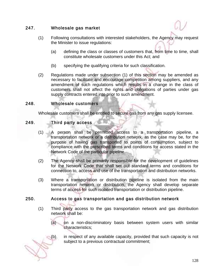### 247. Wholesale gas market

- (1) Following consultations with interested stakeholders, the Agency may request the Minister to issue regulations:
	- (a) defining the class or classes of customers that, from time to time, shall constitute wholesale customers under this Act; and
	- (b) specifying the qualifying criteria for such classification.
- (2) Regulations made under subsection (1) of this section may be amended as necessary to facilitate and encourage competition among suppliers, and any amendment of such regulations which results in a change in the class of customers shall not affect the rights and obligations of parties under gas supply contracts entered into prior to such amendment.

### 248. Wholesale customers

Wholesale customers shall be entitled to secure gas from any gas supply licensee.

### 249. Third party access

- (1) A person shall be permitted access to a transportation pipeline, a transportation network or a distribution network, as the case may be, for the purpose of having gas transported to points of consumption, subject to compliance with the prescribed terms and conditions for access stated in the Network Code of the particular pipeline.
- (2) The Agency shall be primarily responsible for the development of guidelines for the Network Code that shall set out standard terms and conditions for connection to, access and use of the transportation and distribution networks.
- (3) Where a transportation or distribution pipeline is isolated from the main transportation network or distribution, the Agency shall develop separate terms of access for such isolated transportation or distribution pipeline.

### 250. Access to gas transportation and gas distribution network

- (1) Third party access to the gas transportation network and gas distribution network shall be:
	- (a) on a non-discriminatory basis between system users with similar characteristics;

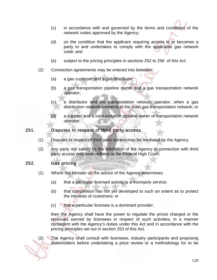- (c) in accordance with and governed by the terms and conditions of the network codes approved by the Agency;
- (d) on the condition that the applicant requiring access is or becomes a party to and undertakes to comply with the applicable gas network code; and
- (e) subject to the pricing principles in sections 252 to 256 of this Act.
- (2) Connection agreements may be entered into between:
	- (a) a gas customer and a gas distributor;
	- (b) a gas transportation pipeline owner and a gas transportation network operator;
	- (c) a distributor and the transportation network operator, when a gas distribution network connects to the main gas transportation network; or
	- (d) a supplier and a transportation pipeline owner or transportation network operator.

#### 251. Disputes in respect of third party access

- (1) Disputes in respect of third party access may be mediated by the Agency.
- (2) Any party not satisfy by the mediation of the Agency in connection with third party access may seek redress at the Federal High Court.

#### 252. Gas pricing

(1) Where the Minister on the advice of the Agency determines:

**VITE STATES** 

- (a) that a particular licensed activity is a monopoly service;
- (b) that competition has not yet developed to such an extent as to protect the interests of customers; or
- (c) that a particular licensee is a dominant provider,

then the Agency shall have the power to regulate the prices charged or the revenues earned by licensees in respect of such activities, in a manner consistent with the Agency's duties under this Act and in accordance with the pricing principles set out in section 253 of this Act.

(2) The Agency shall consult with licensees, industry participants and proposing stakeholders before undertaking a price review or a methodology for to be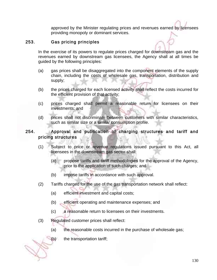approved by the Minister regulating prices and revenues earned by licensees providing monopoly or dominant services.

#### 253. Gas pricing principles

In the exercise of its powers to regulate prices charged for downstream gas and the revenues earned by downstream gas licensees, the Agency shall at all times be guided by the following principles:

- (a) gas prices shall be disaggregated into the component elements of the supply chain, including the costs of wholesale gas, transportation, distribution and supply;
- (b) the prices charged for each licensed activity shall reflect the costs incurred for the efficient provision of that activity;
- (c) prices charged shall permit a reasonable return for licensees on their investments; and
- (d) prices shall not discriminate between customers with similar characteristics, such as similar size or a similar consumption profile.

### 254. Approval and publication of charging structures and tariff and pricing structures

- (1) Subject to price or revenue regulations issued pursuant to this Act, all licensees in the downstream gas sector shall:
	- (a) propose tariffs and tariff methodologies for the approval of the Agency, prior to the application of such charges; and
	- (b) impose tariffs in accordance with such approval.
- (2) Tariffs charged for the use of the gas transportation network shall reflect:
	- (a) efficient investment and capital costs;
	- (b) efficient operating and maintenance expenses; and
	- (c) a reasonable return to licensees on their investments.
- (3) Regulated customer prices shall reflect:
	- (a) the reasonable costs incurred in the purchase of wholesale gas;
	- (b) the transportation tariff;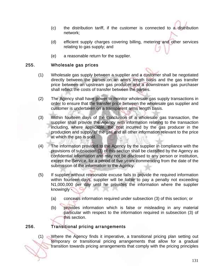- (c) the distribution tariff, if the customer is connected to a distribution network;
- (d) efficient supply charges covering billing, metering and other services relating to gas supply; and
- (e) a reasonable return for the supplier.

#### 255. Wholesale gas prices

- (1) Wholesale gas supply between a supplier and a customer shall be negotiated directly between the parties on an arm's length basis and the gas transfer price between an upstream gas producer and a downstream gas purchaser shall reflect the costs of transfer between the parties.
- (2) The Agency shall have power to monitor wholesale gas supply transactions in order to ensure that the transfer price between the wholesale gas supplier and customer is undertaken on a transparent arms length basis.
- (3) Within fourteen days of the conclusion of a wholesale gas transaction, the supplier shall provide the Agency with information relating to the transaction including, where applicable, the cost incurred by the gas producer in the production and supply of the gas and all other information relevant to the price at which the gas is sold.
- (4) The information provided to the Agency by the supplier in compliance with the provisions of subsection (3) of this section shall be classified by the Agency as confidential information and may not be disclosed to any person or institution, except the Service, for a period of five years commencing from the date of the submission of the information to the Agency.
- (5) If supplier without reasonable excuse fails to provide the required information within fourteen days, supplier will be liable to pay a penalty not exceeding N1,000,000 per day until he provides the information where the supplier knowingly -
	- (a) conceals information required under subsection (3) of this section; or
	- (b) provides information which is false or misleading in any material particular with respect to the information required in subsection (3) of this section.

### 256. Transitional pricing arrangements

(1) Where the Agency finds it imperative, a transitional pricing plan setting out temporary or transitional pricing arrangements that allow for a gradual transition towards pricing arrangements that comply with the pricing principles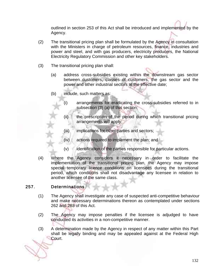outlined in section 253 of this Act shall be introduced and implemented by the Agency.

- (2) The transitional pricing plan shall be formulated by the Agency in consultation with the Ministers in charge of petroleum resources, finance, industries and power and steel, and with gas producers, electricity producers, the National Electricity Regulatory Commission and other key stakeholders.
- (3) The transitional pricing plan shall:
	- (a) address cross-subsidies existing within the downstream gas sector between customers, classes of customers, the gas sector and the power and other industrial sectors at the effective date;
	- (b) include, such matters as:
		- (i) arrangements for eradicating the cross-subsidies referred to in subsection (3) (a) of this section;
		- (ii) the prescription of the period during which transitional pricing arrangements will apply;
		- (iii) implications for other parties and sectors;
		- (iv) actions required to implement the plan; and
		- (v) identification of the parties responsible for particular actions.
- (4) Where the Agency considers it necessary in order to facilitate the implementation of the transitional pricing plan, the Agency may impose special temporary licence conditions on licensees during the transitional period, which conditions shall not disadvantage any licensee in relation to another licensee of the same class.

#### 257. Determinations

- (1) The Agency shall investigate any case of suspected anti-competitive behaviour and make necessary determinations thereon as contemplated under sections 262 and 263 of this Act.
- (2) The Agency may impose penalties if the licensee is adjudged to have conducted its activities in a non-competitive manner.
- (3) A determination made by the Agency in respect of any matter within this Part shall be legally binding and may be appealed against at the Federal High Court.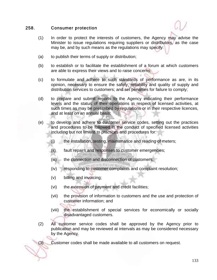#### 258. Consumer protection

- (1) In order to protect the interests of customers, the Agency may advise the Minister to issue regulations requiring suppliers or distributors, as the case may be, and by such means as the regulations may specify:
- (a) to publish their terms of supply or distribution;
- (b) to establish or to facilitate the establishment of a forum at which customers are able to express their views and to raise concerns;
- (c) to formulate and adhere to such standards of performance as are, in its opinion, necessary to ensure the safety, reliability and quality of supply and distribution services to customers; and set penalties for failure to comply;
- (d) to prepare and submit reports to the Agency indicating their performance levels and the status of their operations in respect of licensed activities, at such times as may be prescribed by regulations or in their respective licences, and at least on an annual basis;
- (e) to develop and adhere to customer service codes, setting out the practices and procedures to be followed in the conduct of specified licensed activities including but not limited to practices and procedures for:
	- (i) the installation, testing, maintenance and reading of meters;
	- (ii) fault repairs and responses to customer emergencies;
	- (iii) the connection and disconnection of customers;
	- (iv) responding to customer complaints and complaint resolution;
	- (v) billing and invoicing;
	- (vi) the extension of payment and credit facilities;
	- (vii) the provision of information to customers and the use and protection of customer information; and
	- (viii) the establishment of special services for economically or socially disadvantaged customers.
- (2) All customer service codes shall be approved by the Agency prior to publication and may be reviewed at intervals as may be considered necessary by the Agency.

(3) Customer codes shall be made available to all customers on request.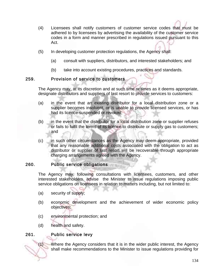- (4) Licensees shall notify customers of customer service codes that must be adhered to by licensees by advertising the availability of the customer service codes in a form and manner prescribed in regulations issued pursuant to this Act.
- (5) In developing customer protection regulations, the Agency shall:
	- (a) consult with suppliers, distributors, and interested stakeholders; and
	- (b) take into account existing procedures, practices and standards.

### 259. Provision of service to customers

The Agency may, at its discretion and at such time or times as it deems appropriate, designate distributors and suppliers of last resort to provide services to customers:

- (a) in the event that an existing distributor for a local distribution zone or a supplier becomes insolvent, or is unable to provide licensed services, or has had its licence suspended or revoked;
- (b) in the event that the distributor for a local distribution zone or supplier refuses or fails to fulfil the terms of its licence to distribute or supply gas to customers; and
- (c) in such other circumstances as the Agency may deem appropriate, provided that any reasonable additional costs associated with the obligation to act as distributor or supplier of last resort will be recoverable through appropriate charging arrangements agreed with the Agency.

#### 260. Public service obligations

The Agency may, following consultations with licensees, customers, and other interested stakeholders, advise the Minister to issue regulations imposing public service obligations on licensees in relation to matters including, but not limited to:

- (a) security of supply;
- (b) economic development and the achievement of wider economic policy objectives;
- (c) environmental protection; and
- (d) health and safety.

### 261. Public service levy

(1) Where the Agency considers that it is in the wider public interest, the Agency shall make recommendations to the Minister to issue regulations providing for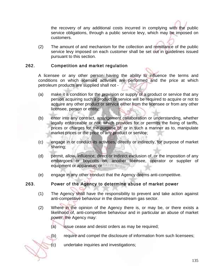the recovery of any additional costs incurred in complying with the public service obligations, through a public service levy, which may be imposed on customers.

(2) The amount of and mechanism for the collection and remittance of the public service levy imposed on each customer shall be set out in guidelines issued pursuant to this section.

### 262. Competition and market regulation

A licensee or any other person having the ability to influence the terms and conditions on which licensed activities are performed and the price at which petroleum products are supplied shall not -

- (a) make it a condition for the provision or supply of a product or service that any person acquiring such a product or service will be required to acquire or not to acquire any other product or service either from the licensee or from any other licensee, person or entity;
- (b) enter into any contract, arrangement collaboration or understanding, whether legally enforceable or not, which provides for or permits the fixing of tariffs, prices or charges for the purpose of, or in such a manner as to, manipulate market prices or the price of any product or service;
- (c) engage in or conduct its activities, directly or indirectly, for purpose of market sharing;
- (d) permit, allow, influence, direct or indirect exclusion of, or the imposition of any embargoes or boycotts on, another licensee, operator or supplier of equipment or apparatus; or
- (e) engage in any other conduct that the Agency deems anti-competitive.

#### 263. Power of the Agency to determine abuse of market power

- (1) The Agency shall have the responsibility to prevent and take action against anti-competitive behaviour in the downstream gas sector.
- (2) Where in the opinion of the Agency there is, or may be, or there exists a likelihood of, anti-competitive behaviour and in particular an abuse of market power, the Agency may:
	- (a) issue cease and desist orders as may be required;
	- (b) require and compel the disclosure of information from such licensees;

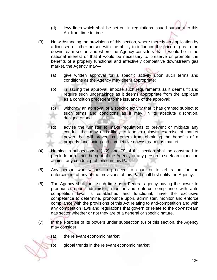- (d) levy fines which shall be set out in regulations issued pursuant to this Act from time to time.
- (3) Notwithstanding the provisions of this section, where there is an application by a licensee or other person with the ability to influence the price of gas in the downstream sector, and where the Agency considers that it would be in the national interest or that it would be necessary to preserve or promote the benefits of a properly functional and effectively competitive downstream gas market, the Agency may—
	- (a) give written approval for a specific activity upon such terms and conditions as the Agency may deem appropriate;
	- (b) in issuing the approval, impose such requirements as it deems fit and require such undertakings as it deems appropriate from the applicant as a condition precedent to the issuance of the approval;
	- (c) withdraw an approval of a specific activity that it has granted subject to such terms and conditions as it may, in its absolute discretion, designate; and
	- advise the Minister to make regulations to prevent or mitigate any conduct that may or is likely to lead to unlawful exercise of market power that will prevent customers from obtaining the benefits of a properly functioning and competitive downstream gas market.
- (4) Nothing in subsections (1) (2) and (3) of this section shall be construed to preclude or restrict the right of the Agency or any person to seek an injunction against any conduct prohibited in this Part.
- (5) Any person who wishes to proceed to court or to arbitration for the enforcement of any of the provisions of this Part shall first notify the Agency.
- (6) The Agency shall, until such time as a Federal agency having the power to pronounce upon, administer, monitor and enforce compliance with anticompetition laws is established and functional, have the exclusive competence to determine, pronounce upon, administer, monitor and enforce compliance with the provisions of this Act relating to anti-competition and with any competition laws and regulations that govern or relate to the downstream gas sector whether or not they are of a general or specific nature.
- (7) In the exercise of its powers under subsection (6) of this section, the Agency may consider:
	- (a) the relevant economic market;
	- (b) global trends in the relevant economic market;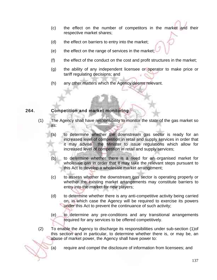- (c) the effect on the number of competitors in the market and their respective market shares;
- (d) the effect on barriers to entry into the market;
- (e) the effect on the range of services in the market;
- (f) the effect of the conduct on the cost and profit structures in the market;
- (g) the ability of any independent licensee or operator to make price or tariff regulating decisions; and
- (h) any other matters which the Agency deems relevant.

#### 264. Competition and market monitoring

- (1) The Agency shall have responsibility to monitor the state of the gas market so as:
	- (a) to determine whether the downstream gas sector is ready for an increased level of competition in retail and supply services in order that it may advise the Minister to issue regulations which allow for increased level of competition in retail and supply services;
	- (b) to determine whether there is a need for an organised market for wholesale gas in order that it may take the relevant steps pursuant to this Act to develop a wholesale market arrangement;
	- (c) to assess whether the downstream gas sector is operating properly or whether the existing market arrangements may constitute barriers to entry into the market for new players;
	- (d) to determine whether there is any anti-competitive activity being carried on, in which case the Agency will be required to exercise its powers under this Act to prevent the continuance of such activity;
	- (e) to determine any pre-conditions and any transitional arrangements required for any services to be offered competitively.
- (2) To enable the Agency to discharge its responsibilities under sub-section (1)of this section and in particular, to determine whether there is, or may be, an abuse of market power, the Agency shall have power to:
	- (a) require and compel the disclosure of information from licensees; and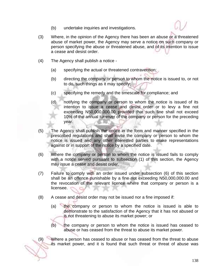- (b) undertake inquiries and investigations.
- (3) Where, in the opinion of the Agency there has been an abuse or a threatened abuse of market power, the Agency may serve a notice on such company or person specifying the abuse or threatened abuse, and of its intention to issue a cease and desist order.
- (4) The Agency shall publish a notice
	- (a) specifying the actual or threatened contravention;
	- (b) directing the company or person to whom the notice is issued to, or not to do, such things as it may specify;
	- (c) specifying the remedy and the timescale for compliance; and
	- (d) notifying the company or person to whom the notice is issued of its intention to issue a cease and desist order or to levy a fine not exceeding N50,000,000.00 provided that such fine shall not exceed 10% of the annual turnover of the company or person for the preceding year.
- (5) The Agency shall publish the notice in the form and manner specified in the prescribed regulations and shall invite the company or person to whom the notice is issued and any other interested parties to make representations against or in support of the notice by a specified date.
- (6) Where the company or person to whom the notice is issued fails to comply with a notice served pursuant to subsection (1) of this section, the Agency may issue a cease and desist order.
- (7) Failure to comply with an order issued under subsection (6) of this section shall be an offence punishable by a fine not exceeding N50,000,000.00 and the revocation of the relevant licence where that company or person is a licensee.
- (8) A cease and desist order may not be issued nor a fine imposed if:
	- (a) the company or person to whom the notice is issued is able to demonstrate to the satisfaction of the Agency that it has not abused or is not threatening to abuse its market power; or
	- (b) the company or person to whom the notice is issued has ceased to abuse or has ceased from the threat to abuse its market power.

(9) Where a person has ceased to abuse or has ceased from the threat to abuse its market power, and it is found that such threat or threat of abuse was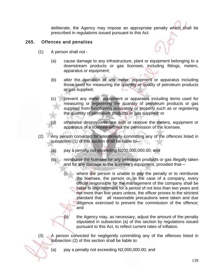deliberate, the Agency may impose an appropriate penalty which shall be prescribed in regulations issued pursuant to this Act.

### 265. Offences and penalties

- (1) A person shall not
	- (a) cause damage to any infrastructure, plant or equipment belonging to a downstream products or gas licensee, including fittings, meters, apparatus or equipment;
	- (b) alter the operation of any meter, equipment or apparatus including those used for measuring the quantity or quality of petroleum products or gas supplied;
	- (c) prevent any meter, equipment or apparatus including items used for measuring or registering the quantity of petroleum products or gas supplied from functioning accurately or properly such as or registering the quantity of petroleum products or gas supplied; or
	- (d) otherwise destroy, interfere with or remove the meters, equipment or apparatus of a licensee without the permission of the licensee.
- (2) Any person convicted for intentionally committing any of the offences listed in subsection (1) of this section shall be liable to—
	- (a) pay a penalty not exceeding N100,000,000.00; and
	- (b) reimburse the licensee for any petroleum products or gas illegally taken and for any damage to the licensee's equipment, provided that—
		- (i) where the person is unable to pay the penalty or to reimburse the licensee, the person or, in the case of a company, every officer responsible for the management of the company shall be liable to imprisonment for a period of not less than two years and not more than five years unless, the officer proves to the strictest standard that all reasonable precautions were taken and due diligence exercised to prevent the commission of the offence; and
		- (ii) the Agency may, as necessary, adjust the amount of the penalty stipulated in subsection (a) of this section by regulations issued pursuant to this Act, to reflect current rates of inflation.
- (3) A person convicted for negligently committing any of the offences listed in subsection (2) of this section shall be liable to:
	- (a) pay a penalty not exceeding N2,000,000.00; and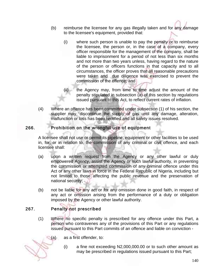- (b) reimburse the licensee for any gas illegally taken and for any damage to the licensee's equipment, provided that:
	- (i) where such person is unable to pay the penalty or to reimburse the licensee, the person or, in the case of a company, every officer responsible for the management of the company, shall be liable to imprisonment for a period of not less than six months and not more than two years unless, having regard to the nature of the person or officers functions in that capacity and to all circumstances, the officer proves that all reasonable precautions were taken and due diligence was exercised to prevent the commission of the offence; and
	- the Agency may, from time to time adjust the amount of the penalty stipulated in subsection (a) of this section by regulations issued pursuant to this Act, to reflect current rates of inflation.
- (4) Where an offence has been committed under subsection (1) of his section, the supplier may, discontinue the supply of gas until any damage, alteration, malfunction or loss has been rectified and all safety issues resolved.

### 266. Prohibition on the wrongful use of equipment

A licensee shall not use or permit its pipeline, equipment or other facilities to be used in, for, or in relation to, the commission of any criminal or civil offence, and each licensee shall:

- (a) upon a written request from the Agency or any other lawful or duly empowered Agency, assist the Agency or such lawful authority, in preventing the commission or attempted commission of any criminal offence under this Act or any other laws in force in the Federal Republic of Nigeria, including but not limited to those affecting the public revenue and the preservation of national security;
- (b) not be liable for any act or for any omission done in good faith, in respect of any act or omission arising from the performance of a duty or obligation imposed by the Agency or other lawful authority.

### 267. Penalty not prescribed

- (1) Where no specific penalty is prescribed for any offence under this Part, a person who contravenes any of the provisions of this Part or any regulations issued pursuant to this Part commits of an offence and liable on conviction -
	- (a) as a first offender, to:
		- (i) a fine not exceeding N2,000,000.00 or to such other amount as may be prescribed in regulations issued pursuant to this Part;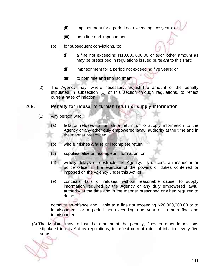- (ii) imprisonment for a period not exceeding two years; or
- (iii) both fine and imprisonment.
- (b) for subsequent convictions, to:
	- (i) a fine not exceeding N10,000,000.00 or such other amount as may be prescribed in regulations issued pursuant to this Part;
	- (ii) imprisonment for a period not exceeding five years; or
	- (iii) to both fine and imprisonment.
- (2) The Agency may, where necessary, adjust the amount of the penalty stipulated in subsection (1) of this section through regulations, to reflect current rates of inflation.

#### 268. Penalty for refusal to furnish return or supply information

- (1) Any person who:
	- (a) fails or refuses to furnish a return or to supply information to the Agency or any other duly empowered lawful authority at the time and in the manner prescribed;
	- (b) who furnishes a false or incomplete return;
	- (c) supplies false or incomplete information; or
	- (d) wilfully delays or obstructs the Agency, its officers, an inspector or police officer in the exercise of the powers or duties conferred or imposed on the Agency under this Act; or
	- (e) conceals, fails or refuses, without reasonable cause, to supply information required by the Agency or any duly empowered lawful authority at the time and in the manner prescribed or when required to do so,

commits an offence and liable to a fine not exceeding N20,000,000.00 or to imprisonment for a period not exceeding one year or to both fine and imprisonment

(3) The Minister may, adjust the amount of the penalty, fines or other impositions stipulated in this Act by regulations, to reflect current rates of inflation every five years.

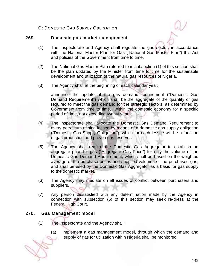### C: DOMESTIC GAS SUPPLY OBLIGATION

#### 269. Domestic gas market management

- (1) The Inspectorate and Agency shall regulate the gas sector, in accordance with the National Master Plan for Gas ("National Gas Master Plan") this Act and policies of the Government from time to time.
- (2) The National Gas Master Plan referred to in subsection (1) of this section shall be the plan updated by the Minister from time to time for the sustainable development and utilization of the natural gas resources of Nigeria.
- (3) The Agency shall at the beginning of each calendar year:

announce the update of the gas demand requirement ("Domestic Gas Demand Requirement") which shall be the aggregate of the quantity of gas required to meet the gas demand for the strategic sectors, as determined by Government from time to time, within the domestic economy for a specific period of time, not exceeding twenty years;

- (4) The Inspectorate shall allocate the Domestic Gas Demand Requirement to every petroleum mining lessee by means of a domestic gas supply obligation ("Domestic Gas Supply Obligation"), which for each lessee will be a function of gas production and proven gas reserves;
- (5) The Agency shall require the Domestic Gas Aggregator to establish an aggregate price for gas ("Aggregate Gas Price") for only the volume of the Domestic Gas Demand Requirement, which shall be based on the weighted average of the purchase prices and supplied volumes of the purchased gas, and shall be used by the Domestic Gas Aggregator as a basis for gas supply to the domestic market.
- (6) The Agency may mediate on all issues of conflict between purchasers and suppliers.
- (7) Any person dissatisfied with any determination made by the Agency in connection with subsection (6) of this section may seek re-dress at the Federal High Court.

#### 270. Gas Management model

- (1) The Inspectorate and the Agency shall:
	- (a) implement a gas management model, through which the demand and supply of gas for utilization within Nigeria shall be monitored;

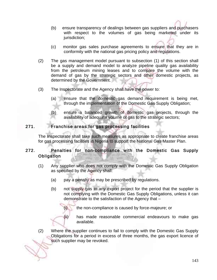- (b) ensure transparency of dealings between gas suppliers and purchasers with respect to the volumes of gas being marketed under its jurisdiction;
- (c) monitor gas sales purchase agreements to ensure that they are in conformity with the national gas pricing policy and regulations.
- (2) The gas management model pursuant to subsection (1) of this section shall be a supply and demand model to analyze pipeline quality gas availability from the petroleum mining leases and to compare the volume with the demand of gas by the strategic sectors and other domestic projects, as determined by the Government.
- (3) The Inspectorate and the Agency shall have the power to:
	- (a) ensure that the domestic gas demand requirement is being met, through the implementation of the Domestic Gas Supply Obligation;
	- (b) ensure a balanced growth of domestic gas projects, through the availability of adequate volume of gas to the strategic sectors;

### 271. Franchise areas for gas processing facilities

The Inspectorate shall take such measures as appropriate to create franchise areas for gas processing facilities in Nigeria to support the National Gas Master Plan.

### 272. Penalties for non-compliance with the Domestic Gas Supply **Obligation**

- (1) Any supplier who does not comply with the Domestic Gas Supply Obligation as specified by the Agency shall:
	- (a) pay a penalty as may be prescribed by regulations.
	- (b) not supply gas to any export project for the period that the supplier is not complying with the Domestic Gas Supply Obligations, unless it can demonstrate to the satisfaction of the Agency that –
		- (i) the non-compliance is caused by force-majeure; or
		- (ii) has made reasonable commercial endeavours to make gas available.
- (2) Where the supplier continues to fail to comply with the Domestic Gas Supply Obligations for a period in excess of three months, the gas export licence of such supplier may be revoked.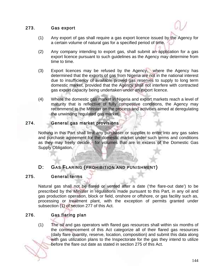### 273. Gas export

- (1) Any export of gas shall require a gas export licence issued by the Agency for a certain volume of natural gas for a specified period of time.
- (2) Any company intending to export gas, shall submit an application for a gas export licence pursuant to such guidelines as the Agency may determine from time to time.
- (3) Export licences may be refused by the Agency, where the Agency has determined that the exports of gas from Nigeria are not in the national interest due to insufficiency of available proved gas reserves to supply to long term domestic market, provided that the Agency shall not interfere with contracted gas export capacity being undertaken under an export licence.
- (4) Where the domestic gas market in Nigeria and export markets reach a level of maturity that is reflective of fully competitive conditions, the Agency may recommend to the Minister on the process and activities aimed at deregulating the unwinding regulated gas market.

#### 274. General gas market provisions

Nothing in this Part shall limit any purchaser or supplier to enter into any gas sales and purchase agreement for the domestic market under such terms and conditions as they may freely decide, for volumes that are in excess of the Domestic Gas Supply Obligation.

# D: GAS FLARING (PROHIBITION AND PUNISHMENT)

### 275. General terms

Natural gas shall not be flared or vented after a date ('the flare-out date') to be prescribed by the Minister in regulations made pursuant to this Part, in any oil and gas production operation, block or field, onshore or offshore, or gas facility such as, processing or treatment plant, with the exception of permits granted under subsection (1) of section 277 of this Act.

# 276. Gas flaring plan

(1) The oil and gas operators with flared gas resources shall within six months of the commencement of this Act categorize all of their flared gas resources (daily flare quantity, reserve, location, composition) and submit this data along with gas utilization plans to the Inspectorate for the gas they intend to utilize before the flare out date as stated in section 275 of this Act.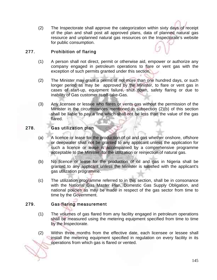(2) The Inspectorate shall approve the categorization within sixty days of receipt of the plan and shall post all approved plans, data of planned natural gas resource and unplanned natural gas resources on the Inspectorate's website for public consumption.

### 277. Prohibition of flaring

- (1) A person shall not direct, permit or otherwise aid, empower or authorize any company engaged in petroleum operations to flare or vent gas with the exception of such permits granted under this section.
- (2) The Minister may grant a permit of not more than one hundred days, or such longer period as may be approved by the Minister, to flare or vent gas in cases of start-up, equipment failure, shut down, safety flaring or due to inability of Gas customer to off-take-Gas.
- (3) Any licensee or lessee who flares or vents gas without the permission of the Minister in the circumstances mentioned in subsection (2)(b) of this section shall be liable to pay a fine which shall not be less than the value of the gas flared.

### 278. Gas utilization plan

- (a) A licence or lease for the production of oil and gas whether onshore, offshore or deepwater shall not be granted to any applicant unless the application for such a licence or lease is accompanied by a comprehensive programme acceptable to the Minister, for the utilization or reinjection of natural gas.
- (b) No licence or lease for the production of oil and gas in Nigeria shall be granted to any applicant unless the Minister is satisfied with the applicant's gas utilization programme.
- (c) The utilization programme referred to in this section, shall be in consonance with the National Gas Master Plan, Domestic Gas Supply Obligation, and national policies as may be made in respect of the gas sector from time to time by the Government.

#### 279. Gas flaring measurement

- (1) The volumes of gas flared from any facility engaged in petroleum operations shall be measured using the metering equipment specified from time to time by the Inspectorate.
- (2) Within three months from the effective date, each licensee or lessee shall install the metering equipment specified in regulation on every facility in its operations from which gas is flared or vented.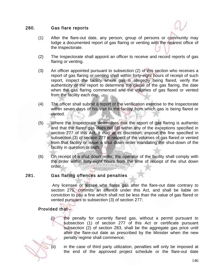#### 280. Gas flare reports

- (1) After the flare-out date, any person, group of persons or community may lodge a documented report of gas flaring or venting with the nearest office of the Inspectorate.
- (2) The Inspectorate shall appoint an officer to receive and record reports of gas flaring or venting.
- (3) An officer appointed pursuant to subsection (2) of this section who receives a report of gas flaring or venting shall within forty-eight hours of receipt of such report, inspect the facility where gas is allegedly being flared, verify the authenticity of the report to determine the cause of the gas flaring, the date when the gas flaring commenced and the volumes of gas flared or vented from the facility each day.
- (4) The officer shall submit a report of the verification exercise to the Inspectorate within seven days of his visit to the facility from which gas is being flared or vented.
- (5) Where the Inspectorate determines that the report of gas flaring is authentic and that the flared gas does not fall within any of the exceptions specified in section 277 of this Act, it may at its discretion, impose the fine specified in subsection (3) of section 277 in respect of the volumes of gas flared or vented from that facility or issue a shut down order mandating the shut-down of the facility in question or both.
- (6) On receipt of a shut down order, the operator of the facility shall comply with the order within forty-eight hours from the time of receipt of the shut down order.

## 281. Gas flaring offences and penalties

 Any licensee or lessee who flares gas after the flare-out date contrary to section 275, commits an offence under this Act, and shall be liable on conviction to pay a fine which shall not be less than the value of gas flared or vented pursuant to subsection (3) of section 277;

## Provided that -

(i) the penalty for currently flared gas, without a permit pursuant to subsection (1) of section 277 of this Act or certificate pursuant subsection (2) of section 283, shall be the aggregate gas price until after the flare-out date as prescribed by the Minister when the new penalty regime shall commence;



(ii) in the case of third party utilization, penalties will only be imposed at the end of the approved project schedule or the flare-out date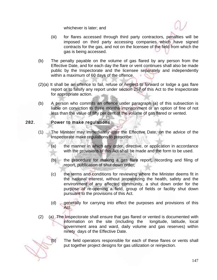whichever is later; and

- (iii) for flares accessed through third party contractors, penalties will be imposed on third party accessing companies which have signed contracts for the gas, and not on the licensee of the field from which the gas is being accessed.
- (b) The penalty payable on the volume of gas flared by any person from the Effective Date, and for each day the flare or vent continues shall also be made public by the Inspectorate and the licensee separately and independently within a maximum of 60 days of the offence.
- (2)(a) It shall be an offence to fail, refuse or neglect to forward or lodge a gas flare report or to falsify any report under section 257 of this Act to the Inspectorate for appropriate action.
- (b) A person who commits an offence under paragraph (a) of this subsection is liable on conviction to three months imprisonment or an option of fine of not less than the value of fifty per cent of the volume of gas flared or vented.

#### 282. Power to make regulations

- (1) The Minister may immediately after the Effective Date, on the advice of the Inspectorate make regulations to prescribe:
	- (a) the manner in which any order, directive, or application in accordance with the provisions of this Act shall be made and the form to be used.
	- (b) the procedure for making a gas flare report, recording and filing of report, publication of shut down order;
	- (c) the terms and conditions for reviewing where the Minister deems fit in the national interest, without jeopardizing the health, safety and the environment of any affected community, a shut down order for the purpose of re-opening a field, group of fields or facility shut down pursuant to the provisions of this Act.
	- (d) generally for carrying into effect the purposes and provisions of this Act.
- (2) (a) The Inspectorate shall ensure that gas flared or vented is documented with information on the site (including the longitude, latitude, local government area and ward, daily volume and gas reserves) within ninety days of the Effective Date.

(b) The field operators responsible for each of these flares or vents shall put together project designs for gas utilization or reinjection.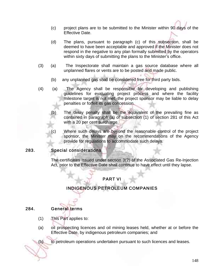- (c) project plans are to be submitted to the Minister within 90 days of the Effective Date.
- (d) The plans, pursuant to paragraph (c) of this subsection, shall be deemed to have been acceptable and approved if the Minister does not respond in the negative to any plan formally submitted by the operators within sixty days of submitting the plans to the Minister's office.
- (3) (a) The Inspectorate shall maintain a gas source database where all unplanned flares or vents are to be posted and made public.
	- (b) any unplanned gas shall be considered free for third party bids.
- (4) (a) The Agency shall be responsible for developing and publishing guidelines for evaluating project process and where the facility milestone target is not met, the project sponsor may be liable to delay penalties or forfeit its gas concession.
	- The delay penalty shall be the equivalent of the prevailing fine as contained in paragraph (a) of subsection (1) of section 281 of this Act with a 20 per cent surcharge.
	- Where such delays are beyond the reasonable control of the project sponsor, the Minister may on the recommendations of the Agency provide for regulations to accommodate such delays.

## 283. Special considerations

 The certificates issued under section 3(2) of the Associated Gas Re-Injection Act, prior to the Effective Date shall continue to have effect until they lapse.

# PART VI

# INDIGENOUS PETROLEUM COMPANIES

#### 284. General terms

- (1) This Part applies to:
- (a) oil prospecting licences and oil mining leases held, whether at or before the Effective Date, by indigenous petroleum companies; and

(b) to petroleum operations undertaken pursuant to such licences and leases.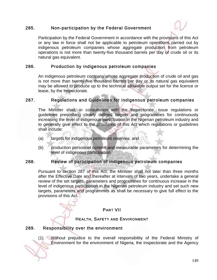#### 285. Non-participation by the Federal Government



Participation by the Federal Government in accordance with the provisions of this Act or any law in force shall not be applicable to petroleum operations carried out by indigenous petroleum companies whose aggregate production from petroleum operations is not more than twenty-five thousand barrels per day of crude oil or its natural gas equivalent.

#### 286. Production by indigenous petroleum companies

An indigenous petroleum company whose aggregate production of crude oil and gas is not more than twenty-five thousand barrels per day or its natural gas equivalent may be allowed to produce up to the technical allowable output set for the licence or lease, by the Inspectorate.

#### 287. Regulations and Guidelines for indigenous petroleum companies

The Minister shall, in consultation with the Inspectorate, issue regulations or guidelines prescribing clearly defined targets and programmes for continuously increasing the level of indigenous participation in the Nigerian petroleum industry and to generally give effect to the provisions of this Act which regulations or guidelines shall include:

- (a) targets for indigenous petroleum reserves; and
- (b) production personnel content and measurable parameters for determining the level of indigenous participation.

#### 288. Review of participation of indigenous petroleum companies

Pursuant to section 287 of this Act, the Minister shall not later than three months after the Effective Date and thereafter at intervals of two years, undertake a general review of the set targets, parameters and programmes for continuous increase in the level of indigenous participation in the Nigerian petroleum industry and set such new targets, parameters and programmes as shall be necessary to give full effect to the provisions of this Act.

#### PART VII

#### HEALTH, SAFETY AND ENVIRONMENT

#### 289. Responsibility over the environment

(1) Without prejudice to the overall responsibility of the Federal Ministry of Environment for the environment of Nigeria, the Inspectorate and the Agency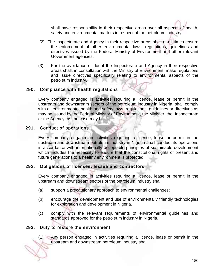shall have responsibility in their respective areas over all aspects of health, safety and environmental matters in respect of the petroleum industry.

- (2) The Inspectorate and Agency in their respective areas shall at all times ensure the enforcement of other environmental laws, regulations, guidelines and directives issued by the Federal Ministry of Environment and other relevant Government agencies.
- (3) For the avoidance of doubt the Inspectorate and Agency in their respective areas shall, in consultation with the Ministry of Environment, make regulations and issue directives specifically relating to environmental aspects of the petroleum industry.

#### 290. Compliance with health regulations

Every company engaged in activities requiring a licence, lease or permit in the upstream and downstream sectors of the petroleum industry in Nigeria, shall comply with all environmental health and safety laws, regulations, guidelines or directives as may be issued by the Federal Ministry of Environment, the Minister, the Inspectorate or the Agency, as the case may be.

#### 291. Conduct of operations

Every company engaged in activities requiring a licence, lease or permit in the upstream and downstream petroleum industry in Nigeria shall conduct its operations in accordance with internationally acceptable principles of sustainable development which includes the necessity to ensure that the constitutional rights of present and future generations to a healthy environment is protected.

#### 292. Obligations of licensee, lessee and contractors

Every company engaged in activities requiring a licence, lease or permit in the upstream and downstream sectors of the petroleum industry shall:

- (a) support a precautionary approach to environmental challenges;
- (b) encourage the development and use of environmentally friendly technologies for exploration and development in Nigeria.
- (c) comply with the relevant requirements of environmental guidelines and standards approved for the petroleum industry in Nigeria.

#### 293. Duty to restore the environment

(1) Any person engaged in activities requiring a licence, lease or permit in the upstream and downstream petroleum industry shall: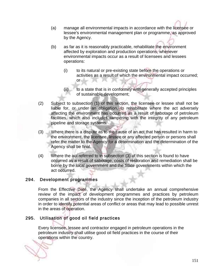- (a) manage all environmental impacts in accordance with the licensee or lessee's environmental management plan or programme, as approved by the Agency.
- (b) as far as it is reasonably practicable, rehabilitate the environment affected by exploration and production operations, whenever environmental impacts occur as a result of licensees and lessees operations:
	- (i) to its natural or pre-existing state before the operations or activities as a result of which the environmental impact occurred; or
	- (ii) to a state that is in conformity with generally accepted principles of sustainable development;
- (2) Subject to subsection (1) of this section, the licensee or lessee shall not be liable for, or under an obligation, to rehabilitate where the act adversely affecting the environment has occurred as a result of sabotage of petroleum facilities, which also includes tampering with the integrity of any petroleum pipeline and storage systems.
- (3) Where there is a dispute as to the cause of an act that has resulted in harm to the environment, the licensee, lessee or any affected person or persons shall refer the matter to the Agency for a determination and the determination of the Agency shall be final.
- (4) Where the act referred to in subsection (3) of this section is found to have occurred as a result of sabotage, costs of restoration and remediation shall be borne by the local government and the State governments within which the act occurred.

## 294. Development programmes

From the Effective Date, the Agency shall undertake an annual comprehensive review of the impact of development programmes and practices by petroleum companies in all sectors of the industry since the inception of the petroleum industry in order to identify potential areas of conflict or areas that may lead to possible unrest in the areas of operation.

# 295. Utilisation of good oil field practices

Every licensee, lessee and contractor engaged in petroleum operations in the petroleum industry shall utilise good oil field practices in the course of their operations within the country.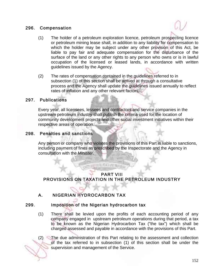#### 296. Compensation



- (1) The holder of a petroleum exploration licence, petroleum prospecting licence or petroleum mining lease shall, in addition to any liability for compensation to which the holder may be subject under any other provision of this Act, be liable to pay fair and adequate compensation for the disturbance of the surface of the land or any other rights to any person who owns or is in lawful occupation of the licensed or leased lands, in accordance with written guidelines issued by the Agency.
- (2) The rates of compensation contained in the guidelines referred to in subsection (1) of this section shall be arrived at through a consultative process and the Agency shall update the guidelines issued annually to reflect rates of inflation and any other relevant factors.

#### 297. Publications

Every year, all licensees, lessees and contractors and service companies in the upstream petroleum industry shall publish the criteria used for the location of community development projects and other social investment initiatives within their respective areas of operation.

### 298. Penalties and sanctions

Any person or company who violates the provisions of this Part is liable to sanctions, including payment of fines as prescribed by the Inspectorate and the Agency in consultation with the Minister.

## PART VIII PROVISIONS ON TAXATION IN THE PETROLEUM INDUSTRY

目前所采有限频率

# A. NIGERIAN HYDROCARBON TAX

#### 299. Imposition of the Nigerian hydrocarbon tax

(1) There shall be levied upon the profits of each accounting period of any company engaged in upstream petroleum operations during that period, a tax to be known as the Nigerian Hydrocarbon Tax ("the tax") which shall be charged assessed and payable in accordance with the provisions of this Part.

(2) The due administration of this Part relating to the assessment and collection of the tax referred to in subsection (1) of this section shall be under the supervision and management of the Service.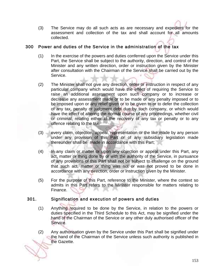(3) The Service may do all such acts as are necessary and expedient for the assessment and collection of the tax and shall account for all amounts collected.

### 300 Power and duties of the Service in the administration of the tax

- (1) In the exercise of the powers and duties conferred upon the Service under this Part, the Service shall be subject to the authority, direction, and control of the Minister and any written direction, order or instruction given by the Minister after consultation with the Chairman of the Service shall be carried out by the Service.
- (2) The Minister shall not give any direction, order or instruction in respect of any particular company which would have the effect of requiring the Service to raise an additional assessment upon such company or to increase or decrease any assessment made or to be made or any penalty imposed or to be imposed upon or any relief given or to be given to or to defer the collection of any tax, penalty or judgment debt due by such company, or which would have the effect of altering the normal course of any proceedings, whether civil or criminal, relating either to the recovery of any tax or penalty or to any offence relating to the tax.
- (3) every claim, objection, appeal, representation or the like made by any person under any provision of this Part or of any subsidiary legislation made thereunder shall be made in accordance with this Part;
- (4) In any claim or matter or upon any objection or appeal under this Part, any act, matter or thing done by or with the authority of the Service, in pursuance of any provisions of this Part shall not be subject to challenge on the ground that such act, matter or thing was not or was not proved to be done in accordance with any direction, order or instruction given by the Minister.
- (5) For the purpose of this Part, reference to the Minister, where the context so admits in this Part refers to the Minister responsible for matters relating to Finance.

## 301. Signification and execution of powers and duties

- (1) Anything required to be done by the Service, in relation to the powers or duties specified in the Third Schedule to this Act, may be signified under the hand of the Chairman of the Service or any other duly authorised officer of the Service.
- (2) Any authorisation given by the Service under this Part shall be signified under the hand of the Chairman of the Service unless such authority is published in the Gazette.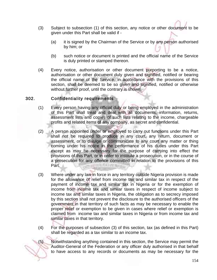- (3) Subject to subsection (1) of this section, any notice or other document to be given under this Part shall be valid if -
	- (a) it is signed by the Chairman of the Service or by any person authorised by him; or
	- (b) such notice or document is printed and the official name of the Service is duly printed or stamped thereon.
- (4) Every notice, authorisation or other document purporting to be a notice, authorisation or other document duly given and signified, notified or bearing the official name of the Service, in accordance with the provisions of this section, shall be deemed to be so given and signified, notified or otherwise without further proof, until the contrary is shown.

### 302. Confidentiality requirements

- (1) Every person having any official duty or being employed in the administration of this Part shall treat and deal with all documents, information, returns, assessment lists and copies of such lists relating to the income, chargeable profits and related items of any company, as secret and confidential.
- (2) A person appointed under or employed to carry out functions under this Part shall not be required to produce in any court, any return, document or assessment, or to divulge or communicate to any court any matter or thing coming under his notice in the performance of his duties under this Part except as may be necessary for the purpose of carrying into effect the provisions of this Part, or in order to institute a prosecution, or in the course of a prosecution for any offence committed in relation to the provisions of this Part. |||第月末||1219年6
- (3) Where under any law in force in any territory outside Nigeria provision is made for the allowance of relief from income tax and similar tax in respect of the payment of income tax and similar tax in Nigeria or for the exemption of income from income tax and similar taxes in respect of income subject to income tax and similar taxes in Nigeria, the obligation as to secrecy imposed by this section shall not prevent the disclosure to the authorised officers of the government in that territory of such facts as may be necessary to enable the proper relief or exemption to be given in cases where relief or exemption is claimed from income tax and similar taxes in Nigeria or from income tax and similar taxes in that territory.
- (4) For the purposes of subsection (3) of this section, tax (as defined in this Part) shall be regarded as a tax similar to an income tax.

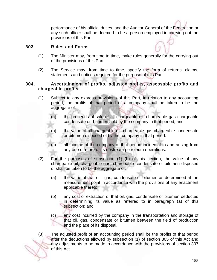performance of his official duties, and the Auditor-General of the Federation or any such officer shall be deemed to be a person employed in carrying out the provisions of this Part.

#### 303. Rules and Forms

- (1) The Minister may, from time to time, make rules generally for the carrying out of the provisions of this Part.
- (2) The Service may, from time to time, specify the form of returns, claims, statements and notices required for the purpose of this Part.

#### 304. Ascertainment of profits, adjusted profits, assessable profits and chargeable profits.

- (1) Subject to any express provisions of this Part, in relation to any accounting period, the profits of that period of a company shall be taken to be the aggregate of:
	- (a) the proceeds of sale of all chargeable oil, chargeable gas chargeable condensate or bitumen sold by the company in that period; and
	- (b) the value of all chargeable oil, chargeable gas chargeable condensate or bitumen disposed of by the company in that period.
	- (c) all income of the company of that period incidental to and arising from any one or more of its upstream petroleum operations.
- (2) For the purposes of subsection (1) (b) of this section, the value of any chargeable oil, chargeable gas, chargeable condensate or bitumen disposed of shall be taken to be the aggregate of:
	- (a) the value of that oil, gas, condensate or bitumen as determined at the measurement point in accordance with the provisions of any enactment applicable thereto;
	- (b) any cost of extraction of that oil, gas, condensate or bitumen deducted in determining its value as referred to in paragraph (a) of this subsection; and
	- (c) any cost incurred by the company in the transportation and storage of that oil, gas, condensate or bitumen between the field of production and the place of its disposal.
- (3) The adjusted profit of an accounting period shall be the profits of that period after the deductions allowed by subsection (1) of section 305 of this Act and any adjustments to be made in accordance with the provisions of section 307 of this Act.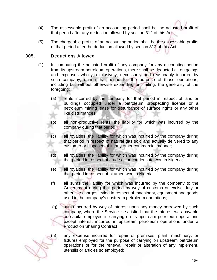- (4) The assessable profit of an accounting period shall be the adjusted profit of that period after any deduction allowed by section 312 of this Act.
- (5) The chargeable profits of an accounting period shall be the assessable profits of that period after the deduction allowed by section 312 of this Act.

## 305. Deductions Allowed

- (1) In computing the adjusted profit of any company for any accounting period from its upstream petroleum operations, there shall be deducted all outgoings and expenses wholly, exclusively, necessarily and reasonably incurred by such company, during that period for the purpose of those operations, including but without otherwise expanding or limiting, the generality of the foregoing:
	- (a) rents incurred by the company for that period in respect of land or buildings occupied under a petroleum prospecting license or a petroleum mining lease for disturbance of surface rights or any other like disturbances;
	- (b) all non-productive rents, the liability for which was incurred by the company during that period;
	- (c) all royalties, the liability for which was incurred by the company during that period in respect of natural gas sold and actually delivered to any customer or disposed of in any other commercial manner;
	- (d) all royalties, the liability for which was incurred by the company during that period in respect of crude oil or condensate won in Nigeria;
	- (e) all royalties, the liability for which was incurred by the company during that period in respect of bitumen won in Nigeria;
	- (f) all sums the liability for which was incurred by the company to the Government during that period by way of customs or excise duty or other like charges levied in respect of machinery, equipment and goods used in the company's upstream petroleum operations;
	- (g) sums incurred by way of interest upon any money borrowed by such company, where the Service is satisfied that the interest was payable on capital employed in carrying on its upstream petroleum operations except interest incurred in upstream petroleum operations under a Production Sharing Contract



(h) any expense incurred for repair of premises, plant, machinery, or fixtures employed for the purpose of carrying on upstream petroleum operations or for the renewal, repair or alteration of any implement, utensils or articles so employed;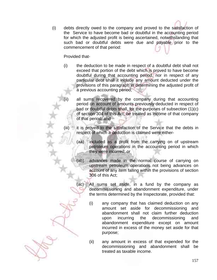(i) debts directly owed to the company and proved to the satisfaction of the Service to have become bad or doubtful in the accounting period for which the adjusted profit is being ascertained, notwithstanding that such bad or doubtful debts were due and payable prior to the commencement of that period:

#### Provided that-

- (i) the deduction to be made in respect of a doubtful debt shall not exceed that portion of the debt which is proved to have become doubtful during that accounting period, nor in respect of any particular debt shall it include any amount deducted under the provisions of this paragraph in determining the adjusted profit of a previous accounting period;
- all sums recovered by the company during that accounting period on account of amounts previously deducted in respect of bad or doubtful debts shall, for the purposes of subsection (1)(c) of section 304 of this Act, be treated as income of that company of that period; and
- (iii) it is proved to the satisfaction of the Service that the debts in respect of which a deduction is claimed were either-
	- (aa) included as a profit from the carrying on of upstream petroleum operations in the accounting period in which they were incurred; or
	- (ab) advances made in the normal course of carrying on upstream petroleum operations not being advances on account of any item falling within the provisions of section 306 of this Act;
	- (ac) All sums set aside, in a fund by the company as decommissioning and abandonment expenditure, under the terms determined by the Inspectorate, provided that:
		- (i) any company that has claimed deduction on any amount set aside for decommissioning and abandonment shall not claim further deduction upon incurring the decommissioning and abandonment expenditure except on amount incurred in excess of the money set aside for that purpose;
		- (ii) any amount in excess of that expended for the decommissioning and abandonment shall be treated as taxable income.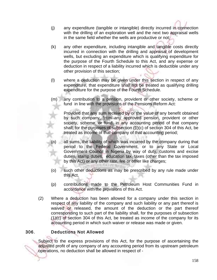- (j) any expenditure (tangible or intangible) directly incurred in connection with the drilling of an exploration well and the next two appraisal wells in the same field whether the wells are productive or not;
- (k) any other expenditure, including intangible and tangible costs directly incurred in connection with the drilling and appraisal of development wells, but excluding an expenditure which is qualifying expenditure for the purpose of the Fourth Schedule to this Act, and any expense or deduction in respect of a liability incurred which is deductible under any other provision of this section;
- (l) where a deduction may be given under this section in respect of any expenditure, that expenditure shall not be treated as qualifying drilling expenditure for the purpose of the Fourth Schedule.
- (m) any contribution to a pension, provident or other society, scheme or fund in line with the provisions of the Pensions Reform Act:

Provided that any sum received by or the value of any benefit obtained by such company, from any approved pension, provident or other society, scheme, or fund, in any accounting period of that company shall, for the purposes of subsection (1)(c) of section 304 of this Act, be treated as income of that company of that accounting period;

- all sums, the liability of which was incurred by the company during that period to the Federal Government, or to any State or Local Government Council in Nigeria by way of duty, customs and excise duties, stamp duties, education tax, taxes (other than the tax imposed by this Act) or any other rate, fee or other like charges;
- (o) such other deductions as may be prescribed by any rule made under this Act.
- (p) contributions made to the Petroleum Host Communities Fund in accordance with the provisions of this Act.
- (2) Where a deduction has been allowed for a company under this section in respect of any liability of the company and such liability or any part thereof is waived or released, the amount of the deduction or the part thereof corresponding to such part of the liability shall, for the purposes of subsection (1)(c) of section 304 of this Act, be treated as income of the company for its accounting period in which such waiver or release was made or given.

## 306. Deductions Not Allowed

Subject to the express provisions of this Act, for the purpose of ascertaining the adjusted profit of any company of any accounting period from its upstream petroleum operations, no deduction shall be allowed in respect of -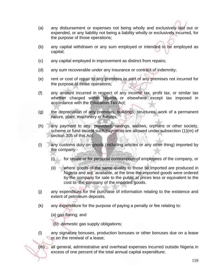- (a) any disbursement or expenses not being wholly and exclusively laid out or expended, or any liability not being a liability wholly or exclusively incurred, for the purpose of those operations;
- (b) any capital withdrawn or any sum employed or intended to be employed as capital;
- (c) any capital employed in improvement as distinct from repairs;
- (d) any sum recoverable under any insurance or contract of indemnity;
- (e) rent or cost of repair to any premises or part of any premises not incurred for the purpose of those operations;
- (f) any amount incurred in respect of any income tax, profit tax, or similar tax whether charged within Nigeria or elsewhere except tax imposed in accordance with the Education Tax Act;
- (g) the depreciation of any premises, buildings, structures, work of a permanent nature, plant, machinery or fixtures;
- (h) any payment to any provident, savings, widows, orphans or other society, scheme or fund except such payments are allowed under subsection (1)(m) of section 305 of this Act;
- (i) any customs duty on goods (including articles or any other thing) imported by the company -
	- (i) for resale or for personal consumption of employees of the company, or
	- (ii) where goods of the same quality to those so imported are produced in Nigeria and are available, at the time the imported goods were ordered by the company for sale to the public at prices less or equivalent to the cost to the company of the imported goods.
- (j) any expenditure for the purchase of information relating to the existence and extent of petroleum deposits.
- (k) any expenditure for the purpose of paying a penalty or fee relating to:

(a) gas flaring; and

(b) domestic gas supply obligations;

- (l) any signature bonuses, production bonuses or other bonuses due on a lease or on the renewal of a lease;
- (m) all general, administrative and overhead expenses incurred outside Nigeria in excess of one percent of the total annual capital expenditure;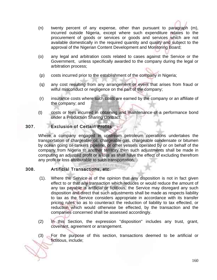- (n) twenty percent of any expense, other than pursuant to paragraph (m), incurred outside Nigeria, except where such expenditure relates to the procurement of goods or services or goods and services which are not available domestically in the required quantity and quality and subject to the approval of the Nigerian Content Development and Monitoring Board;
- (o) any legal and arbitration costs related to cases against the Service or the Government, unless specifically awarded to the company during the legal or arbitration process;
- (p) costs incurred prior to the establishment of the company in Nigeria;
- (q) any cost resulting from any arrangement or event that arises from fraud or wilful misconduct or negligence on the part of the company;
- (r) insurance costs where such costs are earned by the company or an affiliate of the company; and
- (t) costs or fees incurred in obtaining and maintenance of a performance bond under a Production Sharing Contract.

### 307. Exclusion of Certain Profits

Where a company engaged in upstream petroleum operations undertakes the transportation of chargeable oil, chargeable gas, chargeable condensate or bitumen by ocean going oil-tankers pipeline, or other vessels operated by or on behalf of the company from Nigeria to another territory then such adjustments shall be made in computing an adjusted profit or a loss as shall have the effect of excluding therefrom any profit or loss attributable to such transportation.

#### 308. Artificial Transactions, etc.

- (1). Where the Service is of the opinion that any disposition is not in fact given effect to or that any transaction which reduces or would reduce the amount of any tax payable is artificial or fictitious, the Service may disregard any such disposition and direct that such adjustments shall be made as respects liability to tax as the Service considers appropriate in accordance with its transfer pricing rules so as to counteract the reduction of liability to tax effected, or reduction which would otherwise be effected, by the transaction and the companies concerned shall be assessed accordingly.
- (2) In this Section, the expression "disposition" includes any trust, grant, covenant, agreement or arrangement.
- (3) For the purpose of this section, transactions deemed to be artificial or fictitious, include;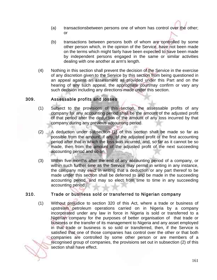- (a) transactionsbetween persons one of whom has control over the other; or
- (b) transactions between persons both of whom are controlled by some other person which, in the opinion of the Service, have not been made on the terms which might fairly have been expected to have been made by independent persons engaged in the same or similar activities dealing with one another at arm's length.
- (4) Nothing in this section shall prevent the decision of the Service in the exercise of any discretion given to the Service by this section from being questioned in an appeal against an assessment as provided under this Part and on the hearing of any such appeal, the appropriate courtmay confirm or vary any such decision including any directions made under this section.

### 309. Assessable profits and losses

- (1) Subject to the provisions of this section, the assessable profits of any company for any accounting period shall be the amount of the adjusted profit of that period after the deduction of the amount of any loss incurred by that company during any previous accounting period.
- (2) A deduction under subsection (1) of this section shall be made so far as possible from the amount, if any, of the adjusted profit of the first accounting period after that in which the loss was incurred, and, so far as it cannot be so made, then from the amount of the adjusted profit of the next succeeding accounting period and so on.
- (3) Within five months after the end of any accounting period of a company, or within such further time as the Service may permit in writing in any instance, the company may elect in writing that a deduction or any part thereof to be made under this section shall be deferred to and be made in the succeeding accounting period, and may so elect from time to time in any succeeding accounting period.

## 310. Trade or business sold or transferred to Nigerian company

(1) Without prejudice to section 320 of this Act, where a trade or business of upstream petroleum operations carried on in Nigeria by a company incorporated under any law in force in Nigeria is sold or transferred to a Nigerian company for the purposes of better organisation of that trade or business or the transfer of its management to Nigeria and any asset employed in that trade or business is so sold or transferred, then, if the Service is satisfied that one of those companies has control over the other or that both companies are controlled by some other person or are members of a recognised group of companies, the provisions set out in subsection (2) of this section shall have effect.

161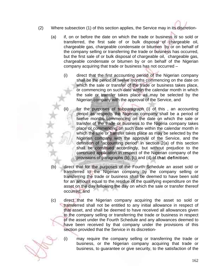- (2) Where subsection (1) of this section applies, the Service may in its discretion-
	- (a) if, on or before the date on which the trade or business is so sold or transferred, the first sale of or bulk disposal of chargeable oil, chargeable gas, chargeable condensate or bitumen by or on behalf of the company selling or transferring the trade or business has occurred, but the first sale of or bulk disposal of chargeable oil, chargeable gas, chargeable condensate or bitumen by or on behalf of the Nigerian company acquiring that trade or business has not occurred –
		- (i) direct that the first accounting period of the Nigerian company shall be the period of twelve months commencing on the date on which the sale or transfer of the trade or business takes place, or commencing on such date within the calendar month in which the sale or transfer takes place as may be selected by the Nigerian company with the approval of the Service, and
		- for the purposes of subparagraph (i) of this, an accounting period as respects the Nigerian company shall be a period of twelve months commencing on the date on which the sale or transfer of the trade or business to the Nigeria company takes place or commencing on such date within the calendar month in which the sale or transfer takes place as may be selected by the Nigerian company with the approval of the Service, and the definition of "accounting period" in section 2(a) of this section shall be construed accordingly, but without prejudice to the continued application in respect of the Nigerian company of the provisions of paragraphs (b), (c) and (d) of that definition;
	- (b) direct that for the purposes of the Fourth Schedule an asset sold or transferred to the Nigerian company by the company selling or transferring the trade or business shall be deemed to have been sold for an amount equal to the residue of the qualifying expenditure on the asset on the day following the day on which the sale or transfer thereof occurred; and
	- (c) direct that the Nigerian company acquiring the asset so sold or transferred shall not be entitled to any initial allowance in respect of that asset, and shall be deemed to have received all allowances given to the company selling or transferring the trade or business in respect of the asset under the Fourth Schedule and any allowances deemed to have been received by that company under the provisions of this section provided that the Service in its discretion-
		- (i) may require the company selling or transferring the trade or business, or the Nigerian company acquiring that trade or business, to guarantee or give security, to the satisfaction of the

162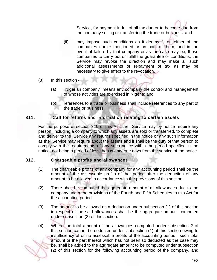Service, for payment in full of all tax due or to become due from the company selling or transferring the trade or business, and

- (ii) may impose such conditions as it deems fit on either of the companies earlier mentioned or on both of them, and in the event of failure by that company or as the case may be, those companies to carry out or fulfill the guarantee or conditions, the Service may revoke the direction and may make all such additional assessments or repayment of tax as may be necessary to give effect to the revocation.
- (3) In this section
	- (a) "Nigerian company" means any company the control and management of whose activities are exercised in Nigeria; and
	- (b) references to a trade or business shall include references to any part of the trade or business.

#### 311. Call for returns and information relating to certain assets

For the purpose of section 310 of this Act, the Service may by notice require any person, including a company to which any assets are sold or transferred, to complete and deliver to the Service any returns specified in the notice or any such information as the Service may require about the assets and it shall be the duty of that person to comply with the requirements of any such notice within the period specified in the notice, not being a period of less than twenty-one days from the service of the notice.

#### 312. Chargeable profits and allowances

- (1) The chargeable profits of any company for any accounting period shall be the amount of the assessable profits of that period after the deduction of any amount to be allowed in accordance with the provisions of this section.
- (2) There shall be computed the aggregate amount of all allowances due to the company under the provisions of the Fourth and Fifth Schedules to this Act for the accounting period.
- (3) The amount to be allowed as a deduction under subsection (1) of this section in respect of the said allowances shall be the aggregate amount computed under subsection (2) of this section.
- (4) Where the total amount of the allowances computed under subsection 2 of this section cannot be deducted under subsection (1) of this section owing to insufficiency of or no assessable profits of the accounting period, such total amount or the part thereof which has not been so deducted as the case may be, shall be added to the aggregate amount to be computed under subsection (2) of this section for the following accounting period of the company, and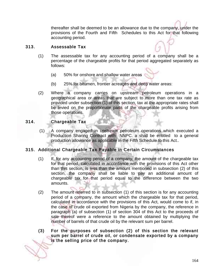thereafter shall be deemed to be an allowance due to the company, under the provisions of the Fourth and Fifth Schedules to this Act for that following accounting period.

#### 313. Assessable Tax

- (1) The assessable tax for any accounting period of a company shall be a percentage of the chargeable profits for that period aggregated separately as follows:
	- (a) 50% for onshore and shallow water areas
	- (b) 25% for bitumen, frontier acreages and deep water areas:
- (2) Where a company carries on upstream petroleum operations in a geographical area or areas that are subject to more than one tax rate as provided under subsection (1) of this section, tax at the appropriate rates shall be levied on the proportionate parts of the chargeable profits arising from those operations.

### 314. Chargeable Tax

 (1) A company engaged in upstream petroleum operations which executed a Production Sharing Contract with NNPC. a shall be entitled to a general production allowance as applicable in the Fifth Schedule to this Act..

#### 315. Additional Chargeable Tax Payable in Certain Circumstances

- (1) If, for any accounting period of a company, the amount of the chargeable tax for that period, calculated in accordance with the provisions of this Act other than this section, is less than the amount mentioned in subsection (2) of this section, the company shall be liable to pay an additional amount of chargeable tax for that period equal to the difference between the two amounts.
- (2) The amount referred to in subsection (1) of this section is for any accounting period of a company, the amount which the chargeable tax for that period, calculated in accordance with the provisions of this Act, would come to if, in the case of crude oil exported from Nigeria by the company, the reference in paragraph (a) of subsection (1) of section 304 of this Act to the proceeds of sale thereof were a reference to the amount obtained by multiplying the number of barrels of that crude oil by the relevant sum per barrel.
- (3) For the purposes of subsection (2) of this section the relevant sum per barrel of crude oil, or condensate exported by a company is the selling price of the company.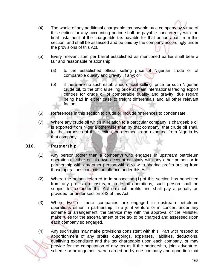- (4) The whole of any additional chargeable tax payable by a company by virtue of this section for any accounting period shall be payable concurrently with the final instalment of the chargeable tax payable for that period apart from this section, and shall be assessed and be paid by the company accordingly under the provisions of this Act.
- (5) Every relevant sum per barrel established as mentioned earlier shall bear a fair and reasonable relationship:
	- (a) to the established official selling price of Nigerian crude oil of comparable quality and gravity, if any; or
	- (b) if there are no such established official selling price for such Nigerian crude oil, to the official selling price at main international trading export centres for crude oil of comparable quality and gravity, due regard being had in either case to freight differentials and all other relevant factors.
- (6) References in this section to crude oil include references to condensate.
- (7) Where any crude oil which in relation to a particular company is chargeable oil is exported from Nigeria otherwise than by that company, that crude oil shall, for the purposes of this section, be deemed to be exported from Nigeria by that company.

#### 316. Partnership

- (1) Any person (other than a company) who engages in upstream petroleum operations either on his own account or jointly with any other person or in partnership with any other person with a view to sharing profits arising from those operations commits an offence under this Act.
- (2) Where the person referred to in subsection (1) of this section has benefitted from any profits on upstream crude oil operations, such person shall be subject to tax under this Act on such profits and shall pay a penalty as provided for under section 343 of this Act.
- (3) Where two or more companies are engaged in upstream petroleum operations either in partnership, in a joint venture or in concert under any scheme or arrangement, the Service may with the approval of the Minister, make rules for the ascertainment of the tax to be charged and assessed upon each company so engaged.
- (4) Any such rules may make provisions consistent with this Part with respect to apportionment of any profits, outgoings, expenses, liabilities, deductions, qualifying expenditure and the tax chargeable upon each company, or may provide for the computation of any tax as if the partnership, joint adventure, scheme or arrangement were carried on by one company and apportion that

165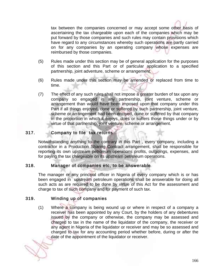tax between the companies concerned or may accept some other basis of ascertaining the tax chargeable upon each of the companies which may be put forward by those companies and such rules may contain provisions which have regard to any circumstances whereby such operations are partly carried on for any companies by an operating company whose expenses are reimbursed by those companies.

- (5) Rules made under this section may be of general application for the purposes of this section and this Part or of particular application to a specified partnership, joint adventure, scheme or arrangement.
- (6) Rules made under this section may be amended or replaced from time to time.
- (7) The effect of any such rules shall not impose a greater burden of tax upon any company so engaged in any partnership, joint venture, scheme or arrangement than would have been imposed upon that company under this Part if all things enjoyed, done or suffered by such partnership, joint venture, scheme or arrangement had been enjoyed, done or suffered by that company in the proportion in which it enjoys, does or suffers those things under or by virtue of that partnership, joint venture, scheme or arrangement.

## 317. Company to file tax returns

Notwithstanding anything to the contrary in this Part , every company, including a contractor in a Production Sharing Contract arrangement, shall be responsible for reporting its own upstream petroleum operations profits, outgoings, expenses, and for paying the tax chargeable on its upstream petroleum operations.

#### 318. Manager of companies etc, to be answerable

The manager or any principal officer in Nigeria of every company which is or has been engaged in upstream petroleum operations shall be answerable for doing all such acts as are required to be done by virtue of this Act for the assessment and charge to tax of such company and for payment of such tax.

#### 319. Winding up of companies

(1) Where a company is being wound up or where in respect of a company a receiver has been appointed by any Court, by the holders of any debentures issued by the company or otherwise, the company may be assessed and charged to tax in the name of the liquidator of the company, the receiver or any agent in Nigeria of the liquidator or receiver and may be so assessed and charged to tax for any accounting period whether before, during or after the date of the appointment of the liquidator or receiver.

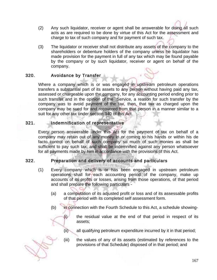- (2) Any such liquidator, receiver or agent shall be answerable for doing all such acts as are required to be done by virtue of this Act for the assessment and charge to tax of such company and for payment of such tax.
- (3) The liquidator or receiver shall not distribute any assets of the company to the shareholders or debenture holders of the company unless he liquidator has made provision for the payment in full of any tax which may be found payable by the company or by such liquidator, receiver or agent on behalf of the company.

## 320. Avoidance by Transfer

Where a company which is or was engaged in upstream petroleum operations transfers a substantial part of its assets to any person without having paid any tax, assessed or chargeable upon the company, for any accounting period ending prior to such transfer and in the opinion of the Service, a reason for such transfer by the company was to avoid payment of the tax, then, that tax as charged upon the company may be sued for and recovered from that person in a manner similar to a suit for any other tax under section 340 of this Act.

### 321. Indemnification of representative

Every person answerable under this Act for the payment of tax on behalf of a company may retain out of any money in or coming to his hands or within his de facto control on behalf of such company so much of such monies as shall be sufficient to pay such tax, and shall be indemnified against any person whatsoever for all payments made by him in accordance with the provisions of this Act.

## 322. Preparation and delivery of accounts and particulars

- (1) Every company which is or has been engaged in upstream petroleum operations shall for each accounting period of the company, make up accounts of its profits or losses, arising from those operations, of that period and shall prepare the following particulars -
	- (a) a computation of its adjusted profit or loss and of its assessable profits of that period with its completed self assessment form.
	- (b) in connection with the Fourth Schedule to this Act, a schedule showing-
		- (i) the residual value at the end of that period in respect of its assets;
		- (ii) all qualifying petroleum expenditure incurred by it in that period;
		- (iii) the values of any of its assets (estimated by references to the provisions of that Schedule) disposed of in that period; and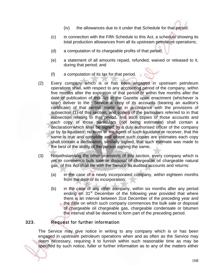- (iv) the allowances due to it under that Schedule for that period.
- (c) in connection with the Fifth Schedule to this Act, a schedule showing its total production allowances from all its upstream petroleum operations;
- (d) a computation of its chargeable profits of that period;
- (e) a statement of all amounts repaid, refunded, waived or released to it, during that period; and
- (f) a computation of its tax for that period.
- (2) Every company which is or has been engaged in upstream petroleum operations shall, with respect to any accounting period of the company, within five months after the expiration of that period or within five months after the date of publication of this Act in the Gazette upon enactment (whichever is later) deliver to the Service a copy of its accounts (bearing an auditor's certificate) of that period, made up in accordance with the provisions of subsection (1) of this section, and copies of the particulars referred to in that subsection relating to that period, and such copies of those accounts and each copy of those particulars (not being estimates) shall contain a declaration which shall be signed by a duly authorised officer of the company or by its liquidator, receiver or the agent of such liquidator or receiver, that the same is true and complete and where such copies are estimates each copy shall contain a declaration, similarly signed, that such estimate was made to the best of the ability of the person signing the same.
- (3) Notwithstanding the other provisions of this section, every company which is yet to commence bulk sale or disposal of chargeable oil chargeable natural gas, of this Act shall file with the Service its audited accounts and returns:
	- (a) in the case of a newly incorporated company, within eighteen months from the date of its incorporation;
	- (b) in the case of any other company, within six months after any period ending on  $31<sup>st</sup>$  December of the following year provided that where there is an interval between 31st December of the preceding year and the date on which such company commences the bulk sale or disposal of chargeable oil chargeable gas, chargeable condensate or bitumen the interval shall be deemed to form part of the preceding period.

# 323. Request for further information

The Service may give notice in writing to any company which is or has been engaged in upstream petroleum operations when and as often as the Service may deem necessary, requiring it to furnish within such reasonable time as may be specified by such notice, fuller or further information as to any of the matters either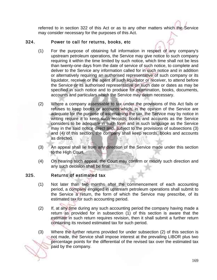referred to in section 322 of this Act or as to any other matters which the Service may consider necessary for the purposes of this Act.

#### 324. Power to call for returns, books, etc

- (1) For the purpose of obtaining full information in respect of any company's upstream petroleum operations, the Service may give notice to such company requiring it within the time limited by such notice, which time shall not be less than twenty-one days from the date of service of such notice, to complete and deliver to the Service any information called for in such notice and in addition or alternatively requiring an authorised representative of such company or its liquidator, receiver or the agent of such liquidator or receiver, to attend before the Service or its authorised representative on such date or dates as may be specified in such notice and to produce for examination, books, documents, accounts and particulars which the Service may deem necessary.
- (2) Where a company assessable to tax under the provisions of this Act fails or refuses to keep books or accounts which, in the opinion of the Service are adequate for the purpose of ascertaining the tax, the Service may by notice in writing require it to keep such records, books and accounts as the Service considers to be adequate in such form and in such language as the Service may in the said notice direct and, subject to the provisions of subsections (3) and (4) of this section, the company shall keep records, books and accounts as directed.
- (3) An appeal shall lie from any direction of the Service made under this section to the High Court.
- (4) On hearing such appeal, the Court may confirm or modify such direction and any such decision shall be final.

#### 325. Returns of estimated tax

- (1) Not later than two months after the commencement of each accounting period, a company engaged in upstream petroleum operations shall submit to the Service a return, the form of which the Service may prescribe, of its estimated tax for such accounting period.
- (2) If, at any time during any such accounting period the company having made a return as provided for in subsection (1) of this section is aware that the estimate in such return requires revision, then it shall submit a further return containing its revised estimated tax for such period.
- (3) Where the further returns provided for under subsection (2) of this section is not made, the Service shall impose interest at the prevailing LIBOR plus two percentage points for the differential of the revised tax over the estimated tax paid by the company.

169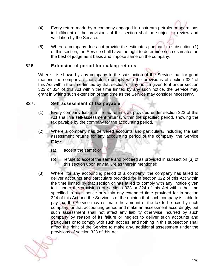- (4) Every return made by a company engaged in upstream petroleum operations in fulfilment of the provisions of this section shall be subject to review and validation by the Service.
- (5) Where a company does not provide the estimates pursuant to subsection (1) of this section, the Service shall have the right to determine such estimates on the best of judgement basis and impose same on the company.

### 326. Extension of period for making returns

Where it is shown by any company to the satisfaction of the Service that for good reasons the company is not able to comply with the provisions of section 322 of this Act within the time limited by that section or any notice given to it under section 323 or 324 of this Act within the time limited by any such notice, the Service may grant in writing such extension of that time as the Service may consider necessary.

#### 327. Self assessment of tax payable

- (1) Every company liable to file tax returns as provided under section 322 of this Act shall file self-assessment returns, within the specified period, showing the tax payable by the company for the accounting period.
- (2) Where a company has delivered accounts and particulars, including the self assessment returns for any accounting period of the company, the Service may -
	- (a) accept the same; or
	- (b) refuse to accept the same and proceed as provided in subsection (3) of this section upon any failure as therein mentioned.
- (3) Where, for any accounting period of a company, the company has failed to deliver accounts and particulars provided for in section 322 of this Act within the time limited by that section or has failed to comply with any notice given to it under the provisions of sections 323 or 324 of this Act within the time specified in such notice or within any extended time provided for in section 324 of this Act and the Service is of the opinion that such company is liable to pay tax, the Service may estimate the amount of the tax to be paid by such company for that accounting period and make an assessment accordingly, but such assessment shall not affect any liability otherwise incurred by such company by reason of its failure or neglect to deliver such accounts and particulars or to comply with such notices; and nothing in this subsection shall affect the right of the Service to make any, additional assessment under the provisions of section 328 of this Act.

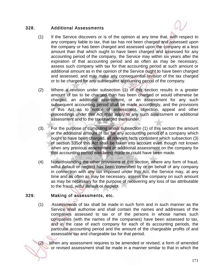### 328. Additional Assessments



- (1) If the Service discovers or is of the opinion at any time that, with respect to any company liable to tax, that tax has not been charged and assessed upon the company or has been charged and assessed upon the company at a less amount than that which ought to have been charged and assessed for any accounting period of the company, the Service may within six years after the expiration of that accounting period and as often as may be necessary, assess such company with tax for that accounting period at such amount or additional amount as in the opinion of the Service ought to have been charged and assessed, and may make any consequential revision of the tax charged or to be charged for any subsequent accounting period of the company.
- (2) Where a revision under subsection (1) of this section results in a greater amount of tax to be charged than has been charged or would otherwise be charged, an additional assessment, or an assessment for any such subsequent accounting period shall be made accordingly, and the provisions of this Act as to notice of assessment, objection, appeal and other proceedings under this Act shall apply to any such assessment or additional assessment and to the tax charged thereunder.
- (3). For the purpose of computing under subsection (1) of this section the amount or the additional amount of tax for any accounting period of a company which ought to have been charged, all relevant facts consistent which subsection (3) of section 335of this Act shall be taken into account even though not known when any previous assessment or additional assessment on the company for that accounting period was being made or could have been made.
- (4) Notwithstanding the other provisions of this section, where any form of fraud, wilful default or neglect has been committed by or on behalf of any company in connection with any tax imposed under this Act, the Service may, at any time and as often as may be necessary, assess the company on such amount as may be necessary for the purpose of recovering any loss of tax attributable to the fraud, wilful default or neglect.

#### 329. Making of assessments, etc.

(1) Assessments of tax shall be made in such form and in such manner as the Service shall authorise and shall contain the names and addresses of the companies assessed to tax or of the persons in whose names such companies (with the names of the companies) have been assessed to tax, and in the case of each company for each of its accounting periods, the particular accounting period and the amount of the chargeable profits of and assessable tax and chargeable tax for that period.

When any assessment requires to be amended or revised, a form of amended or revised assessment shall be made in a manner similar to that in which the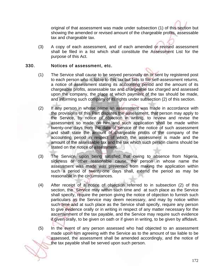original of that assessment was made under subsection (1) of this section but showing the amended or revised amount of the chargeable profits, assessable tax and chargeable tax.

(3) A copy of each assessment, and of each amended or revised assessment shall be filed in a list which shall constitute the Assessment List for the purpose of this Act.

#### 330. Notices of assessment, etc.

- (1) The Service shall cause to be served personally on or sent by registered post to each person who is liable to this tax but fails to file self-assessment returns, a notice of assessment stating its accounting period and the amount of its chargeable profits, assessable tax and chargeable tax charged and assessed upon the company, the place at which payment of the tax should be made, and informing such company of its rights under subsection (2) of this section.
- (2) If any person in whose name an assessment was made in accordance with the provisions of this Part disputes the assessment, that person may apply to the Service, by notice of objection in writing, to review and revise the assessment so made on him and such application shall be made within twenty-one days from the date of service of the notice of such assessment and shall state the amount of chargeable profits of the company of the accounting period in respect of which the assessment is made and the amount of the assessable tax and the tax which such person claims should be stated on the notice of assessment.
- (3) The Service, upon being satisfied that owing to absence from Nigeria, sickness or other reasonable cause, the person in whose name the assessment was made was prevented from making the application within such a period of twenty-one days shall, extend the period as may be reasonable in the circumstances.
- (4) After receipt of a notice of objection referred to in subsection (2) of this section, the Service may within such time and at such place as the Service shall specify, require the person giving the notice of objection to furnish such particulars as the Service may deem necessary, and may by notice within such time and at such place as the Service shall specify, require any person to give evidence orally or in writing in respect of any matter necessary for the ascertainment of the tax payable, and the Service may require such evidence if given orally, to be given on oath or if given in writing, to be given by affidavit.
- (5) In the event of any person assessed who had objected to an assessment made upon him agreeing with the Service as to the amount of tax liable to be assessed, the assessment shall be amended accordingly, and the notice of the tax payable shall be served upon such person.

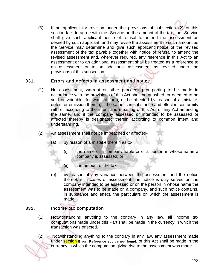(6) If an applicant for revision under the provisions of subsection (2) of this section fails to agree with the Service on the amount of the tax, the Service shall give such applicant notice of refusal to amend the assessment as desired by such applicant, and may revise the assessment to such amount as the Service may determine and give such applicant notice of the revised assessment of the tax payable together with notice of refusal to amend the revised assessment and, wherever required, any reference in this Act to an assessment or to an additional assessment shall be treated as a reference to an assessment or to an additional assessment as revised under the provisions of this subsection.

### 331. Errors and defects in assessment and notice

- (1) No assessment, warrant or other proceeding purporting to be made in accordance with the provisions of this Act shall be quashed, or deemed to be void or voidable, for want of form, or be affected by reason of a mistake, defect or omission therein, if the same is in substance and effect in conformity with or according to the intent and meaning of this Act or any Act amending the same, and if the company assessed or intended to be assessed or affected thereby is designated therein according to common intent and understanding.
- (2) An assessment shall not be impeached or affected-
	- (a) by reason of a mistake therein as to-
		- (i) the name of a company liable or of a person in whose name a company is assessed; or
		- (ii) the amount of the tax;
	- (b) by reason of any variance between the assessment and the notice thereof, if in cases of assessment, the notice is duly served on the company intended to be assessed or on the person in whose name the assessment was to be made on a company, and such notice contains, in substance and effect, the particulars on which the assessment is made.

## 332. Income tax computation

(1) Notwithstanding anything to the contrary in any law, all income tax computations made under this Part shall be made in the currency in which the transaction was effected.

(2) Notwithstanding anything to the contrary in any law, any assessment made under section Error! Reference source not found. of this Act shall be made in the currency in which the computation giving rise to the assessment was made.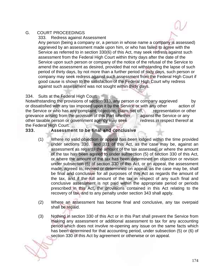### G. COURT PROCEEDINGS

333. Redress against Assessment

Any person (being a company or, a person in whose name a company is assessed) aggrieved by an assessment made upon him, or who has failed to agree with the Service as referred to in section 330(6) of this Act, may seek redress against such assessment from the Federal High Court within thirty days after the date of the Service upon such person or company of the notice of the refusal of the Service to amend the assessment as desired, provided that not withstanding the lapse of such period of thirty days, by not more than a further period of sixty days, such person or company may seek redress against such assessment from the Federal High Court if good cause is shown to the satisfaction of the Federal High Court why redress against such assessment was not sought within thirty days.

### 334. Suits at the Federal High Court

Notwithstanding the provisions of section 333, any person or company aggrieved by or dissatisfied with any tax imposed upon it by the Service or with any other action of the Service or who has any complaint, objection, claim, set off, representation or other grievance arising from the provision of this Part whether against the Service or any other taxable person or government agency may seek redress in respect thereof at the Federal High Court.

## 333. Assessment to be final and conclusive

- (1) Where no valid objection or appeal has been lodged within the time provided under sections 330, and 331 of this Act, as the case may be, against an assessment as regards the amount of the tax assessed, or where the amount of the tax has been agreed to under subsection (5) of section 330 of this Act, or where the amount of the tax has been determined on objection or revision under subsection (6) of section 330 of this Act, or on appeal, the assessment made, agreed to, revised or determined on appeal, as the case may be, shall be final and conclusive for all purposes of this Act as regards the amount of the tax, and if the full amount of the tax in respect of any such final and conclusive assessment is not paid within the appropriate period or periods prescribed in this Act, the provisions contained in this Act relating to the recovery of tax, and to any penalty under section 343 shall apply.
- (2) Where an assessment has become final and conclusive, any tax overpaid shall be repaid.
- (3) Nothing in section 330 of this Act or in this Part shall prevent the Service from making any assessment or additional assessment to tax for any accounting period which does not involve re-opening any issue on the same facts which has been determined for that accounting period, under subsection (5) or (6) of section 330 of this Act by agreement or otherwise or on appeal.

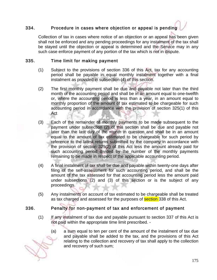# 334. Procedure in cases where objection or appeal is pending

Collection of tax in cases where notice of an objection or an appeal has been given shall not be enforced and any pending proceedings for any instalment of the tax shall be stayed until the objection or appeal is determined and the Service may in any such case enforce payment of any portion of the tax which is not in dispute.

#### 335. Time limit for making payment

- (1) Subject to the provisions of section 336 of this Act, tax for any accounting period shall be payable in equal monthly instalment together with a final instalment as provided in subsection (4) of this section.
- (2) The first monthly payment shall be due and payable not later than the third month of the accounting period and shall be in an amount equal to one-twelfth or, where the accounting period is less than a year, in an amount equal to monthly proportion of the amount of tax estimated to be chargeable for such accounting period in accordance with the provision of section 325(1) of this Act
- (3) Each of the remainder of monthly payments to be made subsequent to the payment under subsection (2) of this section shall be due and payable not later than the last day of the month in question and shall be in an amount equal to the amount of tax estimated to be chargeable for such period by reference to the latest returns submitted by the company in accordance with the provision of section 325(2) of this Act less the amount already paid for such accounting period divided by the number of the monthly payments remaining to be made in respect of the applicable accounting period.
- (4) A final instalment of tax shall be due and payable within twenty-one days after filing of the self-assessment for such accounting period, and shall be the amount of the tax assessed for that accounting period less the amount paid under subsections (2) and (3) of this section or is the subject of any proceedings.
- (5) Any instalments on account of tax estimated to be chargeable shall be treated as tax charged and assessed for the purposes of **section** 338 of this Act.

## 336. Penalty for non-payment of tax and enforcement of payment

- (1) If any instalment of tax due and payable pursuant to section 337 of this Act is not paid within the appropriate time limit prescribed. -
	- (a) a sum equal to ten per cent of the amount of the instalment of tax due and payable shall be added to the tax, and the provisions of this Act relating to the collection and recovery of tax shall apply to the collection and recovery of such sum;

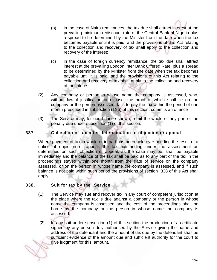- (b) in the case of Naira remittances, the tax due shall attract interest at the prevailing minimum rediscount rate of the Central Bank of Nigeria plus a spread to be determined by the Minister from the date when the tax becomes payable until it is paid, and the provisions of this Act relating to the collection and recovery of tax shall apply to the collection and recovery of the interest;
- (c) in the case of foreign currency remittance, the tax due shall attract interest at the prevailing London Inter Bank Offered Rate, plus a spread to be determined by the Minister from the date when the tax becomes payable until it is paid, and the provisions of this Act relating to the collection and recovery of tax shall apply to the collection and recovery of the interest.
- (2) Any company or person in whose name the company is assessed, who, without lawful justification or excuse, the proof of which shall lie on the company or the person assessed, fails to pay the tax within the period of one month prescribed in subsection (1)(b) of this section, commits an offence
- (3) The Service may, for good cause shown, remit the whole or any part of the penalty due under subsection (1) of this section.

## 337. Collection of tax after determination of objection or appeal

Where payment of tax in whole or in part has been held over pending the result of a notice of objection or appeal, the tax outstanding under the assessment as determined on such objection or appeal, as the case may be, shall be payable immediately and the balance of the tax shall be paid as to any part of the tax in the proceedings stayed within one month from the date of service on the company assessed, or on the person in whose name the company is assessed, and if such balance is not paid within such period the provisions of section 338 of this Act shall apply.

## 338. Suit for tax by the Service

- (1) The Service may sue and recover tax in any court of competent jurisdiction at the place where the tax is due against a company or the person in whose name the company is assessed and the cost of the proceedings shall be borne by the company or the person in whose name the company is assessed.
- (2) In any suit under subsection (1) of this section the production of a certificate signed by any person duly authorised by the Service giving the name and address of the defendant and the amount of tax due by the defendant shall be sufficient evidence of the amount due and sufficient authority for the court to give judgment for this amount.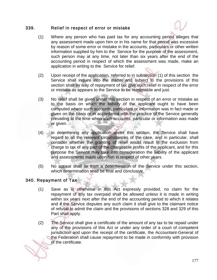#### 339. Relief in respect of error or mistake

- (1) Where any person who has paid tax for any accounting period alleges that any assessment made upon him or in his name for that period was excessive by reason of some error or mistake in the accounts, particulars or other written information supplied by him to the Service for the purpose of the assessment, such person may at any time, not later than six years after the end of the accounting period in respect of which the assessment was made, make an application in writing to the Service for relief.
- (2) Upon receipt of the application, referred to in subsection (1) of this section the Service shall inquire into the matter and subject to the provisions of this section shall by way of repayment of tax give such relief in respect of the error or mistake as appears to the Service to be reasonable and just.
- (3) No relief shall be given under this section in respect of an error or mistake as to the basis on which the liability of the applicant ought to have been computed where such accounts, particulars or information was in fact made or given on the basis or in accordance with the practice of the Service generally prevailing at the time when such accounts, particular or information was made or given.
- (4) In determining any application under this section, the Service shall have regard to all the relevant circumstances of the case, and in particular, shall consider whether the granting of relief would result in the exclusion from charge to tax of any part of the chargeable profits of the applicant, and for this purpose the Service may take into consideration the liability of the applicant and assessments made upon him in respect of other years.
- (5) No appeal shall lie from a determination of the Service under this section, which determination shall be final and conclusive.

## 340. Repayment of Tax

- (1) Save as is otherwise in this Act expressly provided, no claim for the repayment of any tax overpaid shall be allowed unless it is made in writing within six years next after the end of the accounting period to which it relates and if the Service disputes any such claim it shall give to the claimant notice of refusal to admit the claim and the provisions of sections 328 and 329 of this Part shall apply.
- (2) The Service shall give a certificate of the amount of any tax to be repaid under any of the provisions of this Act or under any order of a court of competent jurisdiction and upon the receipt of the certificate, the Accountant-General of the Federation shall cause repayment to be made in conformity with provision of the certificate.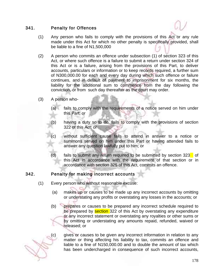### 341. Penalty for Offences

- (1) Any person who fails to comply with the provisions of this Act or any rule made under this Act for which no other penalty is specifically provided, shall be liable to a fine of N1,500,000
- (2) A person who commits an offence under subsection (1) of section 323 of this Act, or where such offence is a failure to submit a return under section 324 of this Act or is a failure, arising from the provisions of this Part, to deliver accounts, particulars or information or to keep records required, a further sum of N300,000.00 for each and every day during which such offence or failure continues, and in default of payment to imprisonment for six months, the liability for the additional sum to commence from the day following the conviction, or from such day thereafter as the court may order.
- (3) A person who-
	- (a) fails to comply with the requirements of a notice served on him under this Part; or
	- (b) having a duty so to do, fails to comply with the provisions of section 322 of this Act; or
	- (c) without sufficient cause fails to attend in answer to a notice or summons served on him under this Part or having attended fails to answer any question lawfully put to him; or
	- (d) fails to submit any return required to be submitted by section  $323$  of this Act in accordance with the requirement of that section or in accordance with section 325 of this Act, commits an offence.

## 342. Penalty for making incorrect accounts

- (1) Every person who without reasonable excuse:
	- (a) makes up or causes to be made up any incorrect accounts by omitting or understating any profits or overstating any losses in the accounts; or
	- (b) prepares or causes to be prepared any incorrect schedule required to be prepared by **section** 322 of this Act by overstating any expenditure or any incorrect statement or overstating any royalties or other sums or by omitting or understating any amounts repaid, refunded, waived or released; or



(c) gives or causes to be given any incorrect information in relation to any matter or thing affecting his liability to tax, commits an offence and liable to a fine of N150,000.00 and to double the amount of tax which has been undercharged in consequence of such incorrect accounts,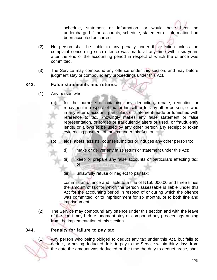schedule, statement or information, or would have been so undercharged if the accounts, schedule, statement or information had been accepted as correct.

- (2) No person shall be liable to any penalty under this section unless the complaint concerning such offence was made at any time within six years after the end of the accounting period in respect of which the offence was committed.
- (3) The Service may compound any offence under this section, and may before judgment stay or compound any proceedings under this Act.

### 343. False statements and returns.

- (1) Any person who:
	- (a) for the purpose of obtaining any deduction, rebate, reduction or repayment in respect of tax for himself or for any other person, or who in any return, account, particulars or statement made or furnished with reference to tax, knowingly makes any false statement or false representation, or forges or fraudulently alters or used, or fraudulently lends, or allows to be used by any other person any receipt or token evidencing payment of the tax under this Act; or
	- (b) aids, abets, assists, counsels, incites or induces any other person to:
		- (i) make or deliver any false return or statement under this Act;
		- (ii) keep or prepare any false accounts or particulars affecting tax; or **WITH STATEMENT**
		- (iii) unlawfully refuse or neglect to pay tax;

commits an offence and liable to a fine of N150,000.00 and three times the amount of tax for which the person assessable is liable under this Act for the accounting period in respect of or during which the offence was committed, or to imprisonment for six months, or to both fine and imprisonment.

(2) The Service may compound any offence under this section and with the leave of the court may before judgment stay or compound any proceedings arising from the implementation of this section.

## 344. Penalty for failure to pay tax

(1) Any person who being obliged to deduct any tax under this Act, but fails to deduct, or having deducted, fails to pay to the Service within thirty days from the date the amount was deducted or the time the duty to deduct arose, shall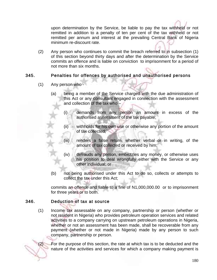upon determination by the Service, be liable to pay the tax withheld or not remitted in addition to a penalty of ten per cent of the tax withheld or not remitted per annum and interest at the prevailing Central Bank of Nigeria minimum re-discount rate.

(2) Any person who continues to commit the breach referred to in subsection (1) of this section beyond thirty days and after the determination by the Service commits an offence and is liable on conviction to imprisonment for a period of not more than six months.

# 345. Penalties for offences by authorised and unauthorised persons

- (1) Any person who
	- (a) being a member of the Service charged with the due administration of this Act or any consultant engaged in connection with the assessment and collection of the tax who –
		- (i) demands from any person an amount in excess of the authorised assessment of the tax payable;
		- (ii) withholds for his own use or otherwise any portion of the amount of tax collected;
		- (iii) renders a false return, whether verbal or in writing, of the amount of tax collected or received by him;
		- (iv) defrauds any person, embezzles any money, or otherwise uses his position to deal wrongfully either with the Service or any other individual; or
	- (b) not being authorised under this Act to do so, collects or attempts to collect the tax under this Act;

commits an offence and liable to a fine of N1,000,000.00 or to imprisonment for three years or to both.

## 346. Deduction of tax at source

(1) Income tax assessable on any company, partnership or person (whether or not resident in Nigeria) who provides petroleum operation services and related activities to a company carrying on upstream petroleum operations in Nigeria, whether or not an assessment has been made, shall be recoverable from any payment (whether or not made in Nigeria) made by any person to such company, partnership or person.

(2) For the purpose of this section, the rate at which tax is to be deducted and the nature of the activities and services for which a company making payment is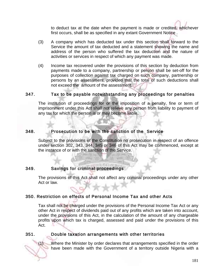to deduct tax at the date when the payment is made or credited, whichever first occurs, shall be as specified in any extant Government Notice .

- (3) A company which has deducted tax under this section shall forward to the Service the amount of tax deducted and a statement showing the name and address of the person who suffered the tax deduction and the nature of activities or services in respect of which any payment was made.
- (4) Income tax recovered under the provisions of this section by deduction from payments made to a company, partnership or person shall be set-off for the purposes of collection against tax charged on such company, partnership or persons by an assessment, provided that the total of such deductions shall not exceed the amount of the assessment.

### 347. Tax to be payable notwithstanding any proceedings for penalties

The institution of proceedings for or the imposition of a penalty, fine or term of imprisonment under this Act shall not relieve any person from liability to payment of any tax for which the person is or may become liable.

## 348. Prosecution to be with the sanction of the Service

Subject to the provisions of the Constitution no prosecution in respect of an offence under section 302, 343, 344, 345 or 346 of this Act may be commenced, except at the instance of or with the sanction of the Service.

## 349. Savings for criminal proceedings

The provisions of this Act shall not affect any criminal proceedings under any other Act or law.

## 350. Restriction on effects of Personal Income Tax and other Acts

Tax shall not be charged under the provisions of the Personal Income Tax Act or any other Act in respect of dividends paid out of any profits which are taken into account, under the provisions of this Act, in the calculation of the amount of any chargeable profits upon which tax is charged, assessed and paid under the provisions of this Act.

#### 351. Double taxation arrangements with other territories

(1) Where the Minister by order declares that arrangements specified in the order have been made with the Government of a territory outside Nigeria with a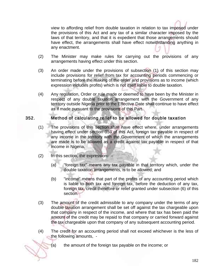view to affording relief from double taxation in relation to tax imposed under the provisions of this Act and any tax of a similar character imposed by the laws of that territory, and that it is expedient that those arrangements should have effect, the arrangements shall have effect notwithstanding anything in any enactment.

- (2) The Minister may make rules for carrying out the provisions of any arrangements having effect under this section.
- (3) An order made under the provisions of subsection (1) of this section may include provisions for relief from tax for accounting periods commencing or terminating before the making of the order and provisions as to income (which expression includes profits) which is not itself liable to double taxation.
- (4) Any regulation, Order or rule made or deemed to have been by the Minister in respect of any double taxation arrangement with the Government of any territory outside Nigeria prior to the Effective Date shall continue to have effect as if made pursuant to the provisions of this Part.

## 352. Method of calculating relief to be allowed for double taxation

- (1) The provisions of this section shall have effect where, under arrangements having effect under section 353 of this Act, foreign tax payable in respect of any income in the territory with the Government of which the arrangements are made is to be allowed as a credit against tax payable in respect of that income in Nigeria.
- (2) In this section, the expression-
	- (a) "foreign tax" means any tax payable in that territory which, under the double taxation arrangements, is to be allowed; and
	- (b) "income" means that part of the profits of any accounting period which is liable to both tax and foreign tax, before the deduction of any tax, foreign tax, credit therefore or relief granted under subsection (6) of this section.
- (3) The amount of the credit admissible to any company under the terms of any double taxation arrangement shall be set off against the tax chargeable upon that company in respect of the income, and where that tax has been paid the amount of the credit may be repaid to that company or carried forward against the tax chargeable upon that company of any subsequent accounting period.
- (4) The credit for an accounting period shall not exceed whichever is the less of the following amounts, -



(a) the amount of the foreign tax payable on the income; or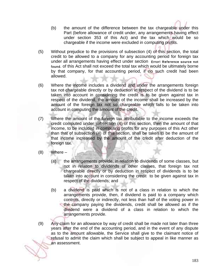- (b) the amount of the difference between the tax chargeable under this Part (before allowance of credit under, any arrangements having effect under section 353 of this Act) and the tax which would be so chargeable if the income were excluded in computing profits.
- (5) Without prejudice to the provisions of subsection (4) of this section, the total credit to be allowed to a company for any accounting period for foreign tax under all arrangements having effect under section Error! Reference source not found. of this Act shall not exceed the total tax which would be ultimately borne by that company, for that accounting period, if no such credit had been allowed.
- (6) Where the income includes a dividend and under the arrangements foreign tax not chargeable directly or by deduction in respect of the dividend is to be taken into account in considering the credit is to be given against tax in respect of the dividend, the amount of the income shall be increased by the amount of the foreign tax not so chargeable which falls to be taken into account in computing the amount of the credit.
- (7) Where the amount of the foreign tax attributable to the income exceeds the credit computed under subsection (4) of this section, then the amount of that income, to be included in computing profits for any purposes of this Act other than that of subsection (4) of this section, shall be taken to be the amount of that income increased by the amount of the credit after deduction of the foreign tax.
- (8) Where
	- (a) the arrangements provide, in relation to dividends of some classes, but not in relation to dividends of other classes, that foreign tax not chargeable directly or by deduction in respect of dividends is to be taken into account in considering the credit to be given against tax in respect of the dividends; and
	- (b) a dividend is paid which is not of a class in relation to which the arrangements provide, then, if dividend is paid to a company which controls, directly or indirectly, not less than half of the voting power in the company paying the dividends, credit shall be allowed as if the dividend were a dividend of a class in relation to which the arrangements provide.
- (9) Any claim for an allowance by way of credit shall be made not later than three years after the end of the accounting period, and in the event of any dispute as to the amount allowable, the Service shall give to the claimant notice of refusal to admit the claim which shall be subject to appeal in like manner as an assessment.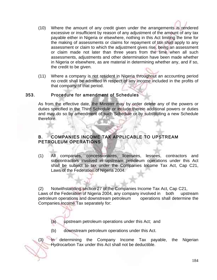

- (10) Where the amount of any credit given under the arrangements is rendered excessive or insufficient by reason of any adjustment of the amount of any tax payable either in Nigeria or elsewhere, nothing in this Act limiting the time for the making of assessments or claims for repayment of tax shall apply to any assessment or claim to which the adjustment gives rise, being an assessment or claim made not later than three years from the time when all such assessments, adjustments and other determination have been made whether in Nigeria or elsewhere, as are material in determining whether any, and if so, the credit to be given.
- (11) Where a company is not resident in Nigeria throughout an accounting period no credit shall be admitted in respect of any income included in the profits of that company of that period.

#### 353. Procedure for amendment of Schedules

As from the effective date, the Minister may by order delete any of the powers or duties specified in the Third Schedule or include therein additional powers or duties and may do so by amendment of such Schedule or by substituting a new Schedule therefore.

## B. COMPANIES INCOME TAX APPLICABLE TO UPSTREAM PETROLEUM OPERATIONS

(1) All companies, concessionaires, licensees, lessees, contractors and subcontractors involved in upstream petroleum operations under this Act shall be subject to tax under the Companies Income Tax Act, Cap C21, Laws of the Federation of Nigeria 2004.

(2) Notwithstanding section 27 of the Companies Income Tax Act, Cap C21, Laws of the Federation of Nigeria 2004, any company involved in both upstream petroleum operations and downstream petroleum operations shall determine the Companies Income Tax separately for:

- (a) upstream petroleum operations under this Act; and
- (b) downstream petroleum operations under this Act.

(3) In determining the Company Income Tax payable, the Nigerian Hydrocarbon Tax under this Act shall not be deductible.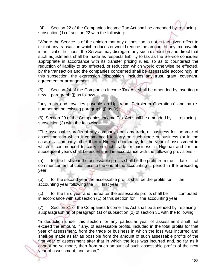(4) Section 22 of the Companies Income Tax Act shall be amended by replacing subsection (1) of section 22 with the following:

"Where the Service is of the opinion that any disposition is not in fact given effect to or that any transaction which reduces or would reduce the amount of any tax payable is artificial or fictitious, the Service may disregard any such disposition and direct that such adjustments shall be made as respects liability to tax as the Service considers appropriate in accordance with its transfer pricing rules, so as to counteract the reduction of liability to tax effected, or reduction which would otherwise be effected, by the transaction and the companies concerned shall be assessable accordingly. In this subsection, the expression "disposition" includes any trust, grant, covenant, agreement or arrangement.

(5) Section 24 of the Companies Income Tax Act shall be amended by inserting a new paragraph (j) as follows -

"any rents and royalties payable on Upstream Petroleum Operations" and by renumbering the existing paragraph (j) as (k).

(6) Section 29 of the Companies Income Tax Act shall be amended by replacing subsection (3) with the following:

"The assessable profits of any company from any trade or business for the year of assessment in which it commenced to carry on such trade or business (or in the case of a company other than a Nigerian company, for the year of assessment in which it commenced to carry on such trade or business in Nigeria) and for the subsequent years shall be ascertained in accordance with the following provisions -

(a) for the first year the assessable profits shall be the profit from the date of commencement of business to the end of the accounting period in the preceding year;

(b) for the second year the assessable profits shall be the profits for the accounting year following the first year;

(c) for the third year and thereafter the assessable profits shall be computed in accordance with subsection (1) of this section for the accounting year;

(7) Section 31 of the Companies Income Tax Act shall be amended by replacing subparagraph (ii) of paragraph (a) of subsection (2) of section 31 with the following:

"a deduction under this section for any particular year of assessment shall not exceed the amount, if any, of assessable profits, included in the total profits for that year of assessment, from the trade or business in which the loss was incurred and shall be made as far as possible from the amount of such assessable profits of the first year of assessment after that in which the loss was incurred and, so far as it cannot be so made, then from such amount of such assessable profits of the next year of assessment, and so on;"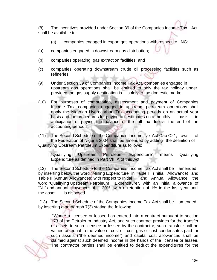(8) The incentives provided under Section 39 of the Companies Income Tax Act shall be available to:

- (a) companies engaged in export gas operations with respect to LNG;
- (a) companies engaged in downstream gas distribution;
- (b) companies operating gas extraction facilities; and
- (c) companies operating downstream crude oil processing facilities such as refineries.
- (9) Under Section 39 of Companies Income Tax Act, companies engaged in upstream gas operations shall be entitled to only the tax holiday under, provided the gas supply destination is solely to the domestic market.
- (10) For purposes of computation, assessment and payment of Companies Income Tax, companies engaged in upstream petroleum operations shall apply the Nigerian Hydrocarbon Tax accounting periods on an actual year basis and the procedures for paying tax estimates on a monthly basis in anticipation of paying the balance of the full tax due at the end of the accounting period.

(11) The Second Schedule of the Companies Income Tax Act Cap C21, Laws of the Federation of Nigeria 2004 shall be amended by adding the definition of Qualifying Upstream Petroleum Expenditure as follows:

 "Qualifying Upstream Petroleum Expenditure" means Qualifying Expenditure as defined in Part VIII A of this Act.

(12) The Second Schedule to the Companies Income Tax Act shall be amended by inserting below the word "Mining Expenditure" in Table I (Initial Allowance) and Table II (Annual Allowances) with respect to Initial and Annual Allowance, the word "Qualifying Upstream Petroleum Expenditure", with an initial allowance of "Nil" and annual allowances of 20%, with a retention of 1% in the last year until the asset is disposed.

 (13) The Second Schedule of the Companies Income Tax Act shall be amended by inserting a paragraph 7(3) stating the following:

 "Where a licensee or lessee has entered into a contract pursuant to section 173 of the Petroleum Industry Act, and such contract provides for the transfer of assets to such licensee or lessee by the contractor, such transfer shall be valued as equal to the value of cost oil, cost gas or cost condensates paid for such assets ("the deemed income") and capital cost allowances shall be claimed against such deemed income in the hands of the licensee or lessee. The contractor parties shall be entitled to deduct the expenditures for the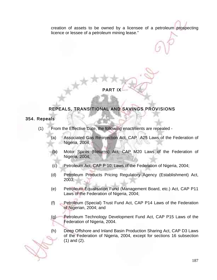creation of assets to be owned by a licensee of a petroleum prospecting licence or lessee of a petroleum mining lease."

# **PART IX**

# REPEALS, TRANSITIONAL AND SAVINGS PROVISIONS

## 354. Repeals

- (1) From the Effective Date, the following enactments are repealed
	- (a) Associated Gas Re-injection Act, CAP A25 Laws of the Federation of Nigeria, 2004;
	- (b) Motor Spirits (Returns) Act, CAP M20 Laws of the Federation of Nigeria, 2004;
	- (c) Petroleum Act, CAP P 10, Laws of the Federation of Nigeria, 2004;
	- (d) Petroleum Products Pricing Regulatory Agency (Establishment) Act, 2003;
	- (e) Petroleum Equalisation Fund (Management Board, etc.) Act, CAP P11 Laws of the Federation of Nigeria, 2004;
	- (f) Petroleum (Special) Trust Fund Act, CAP P14 Laws of the Federation of Nigerian, 2004; and
	- (g) Petroleum Technology Development Fund Act, CAP P15 Laws of the Federation of Nigeria, 2004.
	- (h) Deep Offshore and Inland Basin Production Sharing Act, CAP D3 Laws of the Federation of Nigeria, 2004, except for sections 16 subsection (1) and (2).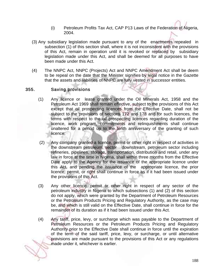- (i) Petroleum Profits Tax Act, CAP P13 Laws of the Federation of Nigeria, 2004.
- (3) Any subsidiary legislation made pursuant to any of the enactments repealed in subsection (1) of this section shall, where it is not inconsistent with the provisions of this Act, remain in operation until it is revoked or replaced by subsidiary legislation made under this Act, and shall be deemed for all purposes to have been made under this Act.
- (4) The NNPC Act, NNPC (Projects) Act and NNPC Amendment Act shall be deem to be repeal on the date that the Minister signifies by legal notice in the Gazette that the assets and liabilities of NNPC are fully vested in successor entities.

## 355. Saving provisions

- (1) Any licence or lease granted under the Oil Minerals Act, 1958 and the Petroleum Act 1969 shall remain effective, subject to the provisions of this Act except that oil prospecting licences from the Effective Date, shall not be subject to the provisions of sections 172 and 178 and for such licences, the terms with respect to the oil prospecting licences regarding duration of the licence, work program, commitments and relinquishments shall continue unaltered for a period up to the tenth anniversary of the granting of such licence;
- (2) Any company granted a licence, permit or other right in respect of activities in the downstream petroleum, sector downstream, petroleum sector including refineries, pipelines, storage, transportation, distribution and retail, under any law in force at the time in Nigeria, shall within three months from the Effective Date apply to the Agency for the issuance of the appropriate licence under this Act, and pending the issuance of the appropriate licence, the prior licence, permit, or right shall continue in force as if it had been issued under the provisions of this Act.
- (3) Any other licence, permit or other right in respect of any sector of the petroleum industry in Nigeria to which subsections (1) and (2) of this section do not apply, which were granted by the Department of Petroleum Resources or the Petroleum Products Pricing and Regulatory Authority, as the case may be, and which is still valid on the Effective Date, shall continue in force for the remainder of its duration as if it had been issued under this Act.
- (4) Any tariff, price, levy, or surcharge which was payable to the Department of Petroleum Resources or the Petroleum Products Pricing and Regulatory Authority prior to the Effective Date shall continue in force until the expiration of the term of the said tariff, price, levy, or surcharge, or until alternative provisions are made pursuant to the provisions of this Act or any regulations made under it, whichever is earlier.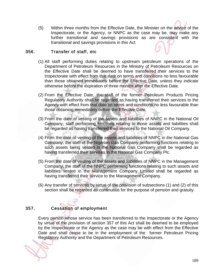(5) Within three months from the Effective Date, the Minister on the advice of the Inspectorate, or the Agency, or NNPC as the case may be, may make any further transitional and savings provisions as are consistent with the transitional and savings provisions in this Act

## 356. Transfer of staff, etc

- (1) All staff performing duties relating to upstream petroleum operations of the Department of Petroleum Resources in the Ministry of Petroleum Resources on the Effective Date shall be deemed to have transferred their services to the Inspectorate with effect from that date on terms and conditions no less favourable than those obtained immediately before the Effective Date, unless they indicate otherwise before the expiration of three months after the Effective Date.
- (2) From the Effective Date, the staff of the former Petroleum Products Pricing Regulatory Authority shall be regarded as having transferred their services to the Agency with effect from that date on terms and conditions no less favourable than those obtaining immediately before the Effective Date.
- (3) From the date of vesting of the assets and liabilities of NNPC in the National Oil Company, staff performing functions relating to those assets and liabilities shall be regarded as having transferred their services to the National Oil Company.
- (4) From the date of vesting of the assets and liabilities of NNPC in the National Gas Company, the staff of the Nigerian Gas Company performing functions relating to such assets being vested in the National Gas Company shall be regarded as having transferred their services to the National Gas Company Plc.
- (5) From the date of vesting of the assets and liabilities of NNPC in the Management Company, the staff of the NNPC performing functions relating to such assets and liabilities vested in the Management Company Limited shall be regarded as having transferred their service to the Management Company.
- (6) Any transfer of services by virtue of the provision of subsections (1) and (2) of this section shall be regarded as continuous for the purpose of pension and gratuity.

# 357. Cessation of employment

Every person whose service has been transferred to the Inspectorate or the Agency by virtue of the provision of section 357 of this Act shall be deemed to be employed by the Inspectorate or the Agency as the case may be with effect from the Effective Date and shall cease to be in the employment of the former Petroleum Pricing Regulatory Authority and the Department of Petroleum Resources.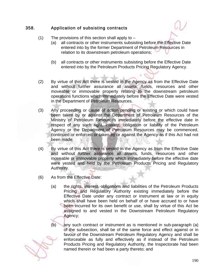## 358. Application of subsisting contracts

- (1) The provisions of this section shall apply to  $-$ 
	- (a) all contracts or other instruments subsisting before the Effective Date entered into by the former Department of Petroleum Resources in relation to its downstream petroleum operations;
	- (b) all contracts or other instruments subsisting before the Effective Date entered into by the Petroleum Products Pricing Regulatory Agency.
- (2) By virtue of this Act there is vested in the Agency as from the Effective Date and without further assurance all assets, funds, resources and other moveable or immovable property relating to the downstream petroleum operations functions which immediately before the Effective Date were vested in the Department of Petroleum Resources.
- (3) Any proceeding or cause of action pending or existing or which could have been taken by or against the Department of Petroleum Resources of the Ministry of Petroleum Resources immediately before the effective date in respect of any such right, interest, obligation or liability of the Petroleum Agency or the Department of Petroleum Resources may be commenced, continued or enforced or taken by or against the Agency as if this Act had not been made.
- (4) By virtue of this Act there is vested in the Agency as from the Effective Date and without further assurance all assets, funds, resources and other moveable or immovable property which immediately before the effective date were vested and held by the Petroleum Products Pricing and Regulatory Authority.
- (6) As from the Effective Date:
	- (a) the rights, interest, obligations and liabilities of the Petroleum Products Pricing and Regulatory Authority existing immediately before the Effective Date under any contract or instrument at law or in equity which shall have been held on behalf of or have accrued to or have been incurred for its own benefit or use, shall by virtue of this Act be assigned to and vested in the Downstream Petroleum Regulatory Agency;
	- (b) any such contract or instrument as is mentioned in sub-paragraph (a) of the subsection, shall be of the same force and effect against or in favour of the Downstream Petroleum Regulatory Agency and shall be enforceable as fully and effectively as if instead of the Petroleum Products Pricing and Regulatory Authority, the Inspectorate had been named therein or had been a party thereto; and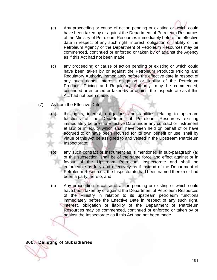- (c) Any proceeding or cause of action pending or existing or which could have been taken by or against the Department of Petroleum Resources of the Ministry of Petroleum Resources immediately before the effective date in respect of any such right, interest, obligation or liability of the Petroleum Agency or the Department of Petroleum Resources may be commenced, continued or enforced or taken by or against the Agency as if this Act had not been made.
- (c) any proceeding or cause of action pending or existing or which could have been taken by or against the Petroleum Products Pricing and Regulatory Authority immediately before the effective date in respect of any such rights, interest, obligation or liability of the Petroleum Products Pricing and Regulatory Authority, may be commenced, continued or enforced or taken by or against the Inspectorate as if this Act had not been made.
- (7) As from the Effective Date:
	- the rights, interest, obligations and liabilities relating to upstream functions of the Department of Petroleum Resources existing immediately before the Effective Date under any contract or instrument at law or in equity which shall have been held on behalf of or have accrued to or have been incurred for its own benefit or use, shall by virtue of this Act be assigned to and vested in the Upstream Petroleum Inspectorate;
	- any such contract or instrument as is mentioned in sub-paragraph (a) of this subsection, shall be of the same force and effect against or in favour of the Upstream Petroleum Inspectorate and shall be enforceable as fully and effectively as if instead of the Department of Petroleum Resources, the Inspectorate had been named therein or had been a party thereto; and
	- (c) Any proceeding or cause of action pending or existing or which could have been taken by or against the Department of Petroleum Resources of the Ministry in relation to its upstream petroleum functions immediately before the Effective Date in respect of any such right, interest, obligation or liability of the Department of Petroleum Resources may be commenced, continued or enforced or taken by or against the Inspectorate as if this Act had not been made.

360. Delisting of Subsidiaries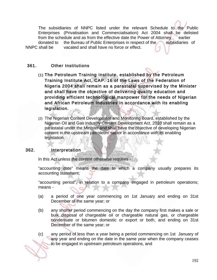The subsidiaries of NNPC listed under the relevant Schedule to the Public Enterprises (Privatisation and Commercialisation) Act 2004 shall be delisted from the schedule and as from the effective date the Power of Attorney earlier donated to the Bureau of Public Enterprises in respect of the subsidiaries of NNPC shall be vacated and shall have no force or effect.

# 361. Other Institutions

- (1) The Petroleum Training Institute, established by the Petroleum Training Institute Act, CAP. 16 of the Laws of the Federation of Nigeria 2004 shall remain as a parastatal supervised by the Minister and shall have the objective of delivering quality education and providing efficient technological manpower for the needs of Nigerian and African Petroleum Industries in accordance with its enabling legislation.
- (2) The Nigerian Content Development and Monitoring Board, established by the Nigerian Oil and Gas Industry Content Development Act, 2010 shall remain as a parastatal under the Minister and shall have the objective of developing Nigerian content in the upstream petroleum sector in accordance with its enabling legislation.

# 362. Interpretation

In this Act unless the context otherwise requires -

"accounting date" means the date to which a company usually prepares its accounting statement;

"accounting period", in relation to a company engaged in petroleum operations; means -

- (a) a period of one year commencing on 1st January and ending on 31st December of the same year; or
- (b) any shorter period commencing on the day the company first makes a sale or bulk disposal of chargeable oil or chargeable natural gas, or chargeable condensate or bitumen domestic or export or both, and ending on 31st December of the same year; or

(c) any period of less than a year being a period commencing on 1st January of any year and ending on the date in the same year when the company ceases to be engaged in upstream petroleum operations, and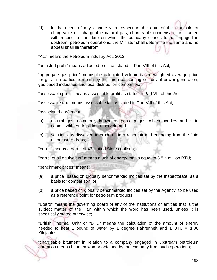(d) in the event of any dispute with respect to the date of the first sale of chargeable oil, chargeable natural gas, chargeable condensate or bitumen with respect to the date on which the company ceases to be engaged in upstream petroleum operations, the Minister shall determine the same and no appeal shall lie therefrom;

"Act" means the Petroleum Industry Act, 2012;

"adjusted profit" means adjusted profit as stated in Part VIII of this Act;

"aggregate gas price" means the calculated volume-based weighted average price for gas in a particular month by the three consuming sectors of power generation, gas based industries and local distribution companies;

"assessable profit" means assessable profit as stated in Part VIII of this Act;

"assessable tax" means assessable tax as stated in Part VIII of this Act;

"associated gas" means

- (a) natural gas, commonly known as gas-cap gas, which overlies and is in contact with crude oil in a reservoir; and
- (b) solution gas dissolved in crude oil in a reservoir and emerging from the fluid as pressure drops;

"barrel" means a barrel of 42 United States gallons;

"barrel of oil equivalent" means a unit of energy that is equal to 5.8 × million BTU;

"benchmark prices" means:

- (a) a price based on globally benchmarked indices set by the Inspectorate as a basis for comparison; or
- (b) a price based on globally benchmarked indices set by the Agency to be used as a reference point for petroleum products;

"Board" means the governing board of any of the institutions or entities that is the subject matter of the Part within which the word has been used, unless it is specifically stated otherwise;

"British Thermal Unit" or "BTU" means the calculation of the amount of energy needed to heat 1 pound of water by 1 degree Fahrenheit and 1 BTU =  $1.06$ Kilojoules;

"chargeable bitumen" in relation to a company engaged in upstream petroleum operation means bitumen won or obtained by the company from such operations;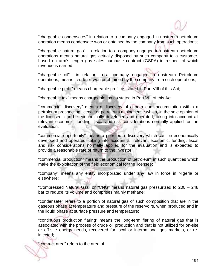"chargeable condensates" in relation to a company engaged in upstream petroleum operation means condensate won or obtained by the company from such operations;

"chargeable natural gas" in relation to a company engaged in upstream petroleum operations means natural gas actually disposed by such company to a customer, based on arm's length gas sales purchase contract (GSPA) in respect of which revenue is earned.;

"chargeable oil" in relation to a company engaged in upstream Petroleum operations, means crude oil won or obtained by the company from such operations;

"chargeable profit" means chargeable profit as stated in Part VIII of this Act;

"chargeable tax" means chargeable tax as stated in Part VIII of this Act;

"commercial discovery" means a discovery of a petroleum accumulation within a petroleum prospecting licence or petroleum mining lease which, in the sole opinion of the licensee, can be economically developed and operated, taking into account all relevant economic, funding, fiscal and risk considerations normally applied for the evaluation;

"commercial opportunity" means a petroleum discovery which can be economically developed and operated, taking into account all relevant economic, funding, fiscal and risk considerations normally applied for the evaluation and is expected to provide a reasonable rate of return to the investor;

"commercial production" means the production of petroleum in such quantities which make the exploitation of the field economical for the licensee;

"company" means any entity incorporated under any law in force in Nigeria or elsewhere;

"Compressed Natural Gas" or "CNG" means natural gas pressurized to 200 – 248 bar to reduce its volume and comprises mainly methane;

"condensate" refers to a portion of natural gas of such composition that are in the gaseous phase at temperature and pressure of the reservoirs, when produced and in the liquid phase at surface pressure and temperature;

"continuous production flaring" means the long-term flaring of natural gas that is associated with the process of crude oil production and that is not utilized for on-site or off-site energy needs, recovered for local or international gas markets, or reinjected;

"contract area" refers to the area of –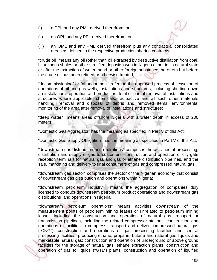- (i) a PPL and any PML derived therefrom; or
- (ii) an OPL and any PPL derived therefrom; or
- (iii) an OML and any PML derived therefrom plus any contractual consolidated areas as defined in the respective production sharing contracts;

"crude oil" means any oil (other than oil extracted by destructive distillation from coal, bituminous shales or other stratified deposits) won in Nigeria either in its natural state or after the extraction of water, sand or other foreign substance therefrom but before the crude oil has been refined or otherwise treated;

"decommissioning" or "abandonment" refers to the approved process of cessation of operations of oil and gas wells, installations and structures, including shutting down an installation's operation and production, total or partial removal of installations and structures where applicable, chemicals, radioactive and all such other materials handling, removal and disposal of debris and removed items, environmental monitoring of the area after removal of installations and structures;

"deep water" means areas offshore Nigeria with a water depth in excess of 200 meters;

"Domestic Gas Aggregator" has the meaning as specified in Part V of this Act;

"Domestic Gas Supply Obligation" has the meaning as specified in Part V of this Act;

"downstream gas distribution and operations" comprises the activities of processing, distribution and supply of gas to customers, construction and operation of city-gate reception terminals for natural gas and gas or ethane distribution pipelines, and the sale, marketing and delivery to final consumers of gas and compressed natural gas;

"downstream gas sector" comprises the sector of the Nigerian economy that consist of downstream gas distribution and operations within Nigeria;

"downstream petroleum industry " means the aggregation of companies duly licensed to conduct downstream petroleum product operations and downstream gas distributions and operations in Nigeria;

"downstream petroleum operations" means activities downstream of the measurement points of petroleum mining leases or unrelated to petroleum mining leases including the construction and operation of natural gas transport or transmission pipelines, including the related compressor stations; construction and operations of facilities to compress, transport and deliver compressed natural gas ("CNG"), construction and operations of gas processing facilities and central processing facilities, producing ethane, propane, butane and natural gas liquids and marketable natural gas; construction and operation of underground or above ground facilities for the storage of natural gas; ethane extraction plants; construction and operation of gas to liquids ("GTL") plants; construction and operation of liquified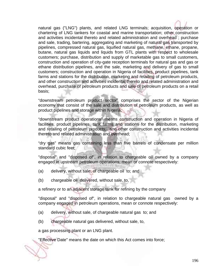natural gas ("LNG") plants, and related LNG terminals; acquisition, operation or chartering of LNG tankers for coastal and marine transportation; other construction and activities incidental thereto and related administration and overhead ; purchase and sale, trading, bartering, aggregating and marketing of natural gas transported by pipelines, compressed natural gas, liquified natural gas, methane, ethane, propane, butane, natural gas liquids and liquids from GTL plants with respect to wholesale customers; purchase, distribution and supply of marketable gas to small customers, construction and operation of city-gate reception terminals for natural gas and gas or ethane distribution pipelines, and the sale, marketing and delivery of gas to small customers; construction and operation in Nigeria of facilities, product pipelines, tank farms and stations for the distribution, marketing and retailing of petroleum products, and other construction and activities incidental thereto and related administration and overhead, purchase of petroleum products and sale of petroleum products on a retail basis;

"downstream petroleum product sector" comprises the sector of the Nigerian economy that consist of the sale and distribution of petroleum products, as well as product pipelines and storage within Nigeria;

"downstream product operations" means construction and operation in Nigeria of facilities, product pipelines, tank farms and stations for the distribution, marketing and retailing of petroleum products, and other construction and activities incidental thereto and related administration and overhead;

"dry gas" means gas containing less than five barrels of condensate per million standard cubic feet;

"disposal" and "disposed of", in relation to chargeable oil owned by a company engaged in upstream petroleum operations, mean or connote respectively:

- (a) delivery, without sale, of chargeable oil to; and
- (b) chargeable oil delivered, without sale, to,

a refinery or to an adjacent storage tank for refining by the company

"disposal" and "disposed of", in relation to chargeable natural gas owned by a company engaged in petroleum operations, mean or connote respectively:

- (a) delivery, without sale, of chargeable natural gas to; and
- (b) chargeable natural gas delivered, without sale, to,

a gas processing plant or an LNG plant.

"Effective Date" means the date on which this Act comes into force;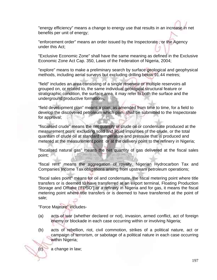"energy efficiency" means a change to energy use that results in an increase in net benefits per unit of energy;

"enforcement order" means an order issued by the Inspectorate , or the Agency under this Act;

"Exclusive Economic Zone" shall have the same meaning as defined in the Exclusive Economic Zone Act Cap. 350, Laws of the Federation of Nigeria, 2004;

"explore" means to make a preliminary search by surface geological and geophysical methods, including aerial surveys but excluding drilling below 91.44 metres;

"field" includes an area consisting of a single reservoir or multiple reservoirs all grouped on, or related to, the same individual geological structural feature or stratigraphic condition, the surface area, it may refer to both the surface and the underground productive formations;

"field development plan" means a plan, as amended from time to time, for a field to develop the discovered petroleum which plan, shall be submitted to the Inspectorate for approval;

"fiscalised crude" means the net quantity of crude oil or condensate produced at the measurement point excluding solid and liquid impurities of the crude, or the total quantum of crude oil at standard temperature and pressure that is produced and metered at the measurement point or at the delivery point to the refinery in Nigeria;

"fiscalised natural gas" means the net quantity of gas delivered at the fiscal sales point;

"fiscal rent" means the aggregation of royalty, Nigerian Hydrocarbon Tax and Companies Income Tax obligations arising from upstream petroleum operations;

"fiscal sales point" means for oil and condensate, the fiscal metering point where title transfers or is deemed to have transferred at an export terminal, Floating Production Storage and Offtake ('FPSO') or a refinery in Nigeria and for gas, it means the fiscal metering point where title transfers or is deemed to have transferred at the point of sale;

"Force Majeure" includes-

- (a) acts of war (whether declared or not), invasion, armed conflict, act of foreign enemy or blockade in each case occurring within or involving Nigeria;
- (b) acts of rebellion, riot, civil commotion, strikes of a political nature, act or campaign of terrorism, or sabotage of a political nature in each case occurring within Nigeria;
	- a change in law;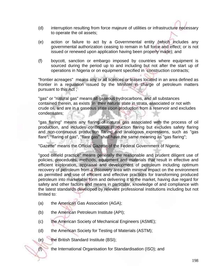- (d) interruption resulting from force majeure of utilities or infrastructure necessary to operate the oil assets;
- (e) action or failure to act by a Governmental entity (which includes any governmental authorization ceasing to remain in full force and effect; or is not issued or renewed upon application having been properly made); and
- (f) boycott, sanction or embargo imposed by countries where equipment is sourced during the period up to and including but not after the start up of operations in Nigeria or on equipment specified in construction contracts;

"frontier acreages" means any or all licences or leases located in an area defined as frontier in a regulation issued by the Minister in charge of petroleum matters pursuant to this Act ;

"gas" or "natural gas" means all gaseous hydrocarbons, and all substances contained therein, as exists in their natural state in strata, associated or not with crude oil, and are in a gaseous state upon production from a reservoir and excludes condensates;

"gas flaring" means any flaring of natural gas associated with the process of oil production, and includes continuous production flaring but excludes safety flaring and non-continuous production flaring and analogous expressions, such as "gas flare", ''flaring of gas", "flare gas" shall have the same meaning as "gas flaring";

"Gazette" means the Official Gazette of the Federal Government of Nigeria;

"good oilfield practice" means generally the reasonable and prudent diligent use of policies, procedures, methods, equipment and materials that result in effective and efficient exploration, appraisal and development of petroleum including optimum recovery of petroleum from a discovery area with minimal impact on the environment as permitted and use of efficient and effective practices for transforming produced petroleum into marketable form and delivering it to the market, having due regard for safety and other factors and means in particular, knowledge of and compliance with the latest standards developed by relevant professional institutions including but not limited to:

- (a) the American Gas Association (AGA);
- (b) the American Petroleum Institute (API);
- (c) the American Society of Mechanical Engineers (ASME);
- (d) the American Society for Testing of Materials (ASTM);
- (e) the British Standard Institute (BSI);
- (f) the International Organisation for Standardisation (ISO); and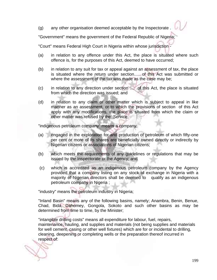(g) any other organisation deemed acceptable by the Inspectorate .

"Government" means the government of the Federal Republic of Nigeria;

"Court" means Federal High Court in Nigeria within whose jurisdiction -

- (a) in relation to any offence under this Act, the place is situated where such offence is, for the purposes of this Act, deemed to have occurred;
- (b) in relation to any suit for tax or appeal against an assessment of tax, the place is situated where the return under section..... of this Act was submitted or where the assessment of the tax was made as the case may be;
- (c) in relation to any direction under section .... of this Act, the place is situated from which the direction was issued; and
- (d) in relation to any claim or other matter which is subject to appeal in like manner as an assessment, or to which the provisions of section of this Act apply with any modifications, the place is situated from which the claim or other matter was refused by the Service;

"indigenous petroleum company" means a company:

- (a) engaged in the exploration for and production of petroleum of which fifty-one per cent or more of its shares are beneficially owned directly or indirectly by Nigerian citizens or associations of Nigerian citizens;
- (b) which meets the requirements of any guidelines or regulations that may be issued by the Inspectorate or the Agency; and
- (c) which is accredited as an indigenous petroleum company by the Agency provided that a company listing on any stock of exchange in Nigeria with a majority of Nigerian directors shall be deemed to qualify as an indigenous petroleum company in Nigeria ;

"industry" means the petroleum industry in Nigeria;

"Inland Basin" means any of the following basins, namely; Anambra, Benin, Benue, Chad, Bida, Dahomey, Gongola, Sokoto and such other basins as may be determined from time to time, by the Minister;

"intangible drilling costs" means all expenditure for labour, fuel, repairs, maintenance, hauling, and supplies and materials (not being supplies and materials for well cement, casing or other well fixtures) which are for or incidental to drilling, cleaning, deepening or completing wells or the preparation thereof incurred in respect of: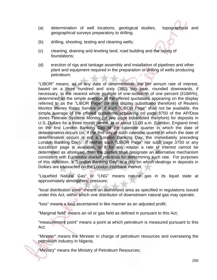- (a) determination of well locations, geological studies, topographical and geographical surveys preparatory to drilling;
- (b) drilling, shooting, testing and cleaning wells;
- (c) cleaning, draining and leveling land, road building and the laying of foundations;
- (d) erection of rigs and tankage assembly and installation of pipelines and other plant and equipment required in the preparation or drilling of wells producing petroleum;

"LIBOR" means, as of any date of determination, the per annum rate of interest, based on a three hundred and sixty (360) day year, rounded downwards, if necessary, to the nearest whole multiple of one-sixteenth of one percent (l/16th%), determined as the simple average of the offered quotations appearing on the display referred to as the "LIBOR Page" (or any display substituted therefore) of Reuters Monitor Money Rates Service or, if such "LIBOR Page" shall not be available, the simple average of the offered quotations appearing on page 3750 of the AP/Dow Jones Telerate Systems Monitor (or any page substituted therefore) for deposits in U.S. Dollars for a three month period, at or about 11:00 a.m. (London, England time) on the first London Banking Day of the calendar quarter in which the date of determination occurs (or, if the first day of such calendar quarter in which the date of determination occurs is not a London Banking Day, the immediately preceding London Banking Day). If neither such "LIBOR Page" nor such page 3750 or any successor page is available, or if for any reason a rate of interest cannot be determined as aforesaid, then the parties shall designate an alternative mechanism consistent with Eurodollar market practices for determining such rate. For purposes of this definition, a "London Banking Day" is a day on which dealings in deposits in Dollars are transacted on the London interbank market;

"Liquefied Natural Gas" or "LNG" means natural gas in its liquid state at approximately atmospheric pressure;

"local distribution zone" means an authorized area as specified in regulations issued under this Act, within which one distributor of downstream natural gas may operate;

"loss" means a loss ascertained in like manner as an adjusted profit;

"Marginal field" means an oil or gas field as defined in pursuant to this Act;

"measurement point" means a point at which petroleum is measured pursuant to this Act;

"Minister" means the Minister in charge of petroleum resources and overseeing the petroleum industry in Nigeria;

"Ministry" means the Ministry of Petroleum Resources;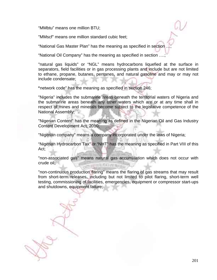"MMbtu" means one million BTU;

"MMscf" means one million standard cubic feet;

"National Gas Master Plan" has the meaning as specified in section …;

"National Oil Company" has the meaning as specified in section ….;

"natural gas liquids" or "NGL" means hydrocarbons liquefied at the surface in separators, field facilities or in gas processing plants and include but are not limited to ethane, propane, butanes, pentanes, and natural gasoline and may or may not include condensate;

"network code" has the meaning as specified in section 246;

"Nigeria" includes the submarine areas beneath the territorial waters of Nigeria and the submarine areas beneath any other waters which are or at any time shall in respect of mines and minerals become subject to the legislative competence of the National Assembly;

"Nigerian Content" has the meaning as defined in the Nigerian Oil and Gas Industry Content Development Act, 2010;

"Nigerian company" means a company incorporated under the laws of Nigeria;

"Nigerian Hydrocarbon Tax" or "NHT" has the meaning as specified in Part VIII of this Act;

"non-associated gas" means natural gas accumulation which does not occur with crude oil;

"non-continuous production flaring" means the flaring of gas streams that may result from short-term releases, including but not limited to pilot flaring, short-term well testing, commissioning of facilities, emergencies, equipment or compressor start-ups and shutdowns, equipment failure;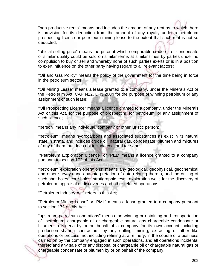"non-productive rents" means and includes the amount of any rent as to which there is provision for its deduction from the amount of any royalty under a petroleum prospecting licence or petroleum mining lease to the extent that such rent is not so deducted;

"official selling price" means the price at which comparable crude oil or condensate of similar quality could be sold on similar terms at similar times by parties under no compulsion to buy or sell and whereby none of such parties exerts or is in a position to exert influence on the other party having regard to all relevant factors;

"Oil and Gas Policy" means the policy of the government for the time being in force in the petroleum sector;

"Oil Mining Lease" means a lease granted to a company, under the Minerals Act or the Petroleum Act, CAP N12, LFN 2004 for the purpose of winning petroleum or any assignment of such lease;

"Oil Prospecting Licence" means a licence granted to a company, under the Minerals Act or this Act, for the purpose of prospecting for petroleum, or any assignment of such licence;

"person" means any individual, company or other juristic person;

"petroleum" means hydrocarbons and associated substances as exist in its natural state in strata, and includes crude oil, natural gas, condensate, bitumen and mixtures of any of them, but does not include coal and tar sands;

 "Petroleum Exploration Licence" or "PEL" means a licence granted to a company pursuant to section 172 of this Act;

"petroleum exploration operations" means any geological, geophysical, geochemical and other surveys and any interpretation of data relating thereto, and the drilling of such shot holes, core holes, stratigraphic tests, exploration wells for the discovery of petroleum, appraisal of discoveries and other related operations;

"Petroleum Industry Act" refers to this Act;

"Petroleum Mining Lease" or "PML" means a lease granted to a company pursuant to section 172 of this Act;

"upstream petroleum operations" means the winning or obtaining and transportation of petroleum, chargeable oil or chargeable natural gas chargeable condensate or bitumen in Nigeria by or on behalf of a company for its own account including production sharing contractors, by any drilling, mining, extracting or other like operations or process, not including refining at a refinery, in the course of a business carried on by the company engaged in such operations, and all operations incidental thereto and any sale of or any disposal of chargeable oil or chargeable natural gas or chargeable condensate or bitumen by or on behalf of the company;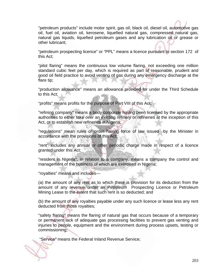"petroleum products" include motor spirit, gas oil, black oil, diesel oil, automotive gas oil, fuel oil, aviation oil, kerosene, liquefied natural gas, compressed natural gas, natural gas liquids, liquefied petroleum gases and any lubrication oil or grease or other lubricant;

"petroleum prospecting licence" or "PPL" means a licence pursuant to section 172 of this Act;

"pilot flaring" means the continuous low volume flaring, not exceeding one million standard cubic feet per day, which is required as part of reasonable, prudent and good oil field practice to avoid venting of gas during any emergency discharge at the flare tip;

"production allowance" means an allowance provided for under the Third Schedule to this Act;

"profits" means profits for the purpose of Part VIII of this Act;

"refining company" means a body corporate having been licensed by the appropriate authorities to either take over an existing refinery or refineries at the inception of this Act, or to establish new refineries in Nigeria;

"regulations" mean rules or order having force of law issued by the Minister in accordance with the provisions of this Act;

"rent" includes any annual or other periodic charge made in respect of a licence granted under this Act;

"resident in Nigeria", in relation to a company, means a company the control and management of the business of which are exercised in Nigeria;

"royalties" means and includes—

(a) the amount of any rent as to which there is provision for its deduction from the amount of any revenue under an Petroleum Prospecting Licence or Petroleum Mining Lease to the extent that such rent is so deducted; and

(b) the amount of any royalties payable under any such licence or lease less any rent deducted from those royalties;

"safety flaring" means the flaring of natural gas that occurs because of a temporary or permanent lack of adequate gas processing facilities to prevent gas venting and injuries to people, equipment and the environment during process upsets, testing or commissioning;

"Service" means the Federal Inland Revenue Service;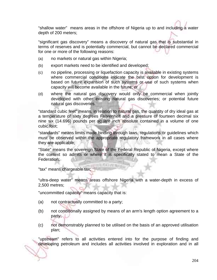"shallow water" means areas in the offshore of Nigeria up to and including a water depth of 200 meters;

"significant gas discovery" means a discovery of natural gas that is substantial in terms of reserves and is potentially commercial, but cannot be declared commercial for one or more of the following reasons:

- (a) no markets or natural gas within Nigeria;
- (b) export markets need to be identified and developed;
- (c) no pipeline, processing or liquefaction capacity is available in existing systems where commercial conditions indicate the best option for development is based on future expansion of such systems or use of such systems when capacity will become available in the future; or
- (d) where the natural gas discovery would only be commercial when jointly developed with other existing natural gas discoveries; or potential future natural gas discoveries.

"standard cubic feet" means, in relation to natural gas, the quantity of dry ideal gas at a temperature of sixty degrees Fahrenheit and a pressure of fourteen decimal six nine six (14.696) pounds per square inch absolute contained in a volume of one cubic foot;

"standards" means limits made binding through laws, regulations or guidelines which must be observed within the appropriate regulatory framework in all cases where they are applicable;

"State" means the sovereign State of the Federal Republic of Nigeria, except where the context so admits or where it is specifically stated to mean a State of the Federation;

图解环系 计控制定

"tax" means chargeable tax;

"ultra-deep water" means areas offshore Nigeria with a water-depth in excess of 2,500 metres;

"uncommitted capacity" means capacity that is:

- (a) not contractually committed to a party;
- (b) not conditionally assigned by means of an arm's length option agreement to a party;
- (c) not demonstrably planned to be utilised on the basis of an approved utilisation plan;

"upstream" refers to all activities entered into for the purpose of finding and developing petroleum and includes all activities involved in exploration and in all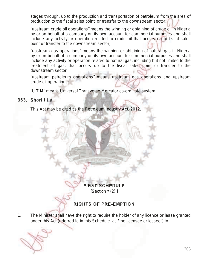stages through, up to the production and transportation of petroleum from the area of production to the fiscal sales point or transfer to the downstream sector;

"upstream crude oil operations" means the winning or obtaining of crude oil in Nigeria by or on behalf of a company on its own account for commercial purposes and shall include any activity or operation related to crude oil that occurs up to fiscal sales point or transfer to the downstream sector;

"upstream gas operations" means the winning or obtaining of natural gas in Nigeria by or on behalf of a company on its own account for commercial purposes and shall include any activity or operation related to natural gas, including but not limited to the treatment of gas, that occurs up to the fiscal sales point or transfer to the downstream sector;

"upstream petroleum operations" means upstream gas operations and upstream crude oil operations;

"U.T.M" means Universal Transverse Mercator co-ordinate system.

### 363. Short title

This Act may be cited as the Petroleum Industry Act, 2012.

FIRST SCHEDULE

**MAILBURN** 

 $[Section 7 (2).]$ 

# RIGHTS OF PRE-EMPTION

1. The Minister shall have the right to require the holder of any licence or lease granted under this Act (referred to in this Schedule as "the licensee or lessee") to -

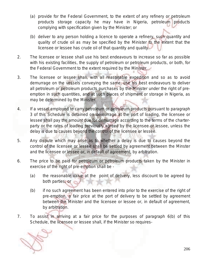- (a) provide for the Federal Government, to the extent of any refinery or petroleum products storage capacity he may have in Nigeria, petroleum products complying with specification given by the Minister; or
- (b) deliver to any person holding a licence to operate a refinery, such quantity and quality of crude oil as may be specified by the Minister to the extent that the licensee or lessee has crude oil of that quantity and quality.
- 2. The licensee or lessee shall use his best endeavours to increase so far as possible with his existing facilities, the supply of petroleum or petroleum products, or both, for the Federal Government to the extent required by the Minister.
- 3. The licensee or lessee shall, with all reasonable expedition and so as to avoid demurrage on the vessels conveying the same, use his best endeavours to deliver all petroleum or petroleum products purchases by the Minister under the right of preemption in such quantities, and at such places of shipment or storage in Nigeria, as may be determined by the Minister.
- 4. If a vessel employed to carry petroleum or petroleum products pursuant to paragraph 3 of this Schedule is detained on demurrage at the port of loading, the licensee or lessee shall pay the amount due for demurrage according to the terms of the charterparty or the rates of loading previously agreed by the licensee or lessee, unless the delay is due to causes beyond the control of the licensee or lessee.
- 5. Any dispute which may arise as to whether a delay is due to causes beyond the control of the licensee or lessee shall be settled by agreement between the Minster and the licensee or lessee or, in default of agreement, by arbitration.
- 6. The price to be paid for petroleum or petroleum products taken by the Minister in exercise of the right of pre-emption shall be -
	- (a) the reasonable value at the point of delivery, less discount to be agreed by both parties; or
	- (b) if no such agreement has been entered into prior to the exercise of the right of pre-emption, a fair price at the port of delivery to be settled by agreement between the Minister and the licensee or lessee or, in default of agreement, by arbitration.
- 7. To assist in arriving at a fair price for the purposes of paragraph 6(b) of this Schedule, the licensee or lessee shall, if the Minister so requires-

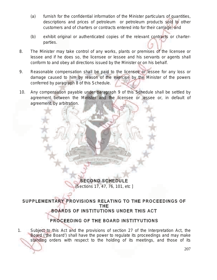- (a) furnish for the confidential information of the Minister particulars of quantities, descriptions and prices of petroleum or petroleum products sold to other customers and of charters or contracts entered into for their carriage; and
- (b) exhibit original or authenticated copies of the relevant contracts or charterparties.
- 8. The Minister may take control of any works, plants or premises of the licensee or lessee and if he does so, the licensee or lessee and his servants or agents shall conform to and obey all directions issued by the Minister or on his behalf.
- 9. Reasonable compensation shall be paid to the licensee or lessee for any loss or damage caused to him by reason of the exercise by the Minister of the powers conferred by paragraph 8 of this Schedule.
- 10. Any compensation payable under paragraph 9 of this Schedule shall be settled by agreement between the Minister and the licensee or lessee or, in default of agreement, by arbitration.

SECOND SCHEDULE [Sections 17, 47, 76, 101, etc ]

**HELP OF HERE** 

SUPPLEMENTARY PROVISIONS RELATING TO THE PROCEEDINGS OF THE BOARDS OF INSTITUTIONS UNDER THIS ACT

# PROCEEDING OF THE BOARD INSTITYUTIONS

1. Subject to this Act and the provisions of section 27 of the Interpretation Act, the Board ('the Board') shall have the power to regulate its proceedings and may make standing orders with respect to the holding of its meetings, and those of its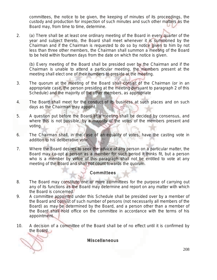committees, the notice to be given, the keeping of minutes of its proceedings, the custody and production for inspection of such minutes and such other matters as the Board may, from time to time, determine.

2. (a) There shall be at least one ordinary meeting of the Board in every quarter of the year and subject thereto, the Board shall meet whenever it is summoned by the Chairman and if the Chairman is requested to do so by notice given to him by not less than three other members, the Chairman shall summon a meeting of the Board to be held within fourteen days from the date on which the notice is given.

(b) Every meeting of the Board shall be presided over by the Chairman and if the Chairman is unable to attend a particular meeting, the members present at the meeting shall elect one of their numbers to preside at the meeting.

- 3. The quorum at the meeting of the Board shall consist of the Chairman (or in an appropriate case, the person presiding at the meeting pursuant to paragraph 2 of this Schedule) and the majority of the other members, as appropriate
- 4. The Board shall meet for the conduct of its business at such places and on such days as the Chairman may appoint.
- 5. A question put before the Board at a meeting shall be decided by consensus, and where this is not possible, by a majority of the votes of the members present and voting.
- 6. The Chairman shall, in the case of an equality of votes, have the casting vote in addition to his deliberative vote.
- 7. Where the Board desires to seek the advice of any person on a particular matter, the Board may co-opt a person as a member for such period it thinks fit, but a person who is a member by virtue of this paragraph shall not be entitled to vote at any meeting of the Board and shall not count towards the quorum.

## Committees

- 8. The Board may constitute one or more committees for the purpose of carrying out any of its functions as the Board may determine and report on any matter with which the Board is concerned.
- 9. A committee appointed under this Schedule shall be presided over by a member of the Board and consist of such number of persons (not necessarily all members of the Board) as may be determined by the Board, and a person other than a member of the Board shall hold office on the committee in accordance with the terms of his appointment.
- 10. A decision of a committee of the Board shall be of no effect until it is confirmed by the Board.

**Miscellaneous**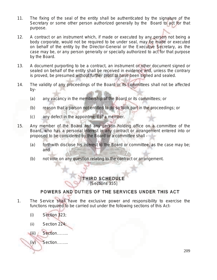- 11. The fixing of the seal of the entity shall be authenticated by the signature of the Secretary or some other person authorized generally by the Board to act for that purpose.
- 12. A contract or an instrument which, if made or executed by any person not being a body corporate, would not be required to be under seal, may be made or executed on behalf of the entity by the Director-General or the Executive Secretary, as the case may be, or any person generally or specially authorized to act for that purpose by the Board.
- 13. A document purporting to be a contract, an instrument or other document signed or sealed on behalf of the entity shall be received in evidence and, unless the contrary is proved, be presumed without further proof to have been signed and sealed.
- 14. The validity of any proceedings of the Board or its committees shall not be affected by-
	- (a) any vacancy in the membership of the Board or its committees; or
	- (b) reason that a person not entitled to do so took part in the proceedings; or
	- (c) any defect in the appointment of a member.
- 15. Any member of the Board and any person holding office on a committee of the Board, who has a personal interest in any contract or arrangement entered into or proposed to be considered by the Board or a committee shall -
	- (a) forthwith disclose his interest to the Board or committee, as the case may be; and
	- (b) not vote on any question relating to the contract or arrangement.

#### THIRD SCHEDULE [Sections 355]

# POWERS AND DUTIES OF THE SERVICES UNDER THIS ACT

- 1. The Service shall have the exclusive power and responsibility to exercise the functions required to be carried out under the following sections of this Act-
	- (i) Section 323;
	- (ii) Section 224;
	- (iii) Section……..
	- (iv) Section……..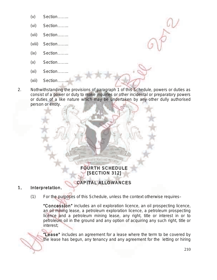- (v) Section……..
- (vi) Section……..
- (vii) Section……..
- (viii) Section……..
- (ix) Section……..
- (x) Section……..
- (xi) Section……..
- (xii) Section……..
- 2. Nothwithstanding the provisions of paragraph 1 of this Schedule, powers or duties as consist of a power or duty to make inquiries or other incidental or preparatory powers or duties of a like nature which may be undertaken by any other dully authorised person or entity.

# FOURTH SCHEDULE [SECTION 312]

**MD FIFTEY PITT FITT TWV** 

# CAPITAL ALLOWANCES

## 1. Interpretation.

(1) For the purposes of this Schedule, unless the context otherwise requires–

"Concession" includes an oil exploration licence, an oil prospecting licence, an oil mining lease, a petroleum exploration licence, a petroleum prospecting licence and a petroleum mining lease, any right, title or interest in or to petroleum oil in the ground and any option of acquiring any such right, title or interest;

"Lease" includes an agreement for a lease where the term to be covered by the lease has begun, any tenancy and any agreement for the letting or hiring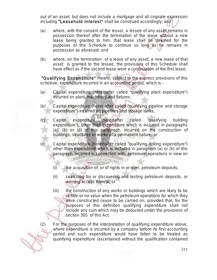out of an asset, but does not include a mortgage and all cognate expression including "Leasehold Interest" shall be construed accordingly; and

- (a) where, with the consent of the lessor, a lessee of any asset remains in possession thereof after the termination of the lease without a new lease being granted to him, that lease shall be deemed for the purposes of this Schedule to continue so long as he remains in possession as aforesaid; and
- (b) where, on the termination of a lease of any asset, a new lease of that asset is granted to the lessee, the provisions of this Schedule shall have effect as if the second lease were a continuation of the first lease;

 "Qualifying Expenditure" means, subject to the express provisions of this schedule, expenditure incurred in an accounting period, which is –

- (a) Capital expenditure (hereinafter called "qualifying plant expenditure") incurred on plant, machinery and fixtures;
- (b) Capital expenditure (hereinafter called "qualifying pipeline and storage expenditure") incurred on pipelines and storage tanks;
- (c) Capital expenditure (hereinafter called "qualifying building expenditure"), other than expenditure which is included in paragraphs (a), (b) or (d) of this paragraph, incurred on the construction of buildings, structures or works of a permanent nature; or
- (d) Capital expenditure (hereinafter called "qualifying drilling expenditure") other than expenditure which is included in paragraph (a) or (b) of this paragraph, incurred in connection with, petroleum operations in view on

**MONEY PRINTING** 

- (i) the acquisition of, or of rights in or over, petroleum deposits,
- (ii) searching for or discovering and testing petroleum deposits, or winning access thereto; or
- (iii) the construction of any works or buildings which are likely to be of little or no value when the petroleum operations for which they were constructed cease to be carried on, provided that, for the purposes of this definition qualifying expenditure shall not include any sum which may be deducted under the provisions of section 305 of this Act.
- (2) For the purposes of the interpretation of qualifying expenditure above, where expenditure is incurred by a company before its first accounting period and such expenditure would have fallen to be treated as qualifying expenditure (ascertained without the qualification contained

–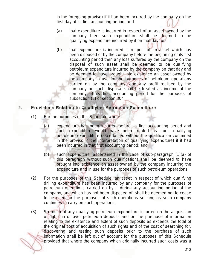in the foregoing proviso) if it had been incurred by the company on the first day of its first accounting period, and

- (a) that expenditure is incurred in respect of an asset owned by the company then such expenditure shall be deemed to be qualifying expenditure incurred by it on that day; or
- (b) that expenditure is incurred in respect of an asset which has been disposed of by the company before the beginning of its first accounting period then any loss suffered by the company on the disposal of such asset shall be deemed to be qualifying petroleum expenditure incurred by the company on that day and be deemed to have brought into existence an asset owned by the company in use for the purposes of petroleum operations carried on by the company, and any profit realised by the company on such disposal shall be treated as income of the company of its first accounting period for the purposes of subsection (3) of section 304

# 2. Provisions Relating to Qualifying Petroleum Expenditure

- (1) For the purposes of this Schedule where-
	- (a) expenditure has been incurred before its first accounting period and such expenditure would have been treated as such qualifying petroleum expenditure (ascertained without the qualification contained in the proviso in the interpretation of qualifying expenditure) if it had been incurred in that first accounting period; and
	- (b) such expenditure (ascertained in the case of sub-paragraph (1)(a) of this paragraph without such qualification) shall be deemed to have brought into existence an asset owned by the company incurring the expenditure and in use for the purposes of such petroleum operations.
- (2) For the purposes of this Schedule, an asset in respect of which qualifying drilling expenditure has been incurred by any company for the purposes of petroleum operations carried on by it during any accounting period of the company, and which has not been disposed of, shall be deemed not to cease to be used for the purposes of such operations so long as such company continues to carry on such operations.
- (3) So much of any qualifying petroleum expenditure incurred on the acquisition of rights in or over petroleum deposits and on the purchase of information relating to the existence and extent of such deposits as exceeds the total of the original cost of acquisition of such rights and of the cost of searching for, discovering and testing such deposits prior to the purchase of such information shall be left out of account for the purposes of this Schedule provided that where the company which originally incurred such costs was a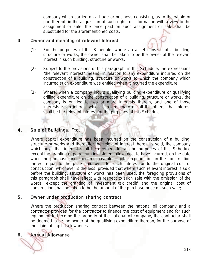company which carried on a trade or business consisting, as to the whole or part thereof, in the acquisition of such rights or information with a view to the assignment or sale, the price paid on such assignment or sale shall be substituted for the aforementioned costs.

## 3. Owner and meaning of relevant interest

- (1) For the purposes of this Schedule, where an asset consists of a building, structure or works, the owner shall be taken to be the owner of the relevant interest in such building, structure or works.
- (2) Subject to the provisions of this paragraph, in this Schedule, the expressions "the relevant interest" means, in relation to any expenditure incurred on the construction of a building, structure or works to which the company which incurred such expenditure was entitled when it incurred the expenditure.
- (3) Where, when a company incurs qualifying building expenditure or qualifying drilling expenditure on the construction of a building, structure or works, the company is entitled to two or more interests therein, and one of those interests is an interest which is reversionary on all the others, that interest shall be the relevant interest for the purposes of this Schedule.

## 4. Sale of Buildings, Etc.

Where capital expenditure has been incurred on the construction of a building, structure or works and thereafter the relevant interest therein is sold, the company which buys that interest shall be deemed, for all the purposes of this Schedule except the granting of petroleum investment allowance, to have incurred, on the date when the purchase price became payable, capital expenditure on the construction thereof equal to the price paid by it for such interest or to the original cost of construction, whichever is the less, provided that where such relevant interest is sold before the building, structure or works has been used, the foregoing provisions of this paragraph shall have effect with respect to such sale with the omission of the words "except the granting of investment tax credit" and the original cost of construction shall be taken to be the amount of the purchase price on such sale;

# 5. Owner under production sharing contract

Where the production sharing contract between the national oil company and a contractor provides for the contractor to finance the cost of equipment and for such equipment to become the property of the national oil company, the contractor shall be deemed to be the owner of the qualifying expenditure thereon, for the purpose of the claim of capital allowances.

# 6. Annual Allowance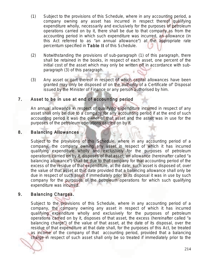- (1) Subject to the provisions of this Schedule, where in any accounting period, a company owning any asset has incurred in respect thereof qualifying expenditure wholly, necessarily and exclusively for the purposes of petroleum operations carried on by it, there shall be due to that company as from the accounting period in which such expenditure was incurred, an allowance (in this Act referred to as "an annual allowance") at the appropriate rate percentum specified in Table II of this Schedule.
- (2) Notwithstanding the provisions of sub-paragraph (1) of this paragraph, there shall be retained in the books, in respect of each asset, one percent of the initial cost of the asset which may only be written off in accordance with subparagraph (3) of this paragraph.
- (3) Any asset or part thereof in respect of which capital allowances have been granted may only be disposed of on the authority of a Certificate of' Disposal issued by the Minister of Finance or any person authorised by him.

### 7. Asset to be in use at end of accounting period

An annual allowance in respect of qualifying expenditure incurred in respect of any asset shall only be due to a company for any accounting period if at the end of such accounting period it was the owner of that asset and the asset was in use for the purposes of the petroleum operations carried on by it.

#### 8. Balancing Allowances

Subject to the provisions of this Schedule, where in any accounting period of a company, the company owning any asset in respect of which it has incurred qualifying expenditure wholly and exclusively for the purposes of petroleum operations carried on by it, disposes of that asset, an allowance (hereinafter called "a balancing allowance") shall be due to that company for that accounting period of the excess of the residue of that expenditure, at the date; such asset is disposed of, over the value of that asset at that date provided that a balancing allowance shall only be due in respect of such asset if immediately prior to its disposal it was in use by such company for the purposes of the petroleum operations for which such qualifying expenditure was incurred.

## 9. Balancing Charges.

Subject to the provisions of this Schedule, where in any accounting period of a company, the company owning any asset in respect of which it has incurred qualifying expenditure wholly and exclusively for the purposes of petroleum operations carried on by it, disposes of that asset, the excess (hereinafter called "a balancing charge") of the value of that asset, at the date of its disposal, over the residue of that expenditure at that date shall, for the purposes of this Act, be treated as income of the company of that accounting period, provided that a balancing charge in respect of such asset shall only be so treated if immediately prior to the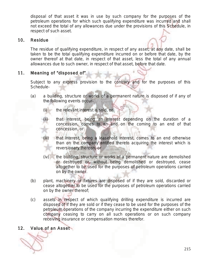disposal of that asset it was in use by such company for the purposes of the petroleum operations for which such qualifying expenditure was incurred and shall not exceed the total of any allowances due under the provisions of this Schedule, in respect of such asset.

### 10. Residue

The residue of qualifying expenditure, in respect of any asset, at any date, shall be taken to be the total qualifying expenditure incurred on or before that date, by the owner thereof at that date, in respect of that asset, less the total of any annual allowances due to such owner, in respect of that asset, before that date.

## 11. Meaning of "disposed of"

Subject to any express provision to the contrary and for the purposes of this Schedule-

- (a) a building, structure or works of a permanent nature is disposed of if any of the following events occur-
	- (i) the relevant interest is sold, or
	- (ii) that interest, being an interest depending on the duration of a concession, comes to an end on the coming to an end of that concession, or
	- that interest, being a leasehold interest, comes to an end otherwise than on the company entitled thereto acquiring the interest which is reversionary thereon, or
	- (iv) the building, structure or works of a permanent nature are demolished or destroyed or, without being demolished or destroyed, cease altogether to be used for the purposes of petroleum operations carried on by the owner.
- (b) plant, machinery or fixtures are disposed of if they are sold, discarded or cease altogether to be used for the purposes of petroleum operations carried on by the owner thereof;
- (c) assets in respect of which qualifying drilling expenditure is incurred are disposed of if they are sold or if they cease to be used for the purposes of the petroleum operations of the company incurring the expenditure either on such company ceasing to carry on all such operations or on such company receiving insurance or compensation monies therefor.

## 12. Value of an Asset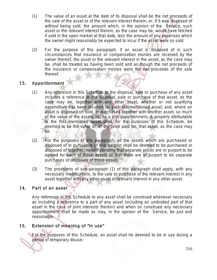- (1) The value of an asset at the date of its disposal shall be the net proceeds of the sale of the asset or of the relevant interest therein, or, if it was disposed of without being sold, the amount which, in the opinion of the Service, such asset or the relevant interest therein, as the case may be, would have fetched if sold in the open market at that date, less the amount of any expenses which the owner might reasonably be expected to incur if the asset were so sold.
- (2) For the purpose of this paragraph, if an asset is disposed of in such circumstances that insurance or compensation monies are received by the owner thereof, the asset or the relevant interest in the asset, as the case may be, shall be treated as having been sold and as though the net proceeds of the insurance or compensation monies were the net proceeds of the sale thereof.

## 13. Apportionment

- (1) Any reference in this Schedule to the disposal, sale or purchase of any asset includes a reference to the disposal, sale or purchase of that asset, as the case may be, together with any other asset, whether or not qualifying expenditure has been incurred on such last-mentioned asset, and, where an asset is disposed of, sold, or purchased together with another asset, so much of the value of the assets as, on a just apportionment, is properly attributable to the first mentioned asset shall, for the purposes of this Schedule, be deemed to be the value of, or the price paid for, that asset, as the case may be.
- (2) For the purposes of this paragraph, all the assets which are purchased or disposed of in pursuance of one bargain shall be deemed to be purchased or disposed of together, notwithstanding that separate prices are or purport to be agreed for each of those assets or that there are or purport to be separate purchases or disposals of those assets.
- (3) The provisions of sub-paragraph (1) of this paragraph shall apply, with any necessary modifications, to the sale or purchase of the relevant interest in any asset together with any other asset or relevant interest in any other asset.

## 14. Part of an asset

Any reference in this Schedule to any asset shall be construed whenever necessary as including a reference to a part of any asset (including an undivided part of that asset in the case of joint interests therein) and when so construed any necessary apportionment shall be made as may, in the opinion of the Service, be just and reasonable.

## 15. Extension of meaning of "in use"

For the purposes of this Schedule, an asset shall he deemed to be in use during a period of temporary disuse.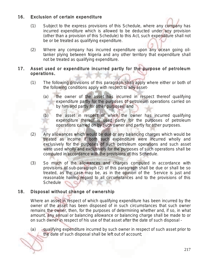## 16. Exclusion of certain expenditure

- (1) Subject to the express provisions of this Schedule, where any company has incurred expenditure which is allowed to be deducted under any provision (other than a provision of this Schedule) to this Act, such expenditure shall not be or be treated as qualifying expenditure.
- (2) Where any company has incurred expenditure upon any ocean going oiltanker plying between Nigeria and any other territory that expenditure shall not be treated as qualifying expenditure.

## 17. Asset used or expenditure incurred partly for the purpose of petroleum operations.

- (1) The following provisions of this paragraph shall apply where either or both of the following conditions apply with respect to any asset-
	- (a) the owner of the asset has incurred in respect thereof qualifying expenditure partly for the purposes of petroleum operations carried on by him and partly for other purposes; and
	- (b) the asset in respect of which the owner has incurred qualifying expenditure thereof is used partly for the purposes of petroleum operations carried on by such owner and partly for other purposes.
- (2) Any allowances which would be due or any balancing charges which would be treated as income if both such expenditure were incurred wholly and exclusively for the purposes of such petroleum operations and such asset were used wholly and exclusively for the purposes of such operations shall be computed in accordance with the provisions of this Schedule.
- (3) So much of the allowances and charges computed in accordance with provisions of sub-paragraph (2) of this paragraph shall be due or shall be so treated, as the case may be, as in the opinion of the Service is just and reasonable having regard to all circumstances and to the provisions of this Schedule

## 18. Disposal without change of ownership

Where an asset in respect of which qualifying expenditure has been incurred by the owner of the asset has been disposed of in such circumstances that such owner remains the owner, then, for the purposes of determining whether and, if so, in what amount, any annual or balancing allowance or balancing charge shall be made to or on such owner in respect of his use of that asset after the date of such disposal -

(a) qualifying expenditure incurred by such owner in respect of such asset prior to the date of such disposal shall be left out of account;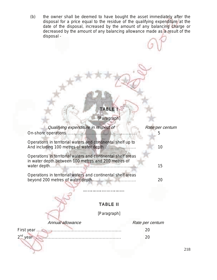(b) the owner shall be deemed to have bought the asset immediately after the disposal for a price equal to the residue of the qualifying expenditure at the date of the disposal, increased by the amount of any balancing charge or decreased by the amount of any balancing allowance made as a result of the disposal -

# TABLE I

[Paragraph]

| Qualifying expenditure in respect of                                                                                               | Rate per centum<br>5 |
|------------------------------------------------------------------------------------------------------------------------------------|----------------------|
| Operations in territorial waters and continental shelf up to                                                                       | 10                   |
| Operations in territorial waters and continental shelf areas<br>in water depth between 100 metres and 200 metres of<br>water depth | 15                   |
| Operations in territorial waters and continental shelf areas                                                                       | 20                   |
|                                                                                                                                    |                      |
| TABLE II                                                                                                                           |                      |
| [Paragraph]                                                                                                                        |                      |
| Annual allowance                                                                                                                   | Rate per centum      |
| First year                                                                                                                         | 20                   |
| 2 <sup>nd</sup> year                                                                                                               | 20                   |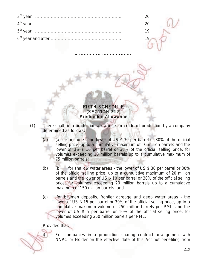| 5 <sup>th</sup> vear |  |
|----------------------|--|
|                      |  |

………………………………..

### FIFTH SCHEDULE [SECTION 312] Production Allowance

- (1) There shall be a production allowance for crude oil production by a company determined as follows:
	- (a) (a) for onshore the lower of US  $$30$  per barrel or 30% of the official selling price, up to a cumulative maximum of 10 million barrels and the lower of US \$ 10 per barrel or 30% of the official selling price, for volumes exceeding 10 million barrels up to a cumulative maximum of 75 million barrels;
	- (b) (b) for shallow water areas the lower of US \$ 30 per barrel or 30% of the official selling price, up to a cumulative maximum of 20 million barrels and the lower of US \$ 10 per barrel or 30% of the official selling price, for volumes exceeding 20 million barrels up to a cumulative maximum of 150 million barrels; and
	- (c) for bitumen deposits, frontier acreage and deep water areas the lower of US \$ 15 per barrel or 30% of the official selling price, up to a cumulative maximum volume of 250 million barrels per PML, and the lower of US \$ 5 per barrel or 10% of the official selling price, for volumes exceeding 250 million barrels per PML.

#### Provided that:

For companies in a production sharing contract arrangement with NNPC or Holder on the effective date of this Act not benefiting from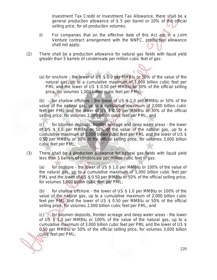Investment Tax Credit or Investment Tax Allowance, there shall be a general production allowance of \$ 5 per barrel or 10% of the official selling price, for all production volumes.

- ii) For companies that on the effective date of this Act are in a Joint Venture contract arrangement with the NNPC, production allowance shall not apply.
- (2) There shall be a production allowance for natural gas fields with liquid yield greater than 5 barrels of condensate per million cubic feet of gas:
	- (a) for onshore the lower of US \$ 1.0 per MMBtu or 50% of the value of the natural gas, up to a cumulative maximum of 1,000 billion cubic feet per PML and the lower of US \$ 0.50 per MMBtu or 30% of the official selling price, for volumes 1,000 billion cubic feet per PML;

(b) for shallow offshore - the lower of US  $$ 1.0$  per MMBtu or 50% of the value of the natural gas, up to a cumulative maximum of 2,000 billion cubic feet per PML and the lower of US \$ 0.50 per MMBtu or 30% of the official selling price, for volumes 2,000 billion cubic feet per PML; and

(c) for bitumen deposits, frontier acreage and deep water areas - the lower of US \$ 1.0 per MMBtu or 50% of the value of the natural gas, up to a cumulative maximum of 3,000 billion cubic feet per PML and the lower of US \$ 0.50 per MMBtu or 30% of the official selling price, for volumes 3,000 billion cubic feet per PML;

(3) There shall be a production allowance for natural gas fields with liquid yield less than 5 barrels of condensate per million cubic feet of gas:

(a) for onshore - the lower of US \$ 1.0 per MMBtu or 100% of the value of the natural gas, up to a cumulative maximum of 1,000 billion cubic feet per PML and the lower of US \$ 0.50 per MMBtu or 50% of the official selling price, for volumes 1,000 billion cubic feet per PML;

(b) for shallow offshore - the lower of US \$ 1.0 per MMBtu or 100% of the value of the natural gas, up to a cumulative maximum of 2,000 billion cubic feet per PML and the lower of US \$ 0.50 per MMBtu or 50% of the official selling price, for volumes 2,000 billion cubic feet per PML; and

(c) for bitumen deposits, frontier acreage and deep water areas - the lower of US \$ 1.0 per MMBtu or 100% of the value of the natural gas, up to a cumulative maximum of 3,000 billion cubic feet per PML and the lower of US \$ 0.50 per MMBtu or 50% of the official selling price, for volumes 3,000 billion cubic feet per PML;

220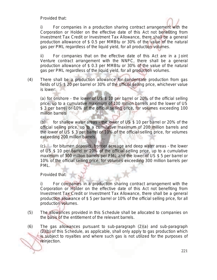Provided that:



i) For companies in a production sharing contract arrangement with the Corporation or Holder on the effective date of this Act not benefiting from Investment Tax Credit or Investment Tax Allowance, there shall be a general production allowance of \$ 0.5 per MMBtu or 30% of the value of the natural gas per PML regardless of the liquid yield, for all production volumes.

ii) For companies that on the effective date of this Act are in a Joint Venture contract arrangement with the NNPC, there shall be a general production allowance of \$ 0.3 per MMBtu or 30% of the value of the natural gas per PML regardless of the liquid yield, for all production volumes.

(4) There shall be a production allowance for condensate production from gas fields of US \$ 20 per barrel or 30% of the official selling price, whichever value is lower:

(a) for onshore - the lower of US \$ 10 per barrel or 20% of the official selling price, up to a cumulative maximum of 100 million barrels and the lower of US \$ 3 per barrel or 10% of the official selling price, for volumes exceeding 100 million barrels

(b) for shallow water areas - the lower of US  $$$  10 per barrel or 20% of the official selling price, up to a cumulative maximum of 200 million barrels and the lower of US \$ 3 per barrel or 10% of the official selling price, for volumes exceeding 200 million barrels

(c) for bitumen deposits, frontier acreage and deep water areas - the lower of US \$ 10 per barrel or 20% of the official selling price, up to a cumulative maximum of 300 million barrels per PML and the lower of US \$ 5 per barrel or 10% of the official selling price, for volumes exceeding 300 million barrels per PML.

Provided that:

i) For companies in a production sharing contract arrangement with the Corporation or Holder on the effective date of this Act not benefiting from Investment Tax Credit or Investment Tax Allowance, there shall be a general production allowance of \$ 5 per barrel or 10% of the official selling price, for all production volumes.

- (5) The allowances provided in this Schedule shall be allocated to companies on the basis of the entitlement of the relevant barrels.
- (6) The gas allowances pursuant to sub-paragraph (2)(a) and sub-paragraph (2)(b) of this Schedule, as applicable, shall only apply to gas production which is subject to royalties and where such gas is not utilized for the purposes of reinjection.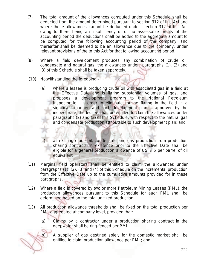- (7) The total amount of the allowances computed under this Schedule shall be deducted from the amount determined pursuant to section 312 of this Act and where these allowances cannot be deducted under section 312 of this Act owing to there being an insufficiency of or no assessable profits of the accounting period the deductions shall be added to the aggregate amount to be computed for the following accounting period of the company, and thereafter shall be deemed to be an allowance due to the company, under relevant provisions of the to this Act for that following accounting period.
- (8) Where a field development produces any combination of crude oil, condensate and natural gas, the allowances under paragraphs (1), (2) and (3) of this Schedule shall be taken separately.
- (10) Notwithstanding the foregoing
	- (a) where a lessee is producing crude oil with associated gas in a field at the Effective Date and is flaring substantial volumes of gas, and proposes a development program to the National Petroleum Inspectorate in order to eliminate routine flaring in the field in a significant manner, and such development plan is approved by the inspectorate, the lessee shall be entitled to claim the allowances under paragraphs (2) and (3) of this Schedule, with respect to the natural gas and condensate production attributable to such development plan; and
	- (c) all existing crude oil, condensate and gas production from production sharing contracts in existence prior to the Effective Date shall be eligible for a general production allowance of US \$ 5 per barrel of oil equivalent;
- (11) Marginal field operators shall be entitled to claim the allowances under paragraphs (1), (2), (3) and (4) of this Schedule on the incremental production from the Effective Date up to the cumulative amounts provided for in these paragraphs.
- (12) Where a field is covered by two or more Petroleum Mining Leases (PML), the production allowances pursuant to this Schedule for each PML shall be determined based on the total unitized production.
- (13) All production allowance thresholds shall be fixed on the total production per PML aggregated at company level, provided that:
	- $(a)$  Claims by a contractor under a production sharing contract in the deepwater shall be ring-fenced per PML;

.

(b) A supplier of gas destined solely for the domestic market shall be entitled to claim production allowance per PML; and